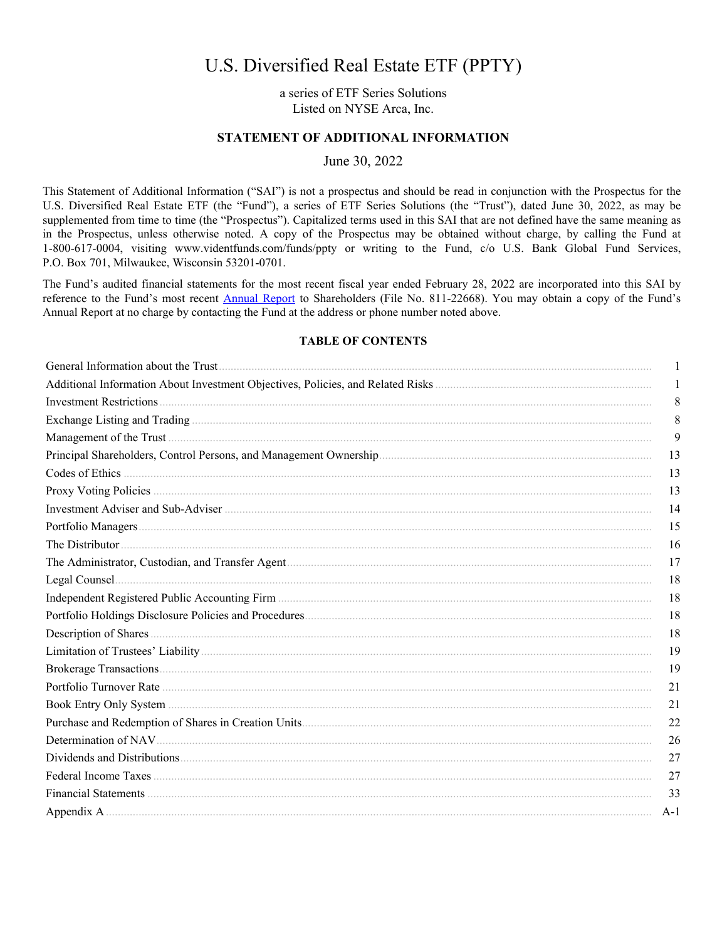# U.S. Diversified Real Estate ETF (PPTY)

a series of ETF Series Solutions Listed on NYSE Arca, Inc.

# STATEMENT OF ADDITIONAL INFORMATION

June 30, 2022

This Statement of Additional Information ("SAI") is not a prospectus and should be read in conjunction with the Prospectus for the U.S. Diversified Real Estate ETF (the "Fund"), a series of ETF Series Solutions (the "Trust"), dated June 30, 2022, as may be supplemented from time to time (the "Prospectus"). Capitalized terms used in this SAI that are not defined have the same meaning as in the Prospectus, unless otherwise noted. A copy of the Prospectus may be obtained without charge, by calling the Fund at 1-800-617-0004, visiting www.videntfunds.com/funds/ppty or writing to the Fund, c/o U.S. Bank Global Fund Services, P.O. Box 701, Milwaukee, Wisconsin 53201-0701.

The Fund's audited financial statements for the most recent fiscal year ended February 28, 2022 are incorporated into this SAI by reference to the Fund's most recent Annual Report to Shareholders (File No. 811-22668). You may obtain a copy of the Fund's Annual Report at no charge by contacting the Fund at the address or phone number noted above.

# **TABLE OF CONTENTS**

| 1     |
|-------|
| 1     |
| 8     |
| 8     |
| 9     |
| 13    |
| 13    |
| 13    |
| 14    |
| 15    |
| 16    |
| 17    |
| 18    |
| 18    |
| 18    |
| 18    |
| 19    |
| 19    |
| 21    |
| 21    |
| 22    |
| 26    |
| 27    |
| 27    |
| 33    |
| $A-1$ |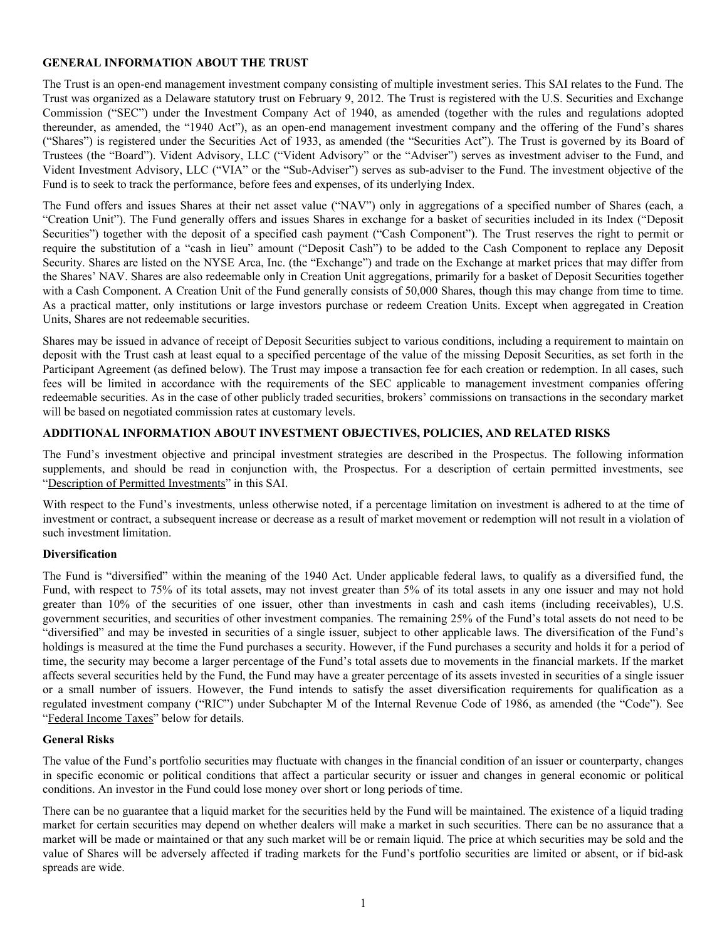# <span id="page-1-0"></span>**GENERAL INFORMATION ABOUT THE TRUST**

The Trust is an open-end management investment company consisting of multiple investment series. This SAI relates to the Fund. The Trust was organized as a Delaware statutory trust on February 9, 2012. The Trust is registered with the U.S. Securities and Exchange Commission ("SEC") under the Investment Company Act of 1940, as amended (together with the rules and regulations adopted thereunder, as amended, the "1940 Act"), as an open-end management investment company and the offering of the Fund's shares ("Shares") is registered under the Securities Act of 1933, as amended (the "Securities Act"). The Trust is governed by its Board of Trustees (the "Board"). Vident Advisory, LLC ("Vident Advisory" or the "Adviser") serves as investment adviser to the Fund, and Vident Investment Advisory, LLC ("VIA" or the "Sub-Adviser") serves as sub-adviser to the Fund. The investment objective of the Fund is to seek to track the performance, before fees and expenses, of its underlying Index.

The Fund offers and issues Shares at their net asset value ("NAV") only in aggregations of a specified number of Shares (each, a "Creation Unit"). The Fund generally offers and issues Shares in exchange for a basket of securities included in its Index ("Deposit Securities") together with the deposit of a specified cash payment ("Cash Component"). The Trust reserves the right to permit or require the substitution of a "cash in lieu" amount ("Deposit Cash") to be added to the Cash Component to replace any Deposit Security. Shares are listed on the NYSE Arca, Inc. (the "Exchange") and trade on the Exchange at market prices that may differ from the Shares' NAV. Shares are also redeemable only in Creation Unit aggregations, primarily for a basket of Deposit Securities together with a Cash Component. A Creation Unit of the Fund generally consists of 50,000 Shares, though this may change from time to time. As a practical matter, only institutions or large investors purchase or redeem Creation Units. Except when aggregated in Creation Units, Shares are not redeemable securities.

Shares may be issued in advance of receipt of Deposit Securities subject to various conditions, including a requirement to maintain on deposit with the Trust cash at least equal to a specified percentage of the value of the missing Deposit Securities, as set forth in the Participant Agreement (as defined below). The Trust may impose a transaction fee for each creation or redemption. In all cases, such fees will be limited in accordance with the requirements of the SEC applicable to management investment companies offering redeemable securities. As in the case of other publicly traded securities, brokers' commissions on transactions in the secondary market will be based on negotiated commission rates at customary levels.

# **ADDITIONAL INFORMATION ABOUT INVESTMENT OBJECTIVES, POLICIES, AND RELATED RISKS**

The Fund's investment objective and principal investment strategies are described in the Prospectus. The following information supplements, and should be read in conjunction with, the Prospectus. For a description of certain permitted investments, see "Description of Permitted Investments" in this SAI.

With respect to the Fund's investments, unless otherwise noted, if a percentage limitation on investment is adhered to at the time of investment or contract, a subsequent increase or decrease as a result of market movement or redemption will not result in a violation of such investment limitation.

# **Diversification**

The Fund is "diversified" within the meaning of the 1940 Act. Under applicable federal laws, to qualify as a diversified fund, the Fund, with respect to 75% of its total assets, may not invest greater than 5% of its total assets in any one issuer and may not hold greater than 10% of the securities of one issuer, other than investments in cash and cash items (including receivables), U.S. government securities, and securities of other investment companies. The remaining 25% of the Fund's total assets do not need to be "diversified" and may be invested in securities of a single issuer, subject to other applicable laws. The diversification of the Fund's holdings is measured at the time the Fund purchases a security. However, if the Fund purchases a security and holds it for a period of time, the security may become a larger percentage of the Fund's total assets due to movements in the financial markets. If the market affects several securities held by the Fund, the Fund may have a greater percentage of its assets invested in securities of a single issuer or a small number of issuers. However, the Fund intends to satisfy the asset diversification requirements for qualification as a regulated investment company ("RIC") under Subchapter M of the Internal Revenue Code of 1986, as amended (the "Code"). See "Federal Income Taxes" below for details.

# **General Risks**

The value of the Fund's portfolio securities may fluctuate with changes in the financial condition of an issuer or counterparty, changes in specific economic or political conditions that affect a particular security or issuer and changes in general economic or political conditions. An investor in the Fund could lose money over short or long periods of time.

There can be no guarantee that a liquid market for the securities held by the Fund will be maintained. The existence of a liquid trading market for certain securities may depend on whether dealers will make a market in such securities. There can be no assurance that a market will be made or maintained or that any such market will be or remain liquid. The price at which securities may be sold and the value of Shares will be adversely affected if trading markets for the Fund's portfolio securities are limited or absent, or if bid-ask spreads are wide.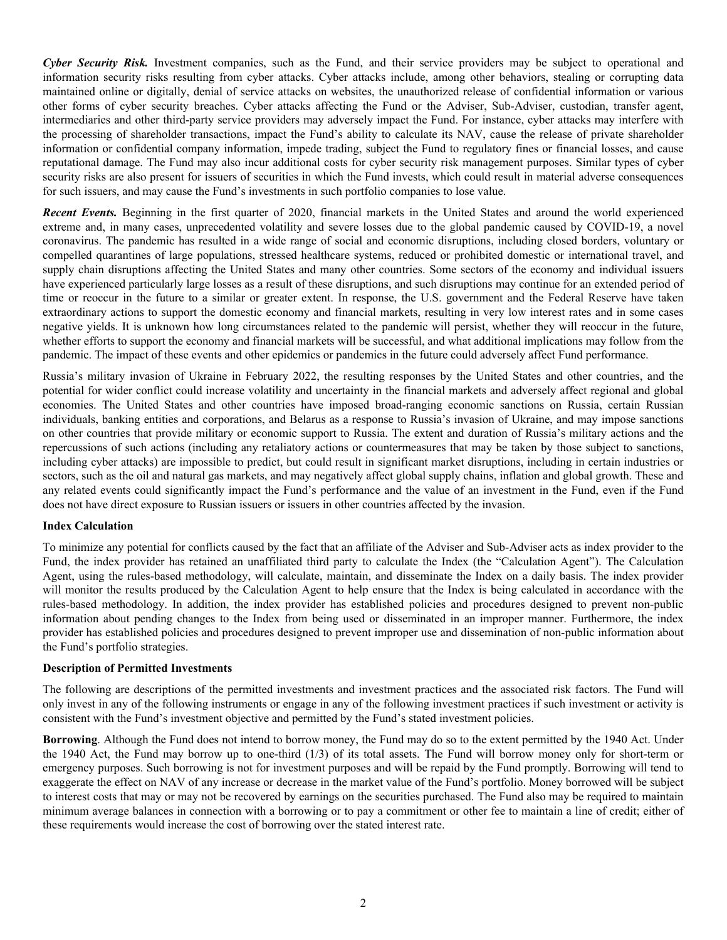*Cyber Security Risk.* Investment companies, such as the Fund, and their service providers may be subject to operational and information security risks resulting from cyber attacks. Cyber attacks include, among other behaviors, stealing or corrupting data maintained online or digitally, denial of service attacks on websites, the unauthorized release of confidential information or various other forms of cyber security breaches. Cyber attacks affecting the Fund or the Adviser, Sub-Adviser, custodian, transfer agent, intermediaries and other third-party service providers may adversely impact the Fund. For instance, cyber attacks may interfere with the processing of shareholder transactions, impact the Fund's ability to calculate its NAV, cause the release of private shareholder information or confidential company information, impede trading, subject the Fund to regulatory fines or financial losses, and cause reputational damage. The Fund may also incur additional costs for cyber security risk management purposes. Similar types of cyber security risks are also present for issuers of securities in which the Fund invests, which could result in material adverse consequences for such issuers, and may cause the Fund's investments in such portfolio companies to lose value.

*Recent Events.* Beginning in the first quarter of 2020, financial markets in the United States and around the world experienced extreme and, in many cases, unprecedented volatility and severe losses due to the global pandemic caused by COVID-19, a novel coronavirus. The pandemic has resulted in a wide range of social and economic disruptions, including closed borders, voluntary or compelled quarantines of large populations, stressed healthcare systems, reduced or prohibited domestic or international travel, and supply chain disruptions affecting the United States and many other countries. Some sectors of the economy and individual issuers have experienced particularly large losses as a result of these disruptions, and such disruptions may continue for an extended period of time or reoccur in the future to a similar or greater extent. In response, the U.S. government and the Federal Reserve have taken extraordinary actions to support the domestic economy and financial markets, resulting in very low interest rates and in some cases negative yields. It is unknown how long circumstances related to the pandemic will persist, whether they will reoccur in the future, whether efforts to support the economy and financial markets will be successful, and what additional implications may follow from the pandemic. The impact of these events and other epidemics or pandemics in the future could adversely affect Fund performance.

Russia's military invasion of Ukraine in February 2022, the resulting responses by the United States and other countries, and the potential for wider conflict could increase volatility and uncertainty in the financial markets and adversely affect regional and global economies. The United States and other countries have imposed broad-ranging economic sanctions on Russia, certain Russian individuals, banking entities and corporations, and Belarus as a response to Russia's invasion of Ukraine, and may impose sanctions on other countries that provide military or economic support to Russia. The extent and duration of Russia's military actions and the repercussions of such actions (including any retaliatory actions or countermeasures that may be taken by those subject to sanctions, including cyber attacks) are impossible to predict, but could result in significant market disruptions, including in certain industries or sectors, such as the oil and natural gas markets, and may negatively affect global supply chains, inflation and global growth. These and any related events could significantly impact the Fund's performance and the value of an investment in the Fund, even if the Fund does not have direct exposure to Russian issuers or issuers in other countries affected by the invasion.

# **Index Calculation**

To minimize any potential for conflicts caused by the fact that an affiliate of the Adviser and Sub-Adviser acts as index provider to the Fund, the index provider has retained an unaffiliated third party to calculate the Index (the "Calculation Agent"). The Calculation Agent, using the rules-based methodology, will calculate, maintain, and disseminate the Index on a daily basis. The index provider will monitor the results produced by the Calculation Agent to help ensure that the Index is being calculated in accordance with the rules-based methodology. In addition, the index provider has established policies and procedures designed to prevent non-public information about pending changes to the Index from being used or disseminated in an improper manner. Furthermore, the index provider has established policies and procedures designed to prevent improper use and dissemination of non-public information about the Fund's portfolio strategies.

#### **Description of Permitted Investments**

The following are descriptions of the permitted investments and investment practices and the associated risk factors. The Fund will only invest in any of the following instruments or engage in any of the following investment practices if such investment or activity is consistent with the Fund's investment objective and permitted by the Fund's stated investment policies.

**Borrowing**. Although the Fund does not intend to borrow money, the Fund may do so to the extent permitted by the 1940 Act. Under the 1940 Act, the Fund may borrow up to one-third (1/3) of its total assets. The Fund will borrow money only for short-term or emergency purposes. Such borrowing is not for investment purposes and will be repaid by the Fund promptly. Borrowing will tend to exaggerate the effect on NAV of any increase or decrease in the market value of the Fund's portfolio. Money borrowed will be subject to interest costs that may or may not be recovered by earnings on the securities purchased. The Fund also may be required to maintain minimum average balances in connection with a borrowing or to pay a commitment or other fee to maintain a line of credit; either of these requirements would increase the cost of borrowing over the stated interest rate.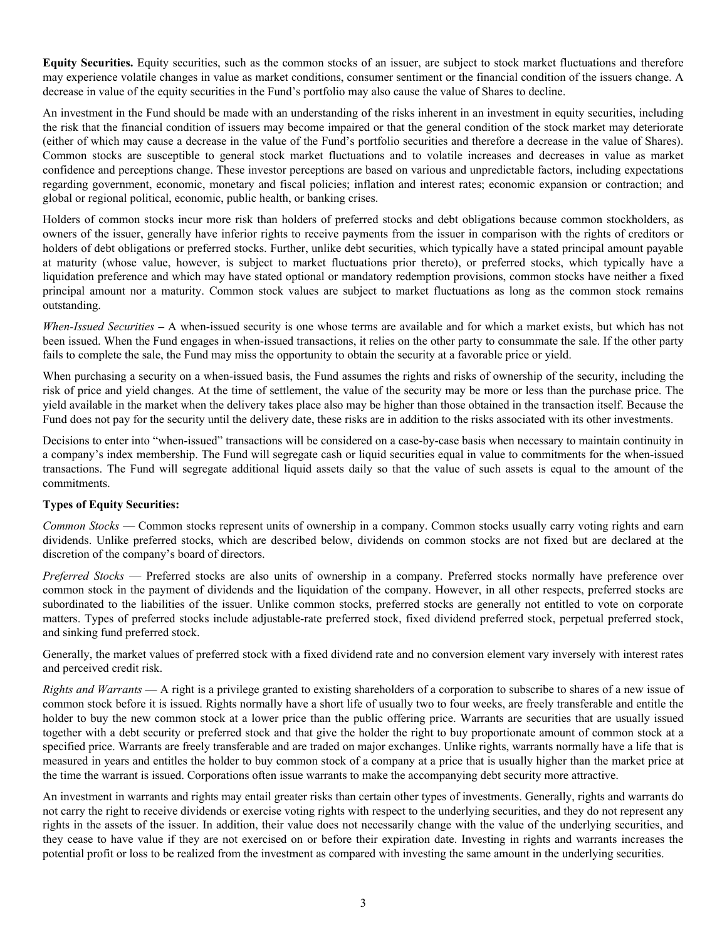**Equity Securities.** Equity securities, such as the common stocks of an issuer, are subject to stock market fluctuations and therefore may experience volatile changes in value as market conditions, consumer sentiment or the financial condition of the issuers change. A decrease in value of the equity securities in the Fund's portfolio may also cause the value of Shares to decline.

An investment in the Fund should be made with an understanding of the risks inherent in an investment in equity securities, including the risk that the financial condition of issuers may become impaired or that the general condition of the stock market may deteriorate (either of which may cause a decrease in the value of the Fund's portfolio securities and therefore a decrease in the value of Shares). Common stocks are susceptible to general stock market fluctuations and to volatile increases and decreases in value as market confidence and perceptions change. These investor perceptions are based on various and unpredictable factors, including expectations regarding government, economic, monetary and fiscal policies; inflation and interest rates; economic expansion or contraction; and global or regional political, economic, public health, or banking crises.

Holders of common stocks incur more risk than holders of preferred stocks and debt obligations because common stockholders, as owners of the issuer, generally have inferior rights to receive payments from the issuer in comparison with the rights of creditors or holders of debt obligations or preferred stocks. Further, unlike debt securities, which typically have a stated principal amount payable at maturity (whose value, however, is subject to market fluctuations prior thereto), or preferred stocks, which typically have a liquidation preference and which may have stated optional or mandatory redemption provisions, common stocks have neither a fixed principal amount nor a maturity. Common stock values are subject to market fluctuations as long as the common stock remains outstanding.

*When-Issued Securities* **–** A when-issued security is one whose terms are available and for which a market exists, but which has not been issued. When the Fund engages in when-issued transactions, it relies on the other party to consummate the sale. If the other party fails to complete the sale, the Fund may miss the opportunity to obtain the security at a favorable price or yield.

When purchasing a security on a when-issued basis, the Fund assumes the rights and risks of ownership of the security, including the risk of price and yield changes. At the time of settlement, the value of the security may be more or less than the purchase price. The yield available in the market when the delivery takes place also may be higher than those obtained in the transaction itself. Because the Fund does not pay for the security until the delivery date, these risks are in addition to the risks associated with its other investments.

Decisions to enter into "when-issued" transactions will be considered on a case-by-case basis when necessary to maintain continuity in a company's index membership. The Fund will segregate cash or liquid securities equal in value to commitments for the when-issued transactions. The Fund will segregate additional liquid assets daily so that the value of such assets is equal to the amount of the commitments.

# **Types of Equity Securities:**

*Common Stocks* — Common stocks represent units of ownership in a company. Common stocks usually carry voting rights and earn dividends. Unlike preferred stocks, which are described below, dividends on common stocks are not fixed but are declared at the discretion of the company's board of directors.

*Preferred Stocks* — Preferred stocks are also units of ownership in a company. Preferred stocks normally have preference over common stock in the payment of dividends and the liquidation of the company. However, in all other respects, preferred stocks are subordinated to the liabilities of the issuer. Unlike common stocks, preferred stocks are generally not entitled to vote on corporate matters. Types of preferred stocks include adjustable-rate preferred stock, fixed dividend preferred stock, perpetual preferred stock, and sinking fund preferred stock.

Generally, the market values of preferred stock with a fixed dividend rate and no conversion element vary inversely with interest rates and perceived credit risk.

*Rights and Warrants* — A right is a privilege granted to existing shareholders of a corporation to subscribe to shares of a new issue of common stock before it is issued. Rights normally have a short life of usually two to four weeks, are freely transferable and entitle the holder to buy the new common stock at a lower price than the public offering price. Warrants are securities that are usually issued together with a debt security or preferred stock and that give the holder the right to buy proportionate amount of common stock at a specified price. Warrants are freely transferable and are traded on major exchanges. Unlike rights, warrants normally have a life that is measured in years and entitles the holder to buy common stock of a company at a price that is usually higher than the market price at the time the warrant is issued. Corporations often issue warrants to make the accompanying debt security more attractive.

An investment in warrants and rights may entail greater risks than certain other types of investments. Generally, rights and warrants do not carry the right to receive dividends or exercise voting rights with respect to the underlying securities, and they do not represent any rights in the assets of the issuer. In addition, their value does not necessarily change with the value of the underlying securities, and they cease to have value if they are not exercised on or before their expiration date. Investing in rights and warrants increases the potential profit or loss to be realized from the investment as compared with investing the same amount in the underlying securities.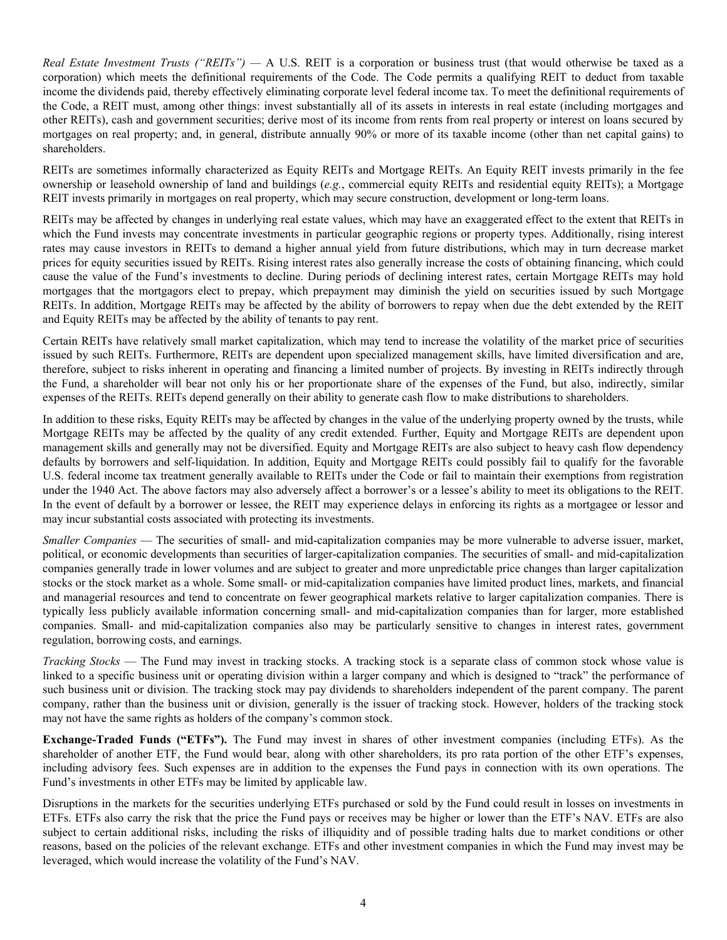*Real Estate Investment Trusts ("REITs") —* A U.S. REIT is a corporation or business trust (that would otherwise be taxed as a corporation) which meets the definitional requirements of the Code. The Code permits a qualifying REIT to deduct from taxable income the dividends paid, thereby effectively eliminating corporate level federal income tax. To meet the definitional requirements of the Code, a REIT must, among other things: invest substantially all of its assets in interests in real estate (including mortgages and other REITs), cash and government securities; derive most of its income from rents from real property or interest on loans secured by mortgages on real property; and, in general, distribute annually 90% or more of its taxable income (other than net capital gains) to shareholders.

REITs are sometimes informally characterized as Equity REITs and Mortgage REITs. An Equity REIT invests primarily in the fee ownership or leasehold ownership of land and buildings (*e.g.*, commercial equity REITs and residential equity REITs); a Mortgage REIT invests primarily in mortgages on real property, which may secure construction, development or long-term loans.

REITs may be affected by changes in underlying real estate values, which may have an exaggerated effect to the extent that REITs in which the Fund invests may concentrate investments in particular geographic regions or property types. Additionally, rising interest rates may cause investors in REITs to demand a higher annual yield from future distributions, which may in turn decrease market prices for equity securities issued by REITs. Rising interest rates also generally increase the costs of obtaining financing, which could cause the value of the Fund's investments to decline. During periods of declining interest rates, certain Mortgage REITs may hold mortgages that the mortgagors elect to prepay, which prepayment may diminish the yield on securities issued by such Mortgage REITs. In addition, Mortgage REITs may be affected by the ability of borrowers to repay when due the debt extended by the REIT and Equity REITs may be affected by the ability of tenants to pay rent.

Certain REITs have relatively small market capitalization, which may tend to increase the volatility of the market price of securities issued by such REITs. Furthermore, REITs are dependent upon specialized management skills, have limited diversification and are, therefore, subject to risks inherent in operating and financing a limited number of projects. By investing in REITs indirectly through the Fund, a shareholder will bear not only his or her proportionate share of the expenses of the Fund, but also, indirectly, similar expenses of the REITs. REITs depend generally on their ability to generate cash flow to make distributions to shareholders.

In addition to these risks, Equity REITs may be affected by changes in the value of the underlying property owned by the trusts, while Mortgage REITs may be affected by the quality of any credit extended. Further, Equity and Mortgage REITs are dependent upon management skills and generally may not be diversified. Equity and Mortgage REITs are also subject to heavy cash flow dependency defaults by borrowers and self-liquidation. In addition, Equity and Mortgage REITs could possibly fail to qualify for the favorable U.S. federal income tax treatment generally available to REITs under the Code or fail to maintain their exemptions from registration under the 1940 Act. The above factors may also adversely affect a borrower's or a lessee's ability to meet its obligations to the REIT. In the event of default by a borrower or lessee, the REIT may experience delays in enforcing its rights as a mortgagee or lessor and may incur substantial costs associated with protecting its investments.

*Smaller Companies* — The securities of small- and mid-capitalization companies may be more vulnerable to adverse issuer, market, political, or economic developments than securities of larger-capitalization companies. The securities of small- and mid-capitalization companies generally trade in lower volumes and are subject to greater and more unpredictable price changes than larger capitalization stocks or the stock market as a whole. Some small- or mid-capitalization companies have limited product lines, markets, and financial and managerial resources and tend to concentrate on fewer geographical markets relative to larger capitalization companies. There is typically less publicly available information concerning small- and mid-capitalization companies than for larger, more established companies. Small- and mid-capitalization companies also may be particularly sensitive to changes in interest rates, government regulation, borrowing costs, and earnings.

*Tracking Stocks* — The Fund may invest in tracking stocks. A tracking stock is a separate class of common stock whose value is linked to a specific business unit or operating division within a larger company and which is designed to "track" the performance of such business unit or division. The tracking stock may pay dividends to shareholders independent of the parent company. The parent company, rather than the business unit or division, generally is the issuer of tracking stock. However, holders of the tracking stock may not have the same rights as holders of the company's common stock.

**Exchange-Traded Funds ("ETFs").** The Fund may invest in shares of other investment companies (including ETFs). As the shareholder of another ETF, the Fund would bear, along with other shareholders, its pro rata portion of the other ETF's expenses, including advisory fees. Such expenses are in addition to the expenses the Fund pays in connection with its own operations. The Fund's investments in other ETFs may be limited by applicable law.

Disruptions in the markets for the securities underlying ETFs purchased or sold by the Fund could result in losses on investments in ETFs. ETFs also carry the risk that the price the Fund pays or receives may be higher or lower than the ETF's NAV. ETFs are also subject to certain additional risks, including the risks of illiquidity and of possible trading halts due to market conditions or other reasons, based on the policies of the relevant exchange. ETFs and other investment companies in which the Fund may invest may be leveraged, which would increase the volatility of the Fund's NAV.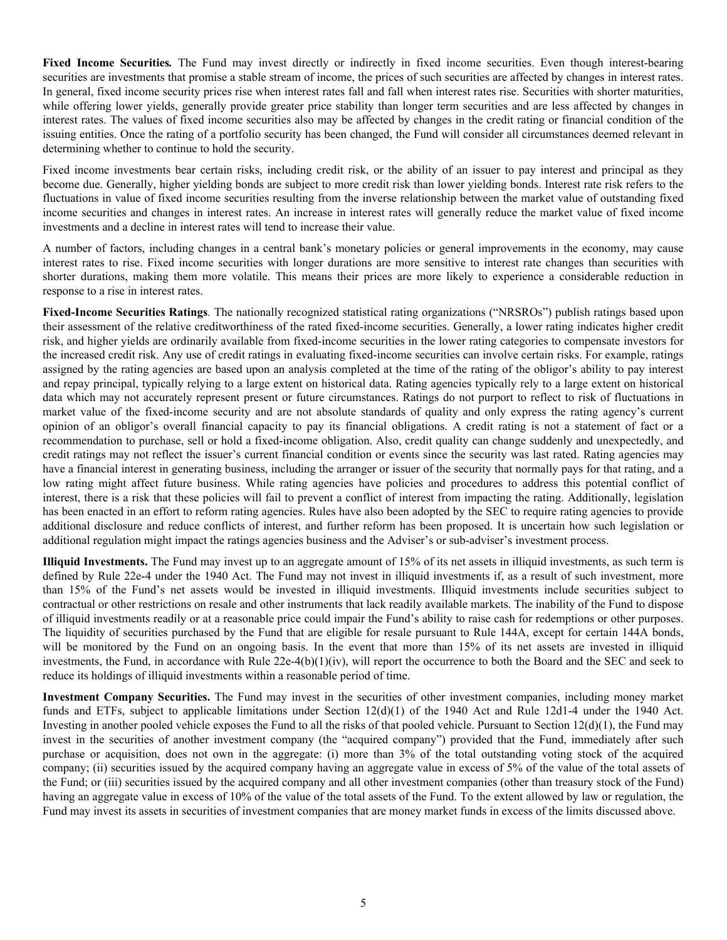**Fixed Income Securities***.* The Fund may invest directly or indirectly in fixed income securities. Even though interest-bearing securities are investments that promise a stable stream of income, the prices of such securities are affected by changes in interest rates. In general, fixed income security prices rise when interest rates fall and fall when interest rates rise. Securities with shorter maturities, while offering lower yields, generally provide greater price stability than longer term securities and are less affected by changes in interest rates. The values of fixed income securities also may be affected by changes in the credit rating or financial condition of the issuing entities. Once the rating of a portfolio security has been changed, the Fund will consider all circumstances deemed relevant in determining whether to continue to hold the security.

Fixed income investments bear certain risks, including credit risk, or the ability of an issuer to pay interest and principal as they become due. Generally, higher yielding bonds are subject to more credit risk than lower yielding bonds. Interest rate risk refers to the fluctuations in value of fixed income securities resulting from the inverse relationship between the market value of outstanding fixed income securities and changes in interest rates. An increase in interest rates will generally reduce the market value of fixed income investments and a decline in interest rates will tend to increase their value.

A number of factors, including changes in a central bank's monetary policies or general improvements in the economy, may cause interest rates to rise. Fixed income securities with longer durations are more sensitive to interest rate changes than securities with shorter durations, making them more volatile. This means their prices are more likely to experience a considerable reduction in response to a rise in interest rates.

**Fixed-Income Securities Ratings***.* The nationally recognized statistical rating organizations ("NRSROs") publish ratings based upon their assessment of the relative creditworthiness of the rated fixed-income securities. Generally, a lower rating indicates higher credit risk, and higher yields are ordinarily available from fixed-income securities in the lower rating categories to compensate investors for the increased credit risk. Any use of credit ratings in evaluating fixed-income securities can involve certain risks. For example, ratings assigned by the rating agencies are based upon an analysis completed at the time of the rating of the obligor's ability to pay interest and repay principal, typically relying to a large extent on historical data. Rating agencies typically rely to a large extent on historical data which may not accurately represent present or future circumstances. Ratings do not purport to reflect to risk of fluctuations in market value of the fixed-income security and are not absolute standards of quality and only express the rating agency's current opinion of an obligor's overall financial capacity to pay its financial obligations. A credit rating is not a statement of fact or a recommendation to purchase, sell or hold a fixed-income obligation. Also, credit quality can change suddenly and unexpectedly, and credit ratings may not reflect the issuer's current financial condition or events since the security was last rated. Rating agencies may have a financial interest in generating business, including the arranger or issuer of the security that normally pays for that rating, and a low rating might affect future business. While rating agencies have policies and procedures to address this potential conflict of interest, there is a risk that these policies will fail to prevent a conflict of interest from impacting the rating. Additionally, legislation has been enacted in an effort to reform rating agencies. Rules have also been adopted by the SEC to require rating agencies to provide additional disclosure and reduce conflicts of interest, and further reform has been proposed. It is uncertain how such legislation or additional regulation might impact the ratings agencies business and the Adviser's or sub-adviser's investment process.

**Illiquid Investments.** The Fund may invest up to an aggregate amount of 15% of its net assets in illiquid investments, as such term is defined by Rule 22e-4 under the 1940 Act. The Fund may not invest in illiquid investments if, as a result of such investment, more than 15% of the Fund's net assets would be invested in illiquid investments. Illiquid investments include securities subject to contractual or other restrictions on resale and other instruments that lack readily available markets. The inability of the Fund to dispose of illiquid investments readily or at a reasonable price could impair the Fund's ability to raise cash for redemptions or other purposes. The liquidity of securities purchased by the Fund that are eligible for resale pursuant to Rule 144A, except for certain 144A bonds, will be monitored by the Fund on an ongoing basis. In the event that more than 15% of its net assets are invested in illiquid investments, the Fund, in accordance with Rule  $22e-4(b)(1)(iv)$ , will report the occurrence to both the Board and the SEC and seek to reduce its holdings of illiquid investments within a reasonable period of time.

**Investment Company Securities.** The Fund may invest in the securities of other investment companies, including money market funds and ETFs, subject to applicable limitations under Section 12(d)(1) of the 1940 Act and Rule 12d1-4 under the 1940 Act. Investing in another pooled vehicle exposes the Fund to all the risks of that pooled vehicle. Pursuant to Section  $12(d)(1)$ , the Fund may invest in the securities of another investment company (the "acquired company") provided that the Fund, immediately after such purchase or acquisition, does not own in the aggregate: (i) more than 3% of the total outstanding voting stock of the acquired company; (ii) securities issued by the acquired company having an aggregate value in excess of 5% of the value of the total assets of the Fund; or (iii) securities issued by the acquired company and all other investment companies (other than treasury stock of the Fund) having an aggregate value in excess of 10% of the value of the total assets of the Fund. To the extent allowed by law or regulation, the Fund may invest its assets in securities of investment companies that are money market funds in excess of the limits discussed above.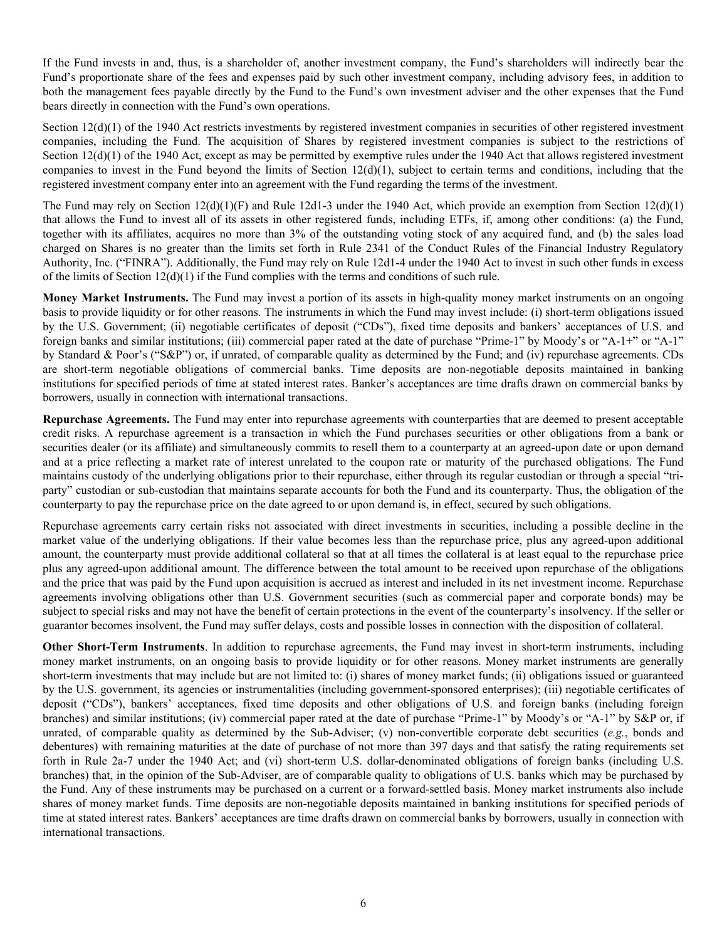If the Fund invests in and, thus, is a shareholder of, another investment company, the Fund's shareholders will indirectly bear the Fund's proportionate share of the fees and expenses paid by such other investment company, including advisory fees, in addition to both the management fees payable directly by the Fund to the Fund's own investment adviser and the other expenses that the Fund bears directly in connection with the Fund's own operations.

Section 12(d)(1) of the 1940 Act restricts investments by registered investment companies in securities of other registered investment companies, including the Fund. The acquisition of Shares by registered investment companies is subject to the restrictions of Section 12(d)(1) of the 1940 Act, except as may be permitted by exemptive rules under the 1940 Act that allows registered investment companies to invest in the Fund beyond the limits of Section 12(d)(1), subject to certain terms and conditions, including that the registered investment company enter into an agreement with the Fund regarding the terms of the investment.

The Fund may rely on Section  $12(d)(1)(F)$  and Rule 12d1-3 under the 1940 Act, which provide an exemption from Section  $12(d)(1)$ that allows the Fund to invest all of its assets in other registered funds, including ETFs, if, among other conditions: (a) the Fund, together with its affiliates, acquires no more than 3% of the outstanding voting stock of any acquired fund, and (b) the sales load charged on Shares is no greater than the limits set forth in Rule 2341 of the Conduct Rules of the Financial Industry Regulatory Authority, Inc. ("FINRA"). Additionally, the Fund may rely on Rule 12d1-4 under the 1940 Act to invest in such other funds in excess of the limits of Section  $12(d)(1)$  if the Fund complies with the terms and conditions of such rule.

**Money Market Instruments.** The Fund may invest a portion of its assets in high-quality money market instruments on an ongoing basis to provide liquidity or for other reasons. The instruments in which the Fund may invest include: (i) short-term obligations issued by the U.S. Government; (ii) negotiable certificates of deposit ("CDs"), fixed time deposits and bankers' acceptances of U.S. and foreign banks and similar institutions; (iii) commercial paper rated at the date of purchase "Prime-1" by Moody's or "A-1+" or "A-1" by Standard & Poor's ("S&P") or, if unrated, of comparable quality as determined by the Fund; and (iv) repurchase agreements. CDs are short-term negotiable obligations of commercial banks. Time deposits are non-negotiable deposits maintained in banking institutions for specified periods of time at stated interest rates. Banker's acceptances are time drafts drawn on commercial banks by borrowers, usually in connection with international transactions.

**Repurchase Agreements.** The Fund may enter into repurchase agreements with counterparties that are deemed to present acceptable credit risks. A repurchase agreement is a transaction in which the Fund purchases securities or other obligations from a bank or securities dealer (or its affiliate) and simultaneously commits to resell them to a counterparty at an agreed-upon date or upon demand and at a price reflecting a market rate of interest unrelated to the coupon rate or maturity of the purchased obligations. The Fund maintains custody of the underlying obligations prior to their repurchase, either through its regular custodian or through a special "triparty" custodian or sub-custodian that maintains separate accounts for both the Fund and its counterparty. Thus, the obligation of the counterparty to pay the repurchase price on the date agreed to or upon demand is, in effect, secured by such obligations.

Repurchase agreements carry certain risks not associated with direct investments in securities, including a possible decline in the market value of the underlying obligations. If their value becomes less than the repurchase price, plus any agreed-upon additional amount, the counterparty must provide additional collateral so that at all times the collateral is at least equal to the repurchase price plus any agreed-upon additional amount. The difference between the total amount to be received upon repurchase of the obligations and the price that was paid by the Fund upon acquisition is accrued as interest and included in its net investment income. Repurchase agreements involving obligations other than U.S. Government securities (such as commercial paper and corporate bonds) may be subject to special risks and may not have the benefit of certain protections in the event of the counterparty's insolvency. If the seller or guarantor becomes insolvent, the Fund may suffer delays, costs and possible losses in connection with the disposition of collateral.

**Other Short-Term Instruments**. In addition to repurchase agreements, the Fund may invest in short-term instruments, including money market instruments, on an ongoing basis to provide liquidity or for other reasons. Money market instruments are generally short-term investments that may include but are not limited to: (i) shares of money market funds; (ii) obligations issued or guaranteed by the U.S. government, its agencies or instrumentalities (including government-sponsored enterprises); (iii) negotiable certificates of deposit ("CDs"), bankers' acceptances, fixed time deposits and other obligations of U.S. and foreign banks (including foreign branches) and similar institutions; (iv) commercial paper rated at the date of purchase "Prime-1" by Moody's or "A-1" by S&P or, if unrated, of comparable quality as determined by the Sub-Adviser; (v) non-convertible corporate debt securities (*e.g.*, bonds and debentures) with remaining maturities at the date of purchase of not more than 397 days and that satisfy the rating requirements set forth in Rule 2a-7 under the 1940 Act; and (vi) short-term U.S. dollar-denominated obligations of foreign banks (including U.S. branches) that, in the opinion of the Sub-Adviser, are of comparable quality to obligations of U.S. banks which may be purchased by the Fund. Any of these instruments may be purchased on a current or a forward-settled basis. Money market instruments also include shares of money market funds. Time deposits are non-negotiable deposits maintained in banking institutions for specified periods of time at stated interest rates. Bankers' acceptances are time drafts drawn on commercial banks by borrowers, usually in connection with international transactions.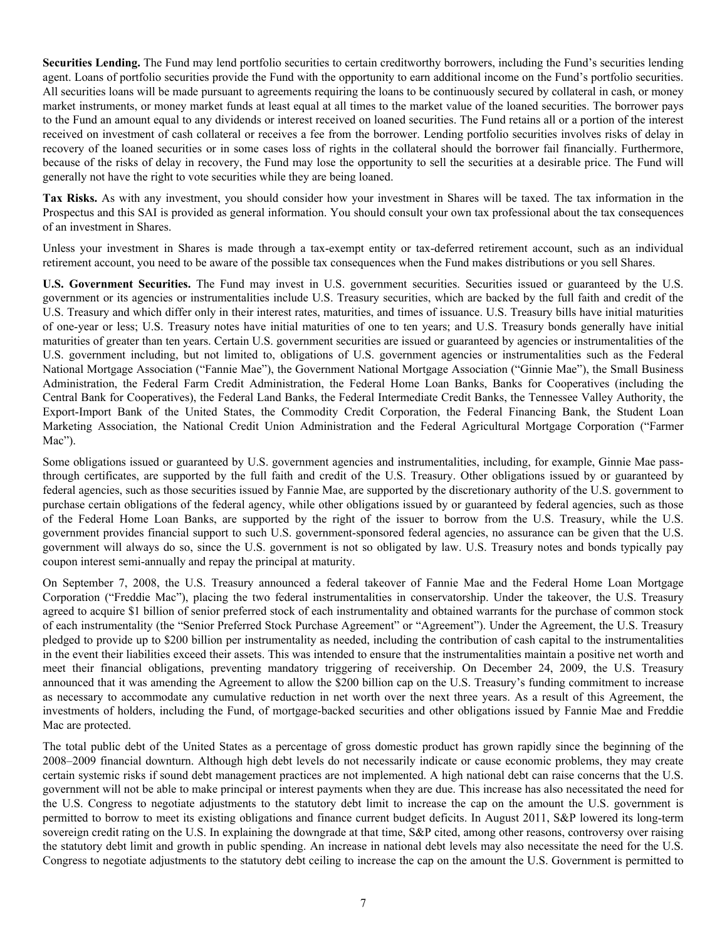**Securities Lending.** The Fund may lend portfolio securities to certain creditworthy borrowers, including the Fund's securities lending agent. Loans of portfolio securities provide the Fund with the opportunity to earn additional income on the Fund's portfolio securities. All securities loans will be made pursuant to agreements requiring the loans to be continuously secured by collateral in cash, or money market instruments, or money market funds at least equal at all times to the market value of the loaned securities. The borrower pays to the Fund an amount equal to any dividends or interest received on loaned securities. The Fund retains all or a portion of the interest received on investment of cash collateral or receives a fee from the borrower. Lending portfolio securities involves risks of delay in recovery of the loaned securities or in some cases loss of rights in the collateral should the borrower fail financially. Furthermore, because of the risks of delay in recovery, the Fund may lose the opportunity to sell the securities at a desirable price. The Fund will generally not have the right to vote securities while they are being loaned.

**Tax Risks.** As with any investment, you should consider how your investment in Shares will be taxed. The tax information in the Prospectus and this SAI is provided as general information. You should consult your own tax professional about the tax consequences of an investment in Shares.

Unless your investment in Shares is made through a tax-exempt entity or tax-deferred retirement account, such as an individual retirement account, you need to be aware of the possible tax consequences when the Fund makes distributions or you sell Shares.

**U.S. Government Securities.** The Fund may invest in U.S. government securities. Securities issued or guaranteed by the U.S. government or its agencies or instrumentalities include U.S. Treasury securities, which are backed by the full faith and credit of the U.S. Treasury and which differ only in their interest rates, maturities, and times of issuance. U.S. Treasury bills have initial maturities of one-year or less; U.S. Treasury notes have initial maturities of one to ten years; and U.S. Treasury bonds generally have initial maturities of greater than ten years. Certain U.S. government securities are issued or guaranteed by agencies or instrumentalities of the U.S. government including, but not limited to, obligations of U.S. government agencies or instrumentalities such as the Federal National Mortgage Association ("Fannie Mae"), the Government National Mortgage Association ("Ginnie Mae"), the Small Business Administration, the Federal Farm Credit Administration, the Federal Home Loan Banks, Banks for Cooperatives (including the Central Bank for Cooperatives), the Federal Land Banks, the Federal Intermediate Credit Banks, the Tennessee Valley Authority, the Export-Import Bank of the United States, the Commodity Credit Corporation, the Federal Financing Bank, the Student Loan Marketing Association, the National Credit Union Administration and the Federal Agricultural Mortgage Corporation ("Farmer Mac").

Some obligations issued or guaranteed by U.S. government agencies and instrumentalities, including, for example, Ginnie Mae passthrough certificates, are supported by the full faith and credit of the U.S. Treasury. Other obligations issued by or guaranteed by federal agencies, such as those securities issued by Fannie Mae, are supported by the discretionary authority of the U.S. government to purchase certain obligations of the federal agency, while other obligations issued by or guaranteed by federal agencies, such as those of the Federal Home Loan Banks, are supported by the right of the issuer to borrow from the U.S. Treasury, while the U.S. government provides financial support to such U.S. government-sponsored federal agencies, no assurance can be given that the U.S. government will always do so, since the U.S. government is not so obligated by law. U.S. Treasury notes and bonds typically pay coupon interest semi-annually and repay the principal at maturity.

On September 7, 2008, the U.S. Treasury announced a federal takeover of Fannie Mae and the Federal Home Loan Mortgage Corporation ("Freddie Mac"), placing the two federal instrumentalities in conservatorship. Under the takeover, the U.S. Treasury agreed to acquire \$1 billion of senior preferred stock of each instrumentality and obtained warrants for the purchase of common stock of each instrumentality (the "Senior Preferred Stock Purchase Agreement" or "Agreement"). Under the Agreement, the U.S. Treasury pledged to provide up to \$200 billion per instrumentality as needed, including the contribution of cash capital to the instrumentalities in the event their liabilities exceed their assets. This was intended to ensure that the instrumentalities maintain a positive net worth and meet their financial obligations, preventing mandatory triggering of receivership. On December 24, 2009, the U.S. Treasury announced that it was amending the Agreement to allow the \$200 billion cap on the U.S. Treasury's funding commitment to increase as necessary to accommodate any cumulative reduction in net worth over the next three years. As a result of this Agreement, the investments of holders, including the Fund, of mortgage-backed securities and other obligations issued by Fannie Mae and Freddie Mac are protected.

The total public debt of the United States as a percentage of gross domestic product has grown rapidly since the beginning of the 2008–2009 financial downturn. Although high debt levels do not necessarily indicate or cause economic problems, they may create certain systemic risks if sound debt management practices are not implemented. A high national debt can raise concerns that the U.S. government will not be able to make principal or interest payments when they are due. This increase has also necessitated the need for the U.S. Congress to negotiate adjustments to the statutory debt limit to increase the cap on the amount the U.S. government is permitted to borrow to meet its existing obligations and finance current budget deficits. In August 2011, S&P lowered its long-term sovereign credit rating on the U.S. In explaining the downgrade at that time, S&P cited, among other reasons, controversy over raising the statutory debt limit and growth in public spending. An increase in national debt levels may also necessitate the need for the U.S. Congress to negotiate adjustments to the statutory debt ceiling to increase the cap on the amount the U.S. Government is permitted to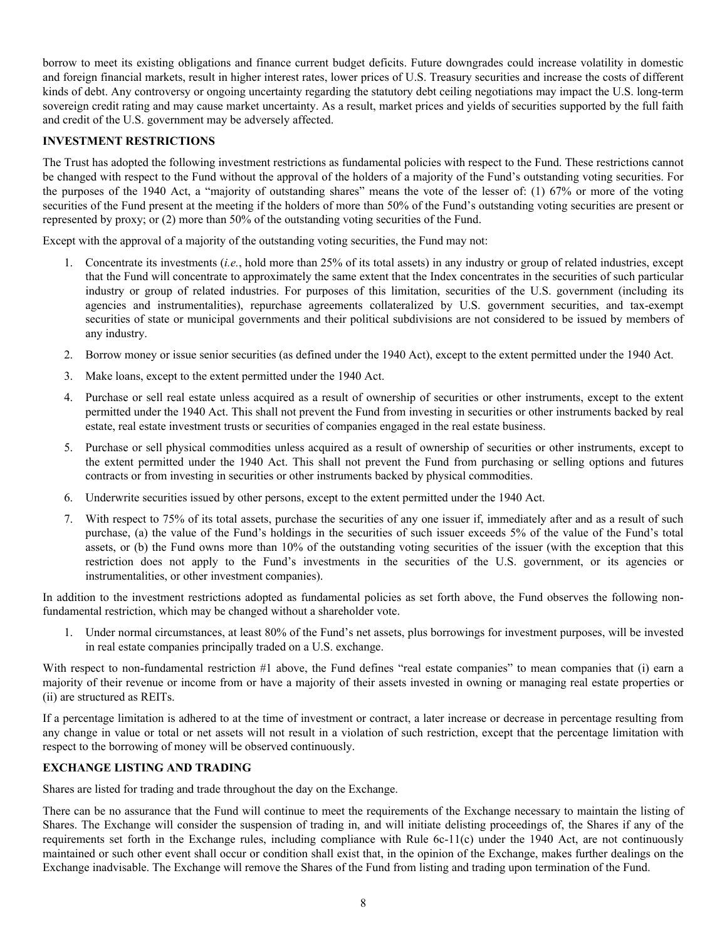<span id="page-8-0"></span>borrow to meet its existing obligations and finance current budget deficits. Future downgrades could increase volatility in domestic and foreign financial markets, result in higher interest rates, lower prices of U.S. Treasury securities and increase the costs of different kinds of debt. Any controversy or ongoing uncertainty regarding the statutory debt ceiling negotiations may impact the U.S. long-term sovereign credit rating and may cause market uncertainty. As a result, market prices and yields of securities supported by the full faith and credit of the U.S. government may be adversely affected.

# **INVESTMENT RESTRICTIONS**

The Trust has adopted the following investment restrictions as fundamental policies with respect to the Fund. These restrictions cannot be changed with respect to the Fund without the approval of the holders of a majority of the Fund's outstanding voting securities. For the purposes of the 1940 Act, a "majority of outstanding shares" means the vote of the lesser of: (1) 67% or more of the voting securities of the Fund present at the meeting if the holders of more than 50% of the Fund's outstanding voting securities are present or represented by proxy; or (2) more than 50% of the outstanding voting securities of the Fund.

Except with the approval of a majority of the outstanding voting securities, the Fund may not:

- 1. Concentrate its investments (*i.e.*, hold more than 25% of its total assets) in any industry or group of related industries, except that the Fund will concentrate to approximately the same extent that the Index concentrates in the securities of such particular industry or group of related industries. For purposes of this limitation, securities of the U.S. government (including its agencies and instrumentalities), repurchase agreements collateralized by U.S. government securities, and tax-exempt securities of state or municipal governments and their political subdivisions are not considered to be issued by members of any industry.
- 2. Borrow money or issue senior securities (as defined under the 1940 Act), except to the extent permitted under the 1940 Act.
- 3. Make loans, except to the extent permitted under the 1940 Act.
- 4. Purchase or sell real estate unless acquired as a result of ownership of securities or other instruments, except to the extent permitted under the 1940 Act. This shall not prevent the Fund from investing in securities or other instruments backed by real estate, real estate investment trusts or securities of companies engaged in the real estate business.
- 5. Purchase or sell physical commodities unless acquired as a result of ownership of securities or other instruments, except to the extent permitted under the 1940 Act. This shall not prevent the Fund from purchasing or selling options and futures contracts or from investing in securities or other instruments backed by physical commodities.
- 6. Underwrite securities issued by other persons, except to the extent permitted under the 1940 Act.
- 7. With respect to 75% of its total assets, purchase the securities of any one issuer if, immediately after and as a result of such purchase, (a) the value of the Fund's holdings in the securities of such issuer exceeds 5% of the value of the Fund's total assets, or (b) the Fund owns more than 10% of the outstanding voting securities of the issuer (with the exception that this restriction does not apply to the Fund's investments in the securities of the U.S. government, or its agencies or instrumentalities, or other investment companies).

In addition to the investment restrictions adopted as fundamental policies as set forth above, the Fund observes the following nonfundamental restriction, which may be changed without a shareholder vote.

1. Under normal circumstances, at least 80% of the Fund's net assets, plus borrowings for investment purposes, will be invested in real estate companies principally traded on a U.S. exchange.

With respect to non-fundamental restriction #1 above, the Fund defines "real estate companies" to mean companies that (i) earn a majority of their revenue or income from or have a majority of their assets invested in owning or managing real estate properties or (ii) are structured as REITs.

If a percentage limitation is adhered to at the time of investment or contract, a later increase or decrease in percentage resulting from any change in value or total or net assets will not result in a violation of such restriction, except that the percentage limitation with respect to the borrowing of money will be observed continuously.

# **EXCHANGE LISTING AND TRADING**

Shares are listed for trading and trade throughout the day on the Exchange.

There can be no assurance that the Fund will continue to meet the requirements of the Exchange necessary to maintain the listing of Shares. The Exchange will consider the suspension of trading in, and will initiate delisting proceedings of, the Shares if any of the requirements set forth in the Exchange rules, including compliance with Rule 6c-11(c) under the 1940 Act, are not continuously maintained or such other event shall occur or condition shall exist that, in the opinion of the Exchange, makes further dealings on the Exchange inadvisable. The Exchange will remove the Shares of the Fund from listing and trading upon termination of the Fund.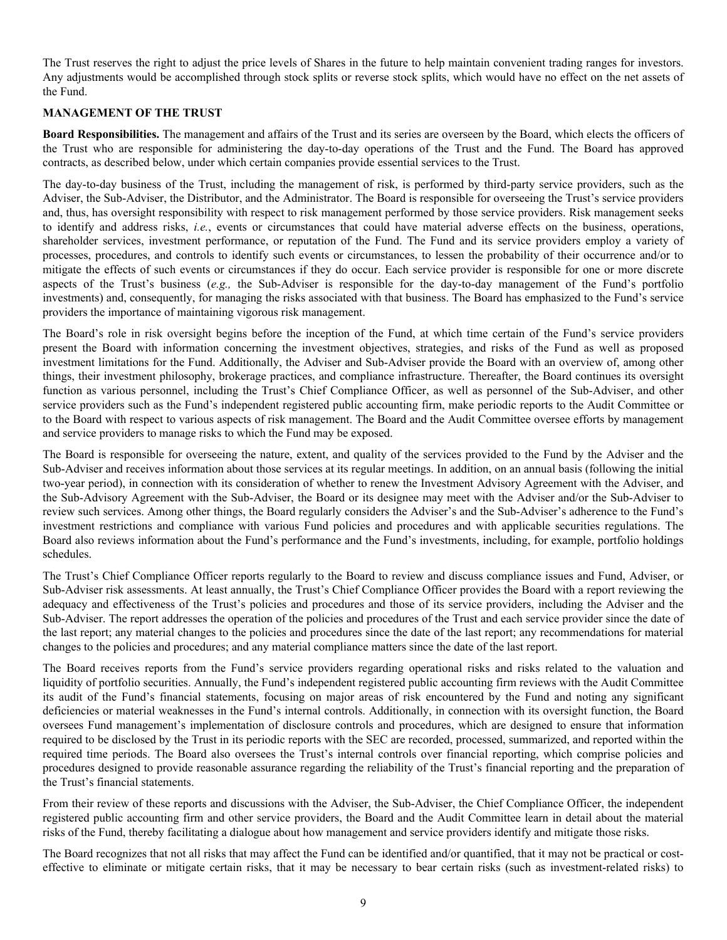<span id="page-9-0"></span>The Trust reserves the right to adjust the price levels of Shares in the future to help maintain convenient trading ranges for investors. Any adjustments would be accomplished through stock splits or reverse stock splits, which would have no effect on the net assets of the Fund.

## **MANAGEMENT OF THE TRUST**

**Board Responsibilities.** The management and affairs of the Trust and its series are overseen by the Board, which elects the officers of the Trust who are responsible for administering the day-to-day operations of the Trust and the Fund. The Board has approved contracts, as described below, under which certain companies provide essential services to the Trust.

The day-to-day business of the Trust, including the management of risk, is performed by third-party service providers, such as the Adviser, the Sub-Adviser, the Distributor, and the Administrator. The Board is responsible for overseeing the Trust's service providers and, thus, has oversight responsibility with respect to risk management performed by those service providers. Risk management seeks to identify and address risks, *i.e.*, events or circumstances that could have material adverse effects on the business, operations, shareholder services, investment performance, or reputation of the Fund. The Fund and its service providers employ a variety of processes, procedures, and controls to identify such events or circumstances, to lessen the probability of their occurrence and/or to mitigate the effects of such events or circumstances if they do occur. Each service provider is responsible for one or more discrete aspects of the Trust's business (*e.g.,* the Sub-Adviser is responsible for the day-to-day management of the Fund's portfolio investments) and, consequently, for managing the risks associated with that business. The Board has emphasized to the Fund's service providers the importance of maintaining vigorous risk management.

The Board's role in risk oversight begins before the inception of the Fund, at which time certain of the Fund's service providers present the Board with information concerning the investment objectives, strategies, and risks of the Fund as well as proposed investment limitations for the Fund. Additionally, the Adviser and Sub-Adviser provide the Board with an overview of, among other things, their investment philosophy, brokerage practices, and compliance infrastructure. Thereafter, the Board continues its oversight function as various personnel, including the Trust's Chief Compliance Officer, as well as personnel of the Sub-Adviser, and other service providers such as the Fund's independent registered public accounting firm, make periodic reports to the Audit Committee or to the Board with respect to various aspects of risk management. The Board and the Audit Committee oversee efforts by management and service providers to manage risks to which the Fund may be exposed.

The Board is responsible for overseeing the nature, extent, and quality of the services provided to the Fund by the Adviser and the Sub-Adviser and receives information about those services at its regular meetings. In addition, on an annual basis (following the initial two-year period), in connection with its consideration of whether to renew the Investment Advisory Agreement with the Adviser, and the Sub-Advisory Agreement with the Sub-Adviser, the Board or its designee may meet with the Adviser and/or the Sub-Adviser to review such services. Among other things, the Board regularly considers the Adviser's and the Sub-Adviser's adherence to the Fund's investment restrictions and compliance with various Fund policies and procedures and with applicable securities regulations. The Board also reviews information about the Fund's performance and the Fund's investments, including, for example, portfolio holdings schedules.

The Trust's Chief Compliance Officer reports regularly to the Board to review and discuss compliance issues and Fund, Adviser, or Sub-Adviser risk assessments. At least annually, the Trust's Chief Compliance Officer provides the Board with a report reviewing the adequacy and effectiveness of the Trust's policies and procedures and those of its service providers, including the Adviser and the Sub-Adviser. The report addresses the operation of the policies and procedures of the Trust and each service provider since the date of the last report; any material changes to the policies and procedures since the date of the last report; any recommendations for material changes to the policies and procedures; and any material compliance matters since the date of the last report.

The Board receives reports from the Fund's service providers regarding operational risks and risks related to the valuation and liquidity of portfolio securities. Annually, the Fund's independent registered public accounting firm reviews with the Audit Committee its audit of the Fund's financial statements, focusing on major areas of risk encountered by the Fund and noting any significant deficiencies or material weaknesses in the Fund's internal controls. Additionally, in connection with its oversight function, the Board oversees Fund management's implementation of disclosure controls and procedures, which are designed to ensure that information required to be disclosed by the Trust in its periodic reports with the SEC are recorded, processed, summarized, and reported within the required time periods. The Board also oversees the Trust's internal controls over financial reporting, which comprise policies and procedures designed to provide reasonable assurance regarding the reliability of the Trust's financial reporting and the preparation of the Trust's financial statements.

From their review of these reports and discussions with the Adviser, the Sub-Adviser, the Chief Compliance Officer, the independent registered public accounting firm and other service providers, the Board and the Audit Committee learn in detail about the material risks of the Fund, thereby facilitating a dialogue about how management and service providers identify and mitigate those risks.

The Board recognizes that not all risks that may affect the Fund can be identified and/or quantified, that it may not be practical or costeffective to eliminate or mitigate certain risks, that it may be necessary to bear certain risks (such as investment-related risks) to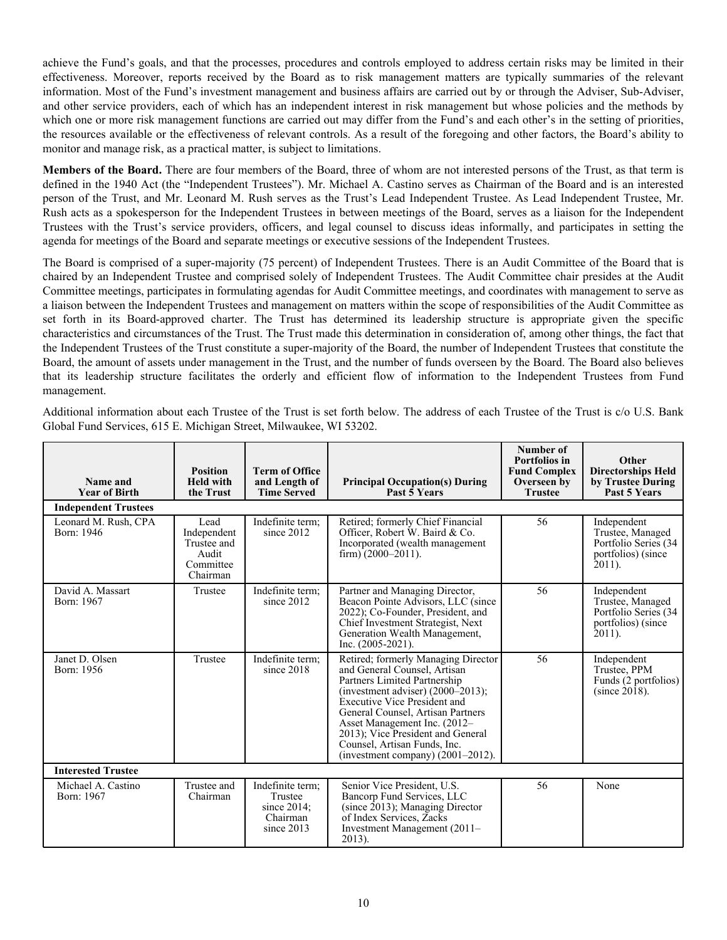achieve the Fund's goals, and that the processes, procedures and controls employed to address certain risks may be limited in their effectiveness. Moreover, reports received by the Board as to risk management matters are typically summaries of the relevant information. Most of the Fund's investment management and business affairs are carried out by or through the Adviser, Sub-Adviser, and other service providers, each of which has an independent interest in risk management but whose policies and the methods by which one or more risk management functions are carried out may differ from the Fund's and each other's in the setting of priorities, the resources available or the effectiveness of relevant controls. As a result of the foregoing and other factors, the Board's ability to monitor and manage risk, as a practical matter, is subject to limitations.

**Members of the Board.** There are four members of the Board, three of whom are not interested persons of the Trust, as that term is defined in the 1940 Act (the "Independent Trustees"). Mr. Michael A. Castino serves as Chairman of the Board and is an interested person of the Trust, and Mr. Leonard M. Rush serves as the Trust's Lead Independent Trustee. As Lead Independent Trustee, Mr. Rush acts as a spokesperson for the Independent Trustees in between meetings of the Board, serves as a liaison for the Independent Trustees with the Trust's service providers, officers, and legal counsel to discuss ideas informally, and participates in setting the agenda for meetings of the Board and separate meetings or executive sessions of the Independent Trustees.

The Board is comprised of a super-majority (75 percent) of Independent Trustees. There is an Audit Committee of the Board that is chaired by an Independent Trustee and comprised solely of Independent Trustees. The Audit Committee chair presides at the Audit Committee meetings, participates in formulating agendas for Audit Committee meetings, and coordinates with management to serve as a liaison between the Independent Trustees and management on matters within the scope of responsibilities of the Audit Committee as set forth in its Board-approved charter. The Trust has determined its leadership structure is appropriate given the specific characteristics and circumstances of the Trust. The Trust made this determination in consideration of, among other things, the fact that the Independent Trustees of the Trust constitute a super-majority of the Board, the number of Independent Trustees that constitute the Board, the amount of assets under management in the Trust, and the number of funds overseen by the Board. The Board also believes that its leadership structure facilitates the orderly and efficient flow of information to the Independent Trustees from Fund management.

Additional information about each Trustee of the Trust is set forth below. The address of each Trustee of the Trust is c/o U.S. Bank Global Fund Services, 615 E. Michigan Street, Milwaukee, WI 53202.

| Name and<br><b>Year of Birth</b>   | <b>Position</b><br><b>Held with</b><br>the Trust                     | <b>Term of Office</b><br>and Length of<br><b>Time Served</b>              | <b>Principal Occupation(s) During</b><br>Past 5 Years                                                                                                                                                                                                                                                                                                                | Number of<br><b>Portfolios</b> in<br><b>Fund Complex</b><br>Overseen by<br><b>Trustee</b> | Other<br><b>Directorships Held</b><br>by Trustee During<br>Past 5 Years                    |
|------------------------------------|----------------------------------------------------------------------|---------------------------------------------------------------------------|----------------------------------------------------------------------------------------------------------------------------------------------------------------------------------------------------------------------------------------------------------------------------------------------------------------------------------------------------------------------|-------------------------------------------------------------------------------------------|--------------------------------------------------------------------------------------------|
| <b>Independent Trustees</b>        |                                                                      |                                                                           |                                                                                                                                                                                                                                                                                                                                                                      |                                                                                           |                                                                                            |
| Leonard M. Rush, CPA<br>Born: 1946 | Lead<br>Independent<br>Trustee and<br>Audit<br>Committee<br>Chairman | Indefinite term:<br>since 2012                                            | Retired; formerly Chief Financial<br>Officer, Robert W. Baird & Co.<br>Incorporated (wealth management<br>firm) $(2000-2011)$ .                                                                                                                                                                                                                                      | 56                                                                                        | Independent<br>Trustee, Managed<br>Portfolio Series (34<br>portfolios) (since<br>$2011$ ). |
| David A. Massart<br>Born: 1967     | Trustee                                                              | Indefinite term;<br>since $2012$                                          | Partner and Managing Director,<br>Beacon Pointe Advisors, LLC (since<br>2022); Co-Founder, President, and<br>Chief Investment Strategist, Next<br>Generation Wealth Management,<br>Inc. $(2005-2021)$ .                                                                                                                                                              | 56                                                                                        | Independent<br>Trustee, Managed<br>Portfolio Series (34<br>portfolios) (since<br>$2011$ ). |
| Janet D. Olsen<br>Born: 1956       | Trustee                                                              | Indefinite term:<br>since 2018                                            | Retired; formerly Managing Director<br>and General Counsel, Artisan<br>Partners Limited Partnership<br>(investment adviser) $(2000-2013)$ ;<br><b>Executive Vice President and</b><br>General Counsel, Artisan Partners<br>Asset Management Inc. (2012–<br>2013); Vice President and General<br>Counsel, Artisan Funds, Inc.<br>(investment company) $(2001-2012)$ . | 56                                                                                        | Independent<br>Trustee, PPM<br>Funds (2 portfolios)<br>(since $20\overline{1}8$ ).         |
| <b>Interested Trustee</b>          |                                                                      |                                                                           |                                                                                                                                                                                                                                                                                                                                                                      |                                                                                           |                                                                                            |
| Michael A. Castino<br>Born: 1967   | Trustee and<br>Chairman                                              | Indefinite term:<br>Trustee<br>since $2014$ ;<br>Chairman<br>since $2013$ | Senior Vice President, U.S.<br>Bancorp Fund Services, LLC<br>$(since 2013)$ ; Managing Director<br>of Index Services, Zacks<br>Investment Management (2011–<br>2013).                                                                                                                                                                                                | 56                                                                                        | None                                                                                       |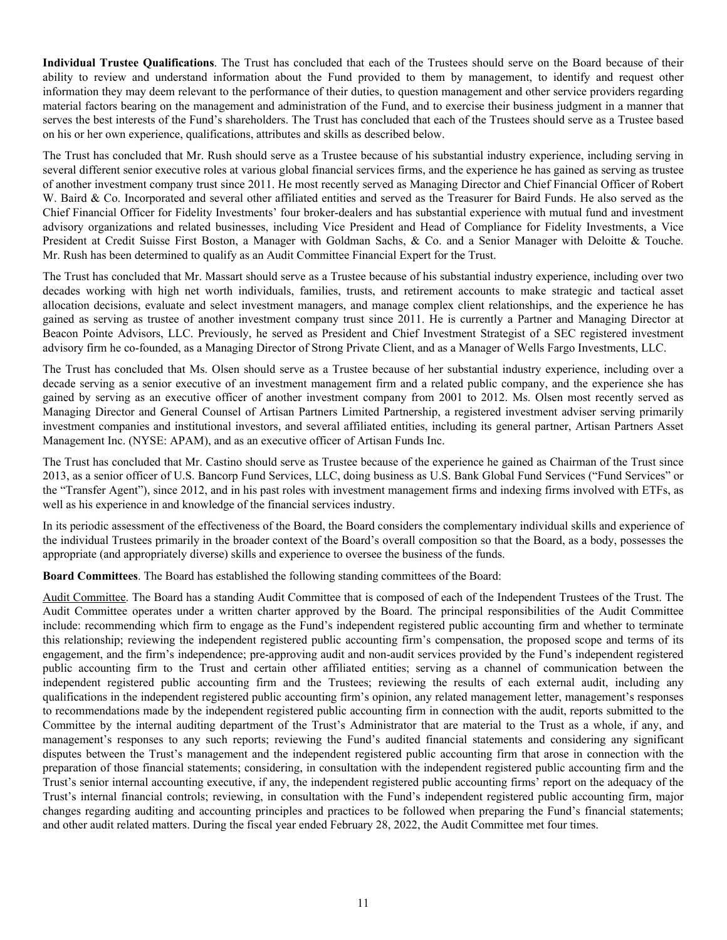**Individual Trustee Qualifications**. The Trust has concluded that each of the Trustees should serve on the Board because of their ability to review and understand information about the Fund provided to them by management, to identify and request other information they may deem relevant to the performance of their duties, to question management and other service providers regarding material factors bearing on the management and administration of the Fund, and to exercise their business judgment in a manner that serves the best interests of the Fund's shareholders. The Trust has concluded that each of the Trustees should serve as a Trustee based on his or her own experience, qualifications, attributes and skills as described below.

The Trust has concluded that Mr. Rush should serve as a Trustee because of his substantial industry experience, including serving in several different senior executive roles at various global financial services firms, and the experience he has gained as serving as trustee of another investment company trust since 2011. He most recently served as Managing Director and Chief Financial Officer of Robert W. Baird & Co. Incorporated and several other affiliated entities and served as the Treasurer for Baird Funds. He also served as the Chief Financial Officer for Fidelity Investments' four broker-dealers and has substantial experience with mutual fund and investment advisory organizations and related businesses, including Vice President and Head of Compliance for Fidelity Investments, a Vice President at Credit Suisse First Boston, a Manager with Goldman Sachs, & Co. and a Senior Manager with Deloitte & Touche. Mr. Rush has been determined to qualify as an Audit Committee Financial Expert for the Trust.

The Trust has concluded that Mr. Massart should serve as a Trustee because of his substantial industry experience, including over two decades working with high net worth individuals, families, trusts, and retirement accounts to make strategic and tactical asset allocation decisions, evaluate and select investment managers, and manage complex client relationships, and the experience he has gained as serving as trustee of another investment company trust since 2011. He is currently a Partner and Managing Director at Beacon Pointe Advisors, LLC. Previously, he served as President and Chief Investment Strategist of a SEC registered investment advisory firm he co-founded, as a Managing Director of Strong Private Client, and as a Manager of Wells Fargo Investments, LLC.

The Trust has concluded that Ms. Olsen should serve as a Trustee because of her substantial industry experience, including over a decade serving as a senior executive of an investment management firm and a related public company, and the experience she has gained by serving as an executive officer of another investment company from 2001 to 2012. Ms. Olsen most recently served as Managing Director and General Counsel of Artisan Partners Limited Partnership, a registered investment adviser serving primarily investment companies and institutional investors, and several affiliated entities, including its general partner, Artisan Partners Asset Management Inc. (NYSE: APAM), and as an executive officer of Artisan Funds Inc.

The Trust has concluded that Mr. Castino should serve as Trustee because of the experience he gained as Chairman of the Trust since 2013, as a senior officer of U.S. Bancorp Fund Services, LLC, doing business as U.S. Bank Global Fund Services ("Fund Services" or the "Transfer Agent"), since 2012, and in his past roles with investment management firms and indexing firms involved with ETFs, as well as his experience in and knowledge of the financial services industry.

In its periodic assessment of the effectiveness of the Board, the Board considers the complementary individual skills and experience of the individual Trustees primarily in the broader context of the Board's overall composition so that the Board, as a body, possesses the appropriate (and appropriately diverse) skills and experience to oversee the business of the funds.

**Board Committees**. The Board has established the following standing committees of the Board:

Audit Committee. The Board has a standing Audit Committee that is composed of each of the Independent Trustees of the Trust. The Audit Committee operates under a written charter approved by the Board. The principal responsibilities of the Audit Committee include: recommending which firm to engage as the Fund's independent registered public accounting firm and whether to terminate this relationship; reviewing the independent registered public accounting firm's compensation, the proposed scope and terms of its engagement, and the firm's independence; pre-approving audit and non-audit services provided by the Fund's independent registered public accounting firm to the Trust and certain other affiliated entities; serving as a channel of communication between the independent registered public accounting firm and the Trustees; reviewing the results of each external audit, including any qualifications in the independent registered public accounting firm's opinion, any related management letter, management's responses to recommendations made by the independent registered public accounting firm in connection with the audit, reports submitted to the Committee by the internal auditing department of the Trust's Administrator that are material to the Trust as a whole, if any, and management's responses to any such reports; reviewing the Fund's audited financial statements and considering any significant disputes between the Trust's management and the independent registered public accounting firm that arose in connection with the preparation of those financial statements; considering, in consultation with the independent registered public accounting firm and the Trust's senior internal accounting executive, if any, the independent registered public accounting firms' report on the adequacy of the Trust's internal financial controls; reviewing, in consultation with the Fund's independent registered public accounting firm, major changes regarding auditing and accounting principles and practices to be followed when preparing the Fund's financial statements; and other audit related matters. During the fiscal year ended February 28, 2022, the Audit Committee met four times.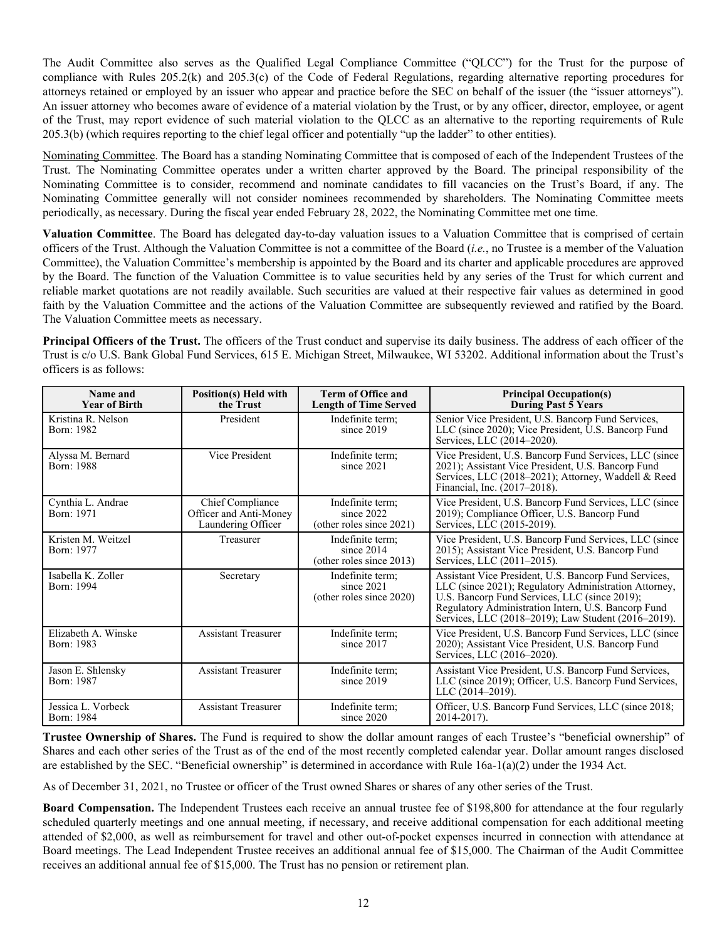The Audit Committee also serves as the Qualified Legal Compliance Committee ("QLCC") for the Trust for the purpose of compliance with Rules 205.2(k) and 205.3(c) of the Code of Federal Regulations, regarding alternative reporting procedures for attorneys retained or employed by an issuer who appear and practice before the SEC on behalf of the issuer (the "issuer attorneys"). An issuer attorney who becomes aware of evidence of a material violation by the Trust, or by any officer, director, employee, or agent of the Trust, may report evidence of such material violation to the QLCC as an alternative to the reporting requirements of Rule 205.3(b) (which requires reporting to the chief legal officer and potentially "up the ladder" to other entities).

Nominating Committee. The Board has a standing Nominating Committee that is composed of each of the Independent Trustees of the Trust. The Nominating Committee operates under a written charter approved by the Board. The principal responsibility of the Nominating Committee is to consider, recommend and nominate candidates to fill vacancies on the Trust's Board, if any. The Nominating Committee generally will not consider nominees recommended by shareholders. The Nominating Committee meets periodically, as necessary. During the fiscal year ended February 28, 2022, the Nominating Committee met one time.

**Valuation Committee**. The Board has delegated day-to-day valuation issues to a Valuation Committee that is comprised of certain officers of the Trust. Although the Valuation Committee is not a committee of the Board (*i.e.*, no Trustee is a member of the Valuation Committee), the Valuation Committee's membership is appointed by the Board and its charter and applicable procedures are approved by the Board. The function of the Valuation Committee is to value securities held by any series of the Trust for which current and reliable market quotations are not readily available. Such securities are valued at their respective fair values as determined in good faith by the Valuation Committee and the actions of the Valuation Committee are subsequently reviewed and ratified by the Board. The Valuation Committee meets as necessary.

**Principal Officers of the Trust.** The officers of the Trust conduct and supervise its daily business. The address of each officer of the Trust is c/o U.S. Bank Global Fund Services, 615 E. Michigan Street, Milwaukee, WI 53202. Additional information about the Trust's officers is as follows:

| Name and<br><b>Year of Birth</b>  | <b>Position(s) Held with</b><br>the Trust                        | <b>Term of Office and</b><br><b>Length of Time Served</b>     | <b>Principal Occupation(s)</b><br><b>During Past 5 Years</b>                                                                                                                                                                                                                  |
|-----------------------------------|------------------------------------------------------------------|---------------------------------------------------------------|-------------------------------------------------------------------------------------------------------------------------------------------------------------------------------------------------------------------------------------------------------------------------------|
| Kristina R. Nelson<br>Born: 1982  | President                                                        | Indefinite term:<br>since $2019$                              | Senior Vice President, U.S. Bancorp Fund Services,<br>LLC (since 2020); Vice President, U.S. Bancorp Fund<br>Services, LLC (2014–2020).                                                                                                                                       |
| Alyssa M. Bernard<br>Born: 1988   | Vice President                                                   | Indefinite term;<br>since $2021$                              | Vice President, U.S. Bancorp Fund Services, LLC (since<br>2021); Assistant Vice President, U.S. Bancorp Fund<br>Services, LLC (2018-2021); Attorney, Waddell & Reed<br>Financial, Inc. (2017-2018).                                                                           |
| Cynthia L. Andrae<br>Born: 1971   | Chief Compliance<br>Officer and Anti-Money<br>Laundering Officer | Indefinite term;<br>since 2022<br>(other roles since 2021)    | Vice President, U.S. Bancorp Fund Services, LLC (since<br>2019); Compliance Officer, U.S. Bancorp Fund<br>Services, LLC (2015-2019).                                                                                                                                          |
| Kristen M. Weitzel<br>Born: 1977  | Treasurer                                                        | Indefinite term;<br>since $2014$<br>(other roles since 2013)  | Vice President, U.S. Bancorp Fund Services, LLC (since<br>2015); Assistant Vice President, U.S. Bancorp Fund<br>Services, LLC (2011-2015).                                                                                                                                    |
| Isabella K. Zoller<br>Born: 1994  | Secretary                                                        | Indefinite term;<br>since 2021<br>(other roles since $2020$ ) | Assistant Vice President, U.S. Bancorp Fund Services,<br>LLC (since 2021); Regulatory Administration Attorney,<br>U.S. Bancorp Fund Services, LLC (since 2019);<br>Regulatory Administration Intern, U.S. Bancorp Fund<br>Services, LLC (2018–2019); Law Student (2016–2019). |
| Elizabeth A. Winske<br>Born: 1983 | <b>Assistant Treasurer</b>                                       | Indefinite term:<br>since $2017$                              | Vice President, U.S. Bancorp Fund Services, LLC (since)<br>2020); Assistant Vice President, U.S. Bancorp Fund<br>Services, LLC (2016–2020).                                                                                                                                   |
| Jason E. Shlensky<br>Born: 1987   | <b>Assistant Treasurer</b>                                       | Indefinite term;<br>since $2019$                              | Assistant Vice President, U.S. Bancorp Fund Services,<br>LLC (since 2019); Officer, U.S. Bancorp Fund Services,<br>LLC (2014-2019).                                                                                                                                           |
| Jessica L. Vorbeck<br>Born: 1984  | <b>Assistant Treasurer</b>                                       | Indefinite term;<br>since $2020$                              | Officer, U.S. Bancorp Fund Services, LLC (since 2018;<br>2014-2017).                                                                                                                                                                                                          |

**Trustee Ownership of Shares.** The Fund is required to show the dollar amount ranges of each Trustee's "beneficial ownership" of Shares and each other series of the Trust as of the end of the most recently completed calendar year. Dollar amount ranges disclosed are established by the SEC. "Beneficial ownership" is determined in accordance with Rule 16a-1(a)(2) under the 1934 Act.

As of December 31, 2021, no Trustee or officer of the Trust owned Shares or shares of any other series of the Trust.

**Board Compensation.** The Independent Trustees each receive an annual trustee fee of \$198,800 for attendance at the four regularly scheduled quarterly meetings and one annual meeting, if necessary, and receive additional compensation for each additional meeting attended of \$2,000, as well as reimbursement for travel and other out-of-pocket expenses incurred in connection with attendance at Board meetings. The Lead Independent Trustee receives an additional annual fee of \$15,000. The Chairman of the Audit Committee receives an additional annual fee of \$15,000. The Trust has no pension or retirement plan.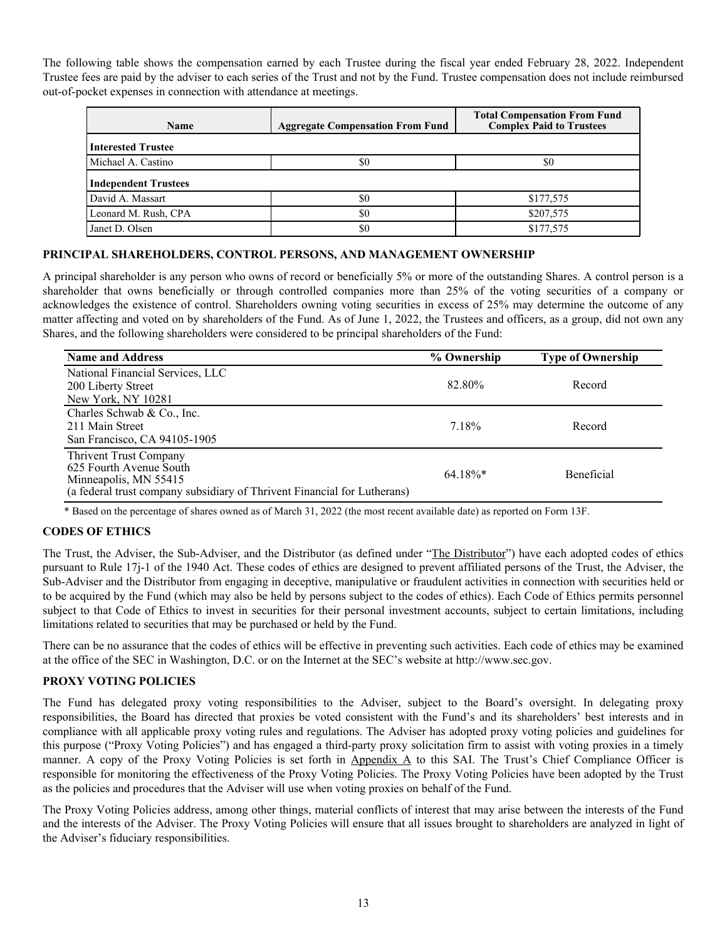<span id="page-13-0"></span>The following table shows the compensation earned by each Trustee during the fiscal year ended February 28, 2022. Independent Trustee fees are paid by the adviser to each series of the Trust and not by the Fund. Trustee compensation does not include reimbursed out-of-pocket expenses in connection with attendance at meetings.

| Name                        | <b>Aggregate Compensation From Fund</b> | <b>Total Compensation From Fund</b><br><b>Complex Paid to Trustees</b> |
|-----------------------------|-----------------------------------------|------------------------------------------------------------------------|
| <b>Interested Trustee</b>   |                                         |                                                                        |
| Michael A. Castino          | \$0                                     | \$0                                                                    |
| <b>Independent Trustees</b> |                                         |                                                                        |
| David A. Massart            | \$0                                     | \$177,575                                                              |
| Leonard M. Rush, CPA        | \$0                                     | \$207,575                                                              |
| Janet D. Olsen              | \$0                                     | \$177,575                                                              |

# **PRINCIPAL SHAREHOLDERS, CONTROL PERSONS, AND MANAGEMENT OWNERSHIP**

A principal shareholder is any person who owns of record or beneficially 5% or more of the outstanding Shares. A control person is a shareholder that owns beneficially or through controlled companies more than 25% of the voting securities of a company or acknowledges the existence of control. Shareholders owning voting securities in excess of 25% may determine the outcome of any matter affecting and voted on by shareholders of the Fund. As of June 1, 2022, the Trustees and officers, as a group, did not own any Shares, and the following shareholders were considered to be principal shareholders of the Fund:

| <b>Name and Address</b>                                                                                                                                       | % Ownership | <b>Type of Ownership</b> |
|---------------------------------------------------------------------------------------------------------------------------------------------------------------|-------------|--------------------------|
| National Financial Services, LLC<br>200 Liberty Street                                                                                                        | 82.80%      | Record                   |
| New York, NY 10281                                                                                                                                            |             |                          |
| Charles Schwab & Co., Inc.                                                                                                                                    |             |                          |
| 211 Main Street                                                                                                                                               | 7.18%       | Record                   |
| San Francisco, CA 94105-1905                                                                                                                                  |             |                          |
| <b>Thrivent Trust Company</b><br>625 Fourth Avenue South<br>Minneapolis, MN 55415<br>(a federal trust company subsidiary of Thrivent Financial for Lutherans) | $64.18\%*$  | <b>Beneficial</b>        |

\* Based on the percentage of shares owned as of March 31, 2022 (the most recent available date) as reported on Form 13F.

# **CODES OF ETHICS**

The Trust, the Adviser, the Sub-Adviser, and the Distributor (as defined under "The Distributor") have each adopted codes of ethics pursuant to Rule 17j-1 of the 1940 Act. These codes of ethics are designed to prevent affiliated persons of the Trust, the Adviser, the Sub-Adviser and the Distributor from engaging in deceptive, manipulative or fraudulent activities in connection with securities held or to be acquired by the Fund (which may also be held by persons subject to the codes of ethics). Each Code of Ethics permits personnel subject to that Code of Ethics to invest in securities for their personal investment accounts, subject to certain limitations, including limitations related to securities that may be purchased or held by the Fund.

There can be no assurance that the codes of ethics will be effective in preventing such activities. Each code of ethics may be examined at the office of the SEC in Washington, D.C. or on the Internet at the SEC's website at http://www.sec.gov.

# **PROXY VOTING POLICIES**

The Fund has delegated proxy voting responsibilities to the Adviser, subject to the Board's oversight. In delegating proxy responsibilities, the Board has directed that proxies be voted consistent with the Fund's and its shareholders' best interests and in compliance with all applicable proxy voting rules and regulations. The Adviser has adopted proxy voting policies and guidelines for this purpose ("Proxy Voting Policies") and has engaged a third-party proxy solicitation firm to assist with voting proxies in a timely manner. A copy of the Proxy Voting Policies is set forth in Appendix A to this SAI. The Trust's Chief Compliance Officer is responsible for monitoring the effectiveness of the Proxy Voting Policies. The Proxy Voting Policies have been adopted by the Trust as the policies and procedures that the Adviser will use when voting proxies on behalf of the Fund.

The Proxy Voting Policies address, among other things, material conflicts of interest that may arise between the interests of the Fund and the interests of the Adviser. The Proxy Voting Policies will ensure that all issues brought to shareholders are analyzed in light of the Adviser's fiduciary responsibilities.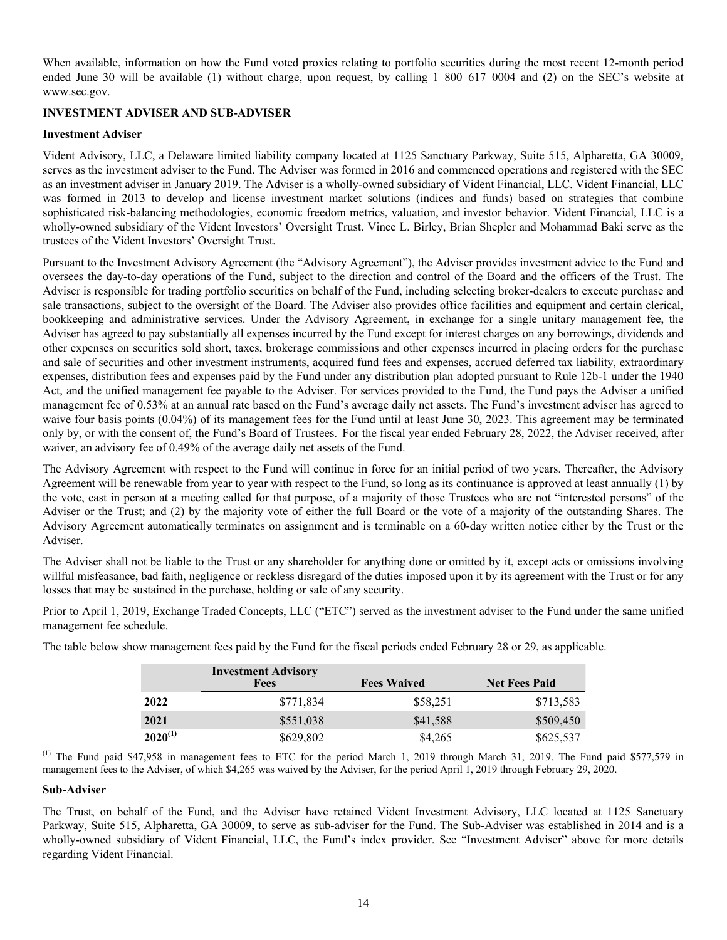<span id="page-14-0"></span>When available, information on how the Fund voted proxies relating to portfolio securities during the most recent 12-month period ended June 30 will be available (1) without charge, upon request, by calling 1–800–617–0004 and (2) on the SEC's website at www.sec.gov.

# **INVESTMENT ADVISER AND SUB-ADVISER**

# **Investment Adviser**

Vident Advisory, LLC, a Delaware limited liability company located at 1125 Sanctuary Parkway, Suite 515, Alpharetta, GA 30009, serves as the investment adviser to the Fund. The Adviser was formed in 2016 and commenced operations and registered with the SEC as an investment adviser in January 2019. The Adviser is a wholly-owned subsidiary of Vident Financial, LLC. Vident Financial, LLC was formed in 2013 to develop and license investment market solutions (indices and funds) based on strategies that combine sophisticated risk-balancing methodologies, economic freedom metrics, valuation, and investor behavior. Vident Financial, LLC is a wholly-owned subsidiary of the Vident Investors' Oversight Trust. Vince L. Birley, Brian Shepler and Mohammad Baki serve as the trustees of the Vident Investors' Oversight Trust.

Pursuant to the Investment Advisory Agreement (the "Advisory Agreement"), the Adviser provides investment advice to the Fund and oversees the day-to-day operations of the Fund, subject to the direction and control of the Board and the officers of the Trust. The Adviser is responsible for trading portfolio securities on behalf of the Fund, including selecting broker-dealers to execute purchase and sale transactions, subject to the oversight of the Board. The Adviser also provides office facilities and equipment and certain clerical, bookkeeping and administrative services. Under the Advisory Agreement, in exchange for a single unitary management fee, the Adviser has agreed to pay substantially all expenses incurred by the Fund except for interest charges on any borrowings, dividends and other expenses on securities sold short, taxes, brokerage commissions and other expenses incurred in placing orders for the purchase and sale of securities and other investment instruments, acquired fund fees and expenses, accrued deferred tax liability, extraordinary expenses, distribution fees and expenses paid by the Fund under any distribution plan adopted pursuant to Rule 12b-1 under the 1940 Act, and the unified management fee payable to the Adviser. For services provided to the Fund, the Fund pays the Adviser a unified management fee of 0.53% at an annual rate based on the Fund's average daily net assets. The Fund's investment adviser has agreed to waive four basis points (0.04%) of its management fees for the Fund until at least June 30, 2023. This agreement may be terminated only by, or with the consent of, the Fund's Board of Trustees. For the fiscal year ended February 28, 2022, the Adviser received, after waiver, an advisory fee of 0.49% of the average daily net assets of the Fund.

The Advisory Agreement with respect to the Fund will continue in force for an initial period of two years. Thereafter, the Advisory Agreement will be renewable from year to year with respect to the Fund, so long as its continuance is approved at least annually (1) by the vote, cast in person at a meeting called for that purpose, of a majority of those Trustees who are not "interested persons" of the Adviser or the Trust; and (2) by the majority vote of either the full Board or the vote of a majority of the outstanding Shares. The Advisory Agreement automatically terminates on assignment and is terminable on a 60-day written notice either by the Trust or the Adviser.

The Adviser shall not be liable to the Trust or any shareholder for anything done or omitted by it, except acts or omissions involving willful misfeasance, bad faith, negligence or reckless disregard of the duties imposed upon it by its agreement with the Trust or for any losses that may be sustained in the purchase, holding or sale of any security.

Prior to April 1, 2019, Exchange Traded Concepts, LLC ("ETC") served as the investment adviser to the Fund under the same unified management fee schedule.

|              | <b>Investment Advisory</b><br><b>Fees</b> | <b>Fees Waived</b> | <b>Net Fees Paid</b> |
|--------------|-------------------------------------------|--------------------|----------------------|
| 2022         | \$771,834                                 | \$58,251           | \$713,583            |
| 2021         | \$551,038                                 | \$41,588           | \$509,450            |
| $2020^{(1)}$ | \$629,802                                 | \$4,265            | \$625,537            |

The table below show management fees paid by the Fund for the fiscal periods ended February 28 or 29, as applicable.

 $^{(1)}$  The Fund paid \$47,958 in management fees to ETC for the period March 1, 2019 through March 31, 2019. The Fund paid \$577,579 in management fees to the Adviser, of which \$4,265 was waived by the Adviser, for the period April 1, 2019 through February 29, 2020.

# **Sub-Adviser**

The Trust, on behalf of the Fund, and the Adviser have retained Vident Investment Advisory, LLC located at 1125 Sanctuary Parkway, Suite 515, Alpharetta, GA 30009, to serve as sub-adviser for the Fund. The Sub-Adviser was established in 2014 and is a wholly-owned subsidiary of Vident Financial, LLC, the Fund's index provider. See "Investment Adviser" above for more details regarding Vident Financial.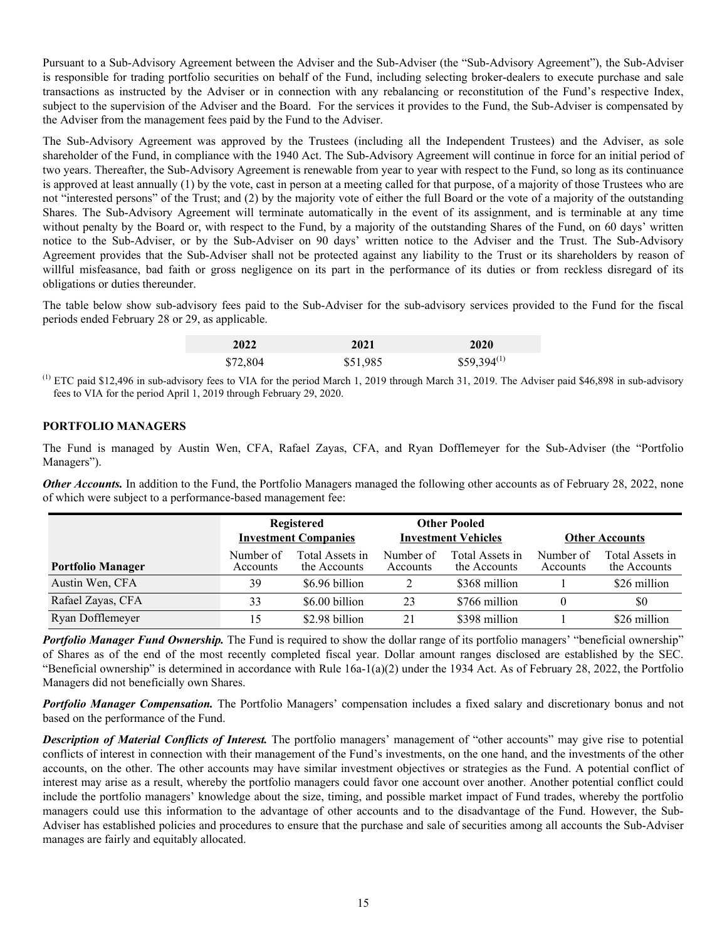<span id="page-15-0"></span>Pursuant to a Sub-Advisory Agreement between the Adviser and the Sub-Adviser (the "Sub-Advisory Agreement"), the Sub-Adviser is responsible for trading portfolio securities on behalf of the Fund, including selecting broker-dealers to execute purchase and sale transactions as instructed by the Adviser or in connection with any rebalancing or reconstitution of the Fund's respective Index, subject to the supervision of the Adviser and the Board. For the services it provides to the Fund, the Sub-Adviser is compensated by the Adviser from the management fees paid by the Fund to the Adviser.

The Sub-Advisory Agreement was approved by the Trustees (including all the Independent Trustees) and the Adviser, as sole shareholder of the Fund, in compliance with the 1940 Act. The Sub-Advisory Agreement will continue in force for an initial period of two years. Thereafter, the Sub-Advisory Agreement is renewable from year to year with respect to the Fund, so long as its continuance is approved at least annually (1) by the vote, cast in person at a meeting called for that purpose, of a majority of those Trustees who are not "interested persons" of the Trust; and (2) by the majority vote of either the full Board or the vote of a majority of the outstanding Shares. The Sub-Advisory Agreement will terminate automatically in the event of its assignment, and is terminable at any time without penalty by the Board or, with respect to the Fund, by a majority of the outstanding Shares of the Fund, on 60 days' written notice to the Sub-Adviser, or by the Sub-Adviser on 90 days' written notice to the Adviser and the Trust. The Sub-Advisory Agreement provides that the Sub-Adviser shall not be protected against any liability to the Trust or its shareholders by reason of willful misfeasance, bad faith or gross negligence on its part in the performance of its duties or from reckless disregard of its obligations or duties thereunder.

The table below show sub-advisory fees paid to the Sub-Adviser for the sub-advisory services provided to the Fund for the fiscal periods ended February 28 or 29, as applicable.

| 2022     | 2021     | 2020             |
|----------|----------|------------------|
| \$72,804 | \$51,985 | $$59,394^{(1)}$$ |

(1) ETC paid \$12,496 in sub-advisory fees to VIA for the period March 1, 2019 through March 31, 2019. The Adviser paid \$46,898 in sub-advisory fees to VIA for the period April 1, 2019 through February 29, 2020.

# **PORTFOLIO MANAGERS**

The Fund is managed by Austin Wen, CFA, Rafael Zayas, CFA, and Ryan Dofflemeyer for the Sub-Adviser (the "Portfolio Managers").

*Other Accounts*. In addition to the Fund, the Portfolio Managers managed the following other accounts as of February 28, 2022, none of which were subject to a performance-based management fee:

|                          | <b>Registered</b><br><b>Investment Companies</b> |                                 | <b>Other Pooled</b><br><b>Investment Vehicles</b> |                                 | <b>Other Accounts</b> |                                 |
|--------------------------|--------------------------------------------------|---------------------------------|---------------------------------------------------|---------------------------------|-----------------------|---------------------------------|
| <b>Portfolio Manager</b> | Number of<br>Accounts                            | Total Assets in<br>the Accounts | Number of<br>Accounts                             | Total Assets in<br>the Accounts | Number of<br>Accounts | Total Assets in<br>the Accounts |
| Austin Wen, CFA          | 39                                               | \$6.96 billion                  |                                                   | \$368 million                   |                       | \$26 million                    |
| Rafael Zayas, CFA        | 33                                               | \$6.00 billion                  | 23                                                | \$766 million                   |                       | \$0                             |
| Ryan Dofflemeyer         | 15                                               | \$2.98 billion                  | 21                                                | \$398 million                   |                       | \$26 million                    |

**Portfolio Manager Fund Ownership.** The Fund is required to show the dollar range of its portfolio managers' "beneficial ownership" of Shares as of the end of the most recently completed fiscal year. Dollar amount ranges disclosed are established by the SEC. "Beneficial ownership" is determined in accordance with Rule  $16a-1(a)(2)$  under the 1934 Act. As of February 28, 2022, the Portfolio Managers did not beneficially own Shares.

*Portfolio Manager Compensation.* The Portfolio Managers' compensation includes a fixed salary and discretionary bonus and not based on the performance of the Fund.

*Description of Material Conflicts of Interest.* The portfolio managers' management of "other accounts" may give rise to potential conflicts of interest in connection with their management of the Fund's investments, on the one hand, and the investments of the other accounts, on the other. The other accounts may have similar investment objectives or strategies as the Fund. A potential conflict of interest may arise as a result, whereby the portfolio managers could favor one account over another. Another potential conflict could include the portfolio managers' knowledge about the size, timing, and possible market impact of Fund trades, whereby the portfolio managers could use this information to the advantage of other accounts and to the disadvantage of the Fund. However, the Sub-Adviser has established policies and procedures to ensure that the purchase and sale of securities among all accounts the Sub-Adviser manages are fairly and equitably allocated.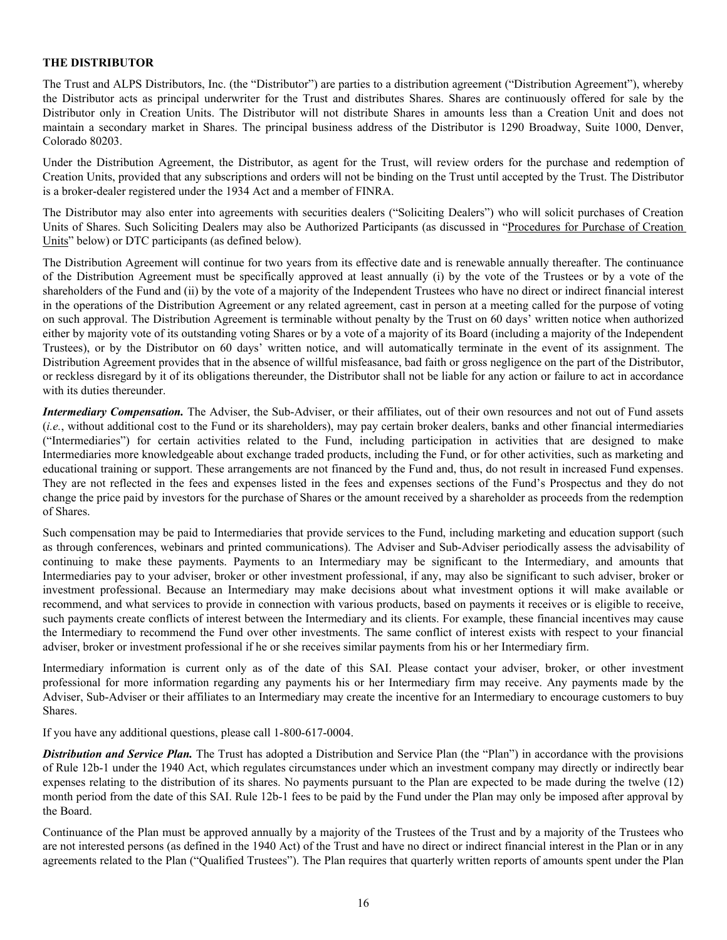# <span id="page-16-0"></span>**THE DISTRIBUTOR**

The Trust and ALPS Distributors, Inc. (the "Distributor") are parties to a distribution agreement ("Distribution Agreement"), whereby the Distributor acts as principal underwriter for the Trust and distributes Shares. Shares are continuously offered for sale by the Distributor only in Creation Units. The Distributor will not distribute Shares in amounts less than a Creation Unit and does not maintain a secondary market in Shares. The principal business address of the Distributor is 1290 Broadway, Suite 1000, Denver, Colorado 80203.

Under the Distribution Agreement, the Distributor, as agent for the Trust, will review orders for the purchase and redemption of Creation Units, provided that any subscriptions and orders will not be binding on the Trust until accepted by the Trust. The Distributor is a broker-dealer registered under the 1934 Act and a member of FINRA.

The Distributor may also enter into agreements with securities dealers ("Soliciting Dealers") who will solicit purchases of Creation Units of Shares. Such Soliciting Dealers may also be Authorized Participants (as discussed in "Procedures for Purchase of Creation Units" below) or DTC participants (as defined below).

The Distribution Agreement will continue for two years from its effective date and is renewable annually thereafter. The continuance of the Distribution Agreement must be specifically approved at least annually (i) by the vote of the Trustees or by a vote of the shareholders of the Fund and (ii) by the vote of a majority of the Independent Trustees who have no direct or indirect financial interest in the operations of the Distribution Agreement or any related agreement, cast in person at a meeting called for the purpose of voting on such approval. The Distribution Agreement is terminable without penalty by the Trust on 60 days' written notice when authorized either by majority vote of its outstanding voting Shares or by a vote of a majority of its Board (including a majority of the Independent Trustees), or by the Distributor on 60 days' written notice, and will automatically terminate in the event of its assignment. The Distribution Agreement provides that in the absence of willful misfeasance, bad faith or gross negligence on the part of the Distributor, or reckless disregard by it of its obligations thereunder, the Distributor shall not be liable for any action or failure to act in accordance with its duties thereunder.

*Intermediary Compensation.* The Adviser, the Sub-Adviser, or their affiliates, out of their own resources and not out of Fund assets (*i.e.*, without additional cost to the Fund or its shareholders), may pay certain broker dealers, banks and other financial intermediaries ("Intermediaries") for certain activities related to the Fund, including participation in activities that are designed to make Intermediaries more knowledgeable about exchange traded products, including the Fund, or for other activities, such as marketing and educational training or support. These arrangements are not financed by the Fund and, thus, do not result in increased Fund expenses. They are not reflected in the fees and expenses listed in the fees and expenses sections of the Fund's Prospectus and they do not change the price paid by investors for the purchase of Shares or the amount received by a shareholder as proceeds from the redemption of Shares.

Such compensation may be paid to Intermediaries that provide services to the Fund, including marketing and education support (such as through conferences, webinars and printed communications). The Adviser and Sub-Adviser periodically assess the advisability of continuing to make these payments. Payments to an Intermediary may be significant to the Intermediary, and amounts that Intermediaries pay to your adviser, broker or other investment professional, if any, may also be significant to such adviser, broker or investment professional. Because an Intermediary may make decisions about what investment options it will make available or recommend, and what services to provide in connection with various products, based on payments it receives or is eligible to receive, such payments create conflicts of interest between the Intermediary and its clients. For example, these financial incentives may cause the Intermediary to recommend the Fund over other investments. The same conflict of interest exists with respect to your financial adviser, broker or investment professional if he or she receives similar payments from his or her Intermediary firm.

Intermediary information is current only as of the date of this SAI. Please contact your adviser, broker, or other investment professional for more information regarding any payments his or her Intermediary firm may receive. Any payments made by the Adviser, Sub-Adviser or their affiliates to an Intermediary may create the incentive for an Intermediary to encourage customers to buy Shares.

If you have any additional questions, please call 1-800-617-0004.

*Distribution and Service Plan.* The Trust has adopted a Distribution and Service Plan (the "Plan") in accordance with the provisions of Rule 12b-1 under the 1940 Act, which regulates circumstances under which an investment company may directly or indirectly bear expenses relating to the distribution of its shares. No payments pursuant to the Plan are expected to be made during the twelve (12) month period from the date of this SAI. Rule 12b-1 fees to be paid by the Fund under the Plan may only be imposed after approval by the Board.

Continuance of the Plan must be approved annually by a majority of the Trustees of the Trust and by a majority of the Trustees who are not interested persons (as defined in the 1940 Act) of the Trust and have no direct or indirect financial interest in the Plan or in any agreements related to the Plan ("Qualified Trustees"). The Plan requires that quarterly written reports of amounts spent under the Plan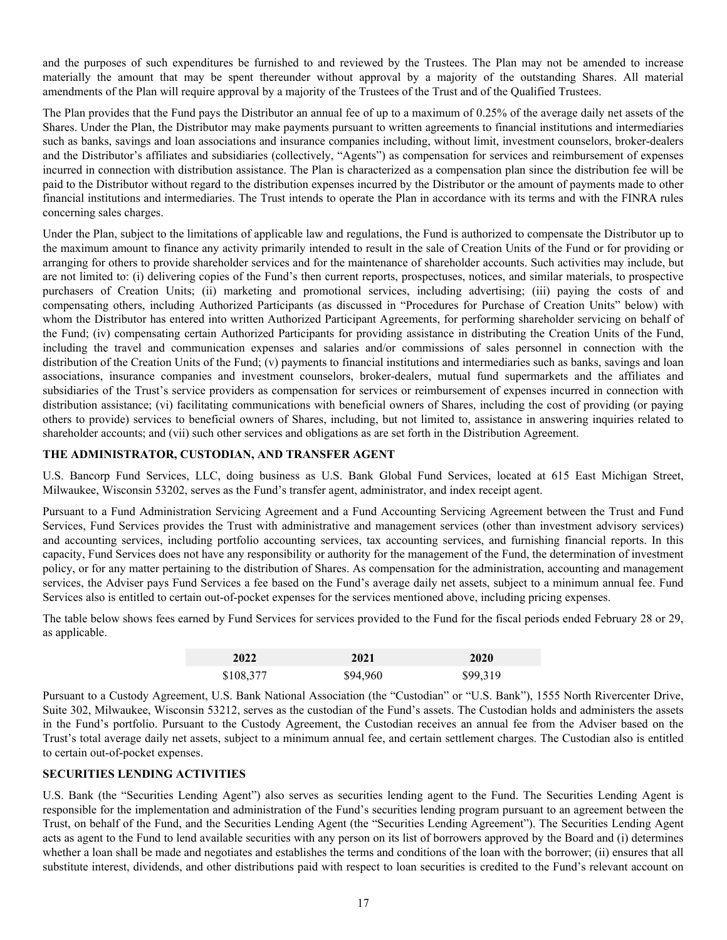<span id="page-17-0"></span>and the purposes of such expenditures be furnished to and reviewed by the Trustees. The Plan may not be amended to increase materially the amount that may be spent thereunder without approval by a majority of the outstanding Shares. All material amendments of the Plan will require approval by a majority of the Trustees of the Trust and of the Qualified Trustees.

The Plan provides that the Fund pays the Distributor an annual fee of up to a maximum of 0.25% of the average daily net assets of the Shares. Under the Plan, the Distributor may make payments pursuant to written agreements to financial institutions and intermediaries such as banks, savings and loan associations and insurance companies including, without limit, investment counselors, broker-dealers and the Distributor's affiliates and subsidiaries (collectively, "Agents") as compensation for services and reimbursement of expenses incurred in connection with distribution assistance. The Plan is characterized as a compensation plan since the distribution fee will be paid to the Distributor without regard to the distribution expenses incurred by the Distributor or the amount of payments made to other financial institutions and intermediaries. The Trust intends to operate the Plan in accordance with its terms and with the FINRA rules concerning sales charges.

Under the Plan, subject to the limitations of applicable law and regulations, the Fund is authorized to compensate the Distributor up to the maximum amount to finance any activity primarily intended to result in the sale of Creation Units of the Fund or for providing or arranging for others to provide shareholder services and for the maintenance of shareholder accounts. Such activities may include, but are not limited to: (i) delivering copies of the Fund's then current reports, prospectuses, notices, and similar materials, to prospective purchasers of Creation Units; (ii) marketing and promotional services, including advertising; (iii) paying the costs of and compensating others, including Authorized Participants (as discussed in "Procedures for Purchase of Creation Units" below) with whom the Distributor has entered into written Authorized Participant Agreements, for performing shareholder servicing on behalf of the Fund; (iv) compensating certain Authorized Participants for providing assistance in distributing the Creation Units of the Fund, including the travel and communication expenses and salaries and/or commissions of sales personnel in connection with the distribution of the Creation Units of the Fund; (v) payments to financial institutions and intermediaries such as banks, savings and loan associations, insurance companies and investment counselors, broker-dealers, mutual fund supermarkets and the affiliates and subsidiaries of the Trust's service providers as compensation for services or reimbursement of expenses incurred in connection with distribution assistance; (vi) facilitating communications with beneficial owners of Shares, including the cost of providing (or paying others to provide) services to beneficial owners of Shares, including, but not limited to, assistance in answering inquiries related to shareholder accounts; and (vii) such other services and obligations as are set forth in the Distribution Agreement.

# **THE ADMINISTRATOR, CUSTODIAN, AND TRANSFER AGENT**

U.S. Bancorp Fund Services, LLC, doing business as U.S. Bank Global Fund Services, located at 615 East Michigan Street, Milwaukee, Wisconsin 53202, serves as the Fund's transfer agent, administrator, and index receipt agent.

Pursuant to a Fund Administration Servicing Agreement and a Fund Accounting Servicing Agreement between the Trust and Fund Services, Fund Services provides the Trust with administrative and management services (other than investment advisory services) and accounting services, including portfolio accounting services, tax accounting services, and furnishing financial reports. In this capacity, Fund Services does not have any responsibility or authority for the management of the Fund, the determination of investment policy, or for any matter pertaining to the distribution of Shares. As compensation for the administration, accounting and management services, the Adviser pays Fund Services a fee based on the Fund's average daily net assets, subject to a minimum annual fee. Fund Services also is entitled to certain out-of-pocket expenses for the services mentioned above, including pricing expenses.

The table below shows fees earned by Fund Services for services provided to the Fund for the fiscal periods ended February 28 or 29, as applicable.

| 2022      | 2021     | 2020     |
|-----------|----------|----------|
| \$108,377 | \$94,960 | \$99,319 |

Pursuant to a Custody Agreement, U.S. Bank National Association (the "Custodian" or "U.S. Bank"), 1555 North Rivercenter Drive, Suite 302, Milwaukee, Wisconsin 53212, serves as the custodian of the Fund's assets. The Custodian holds and administers the assets in the Fund's portfolio. Pursuant to the Custody Agreement, the Custodian receives an annual fee from the Adviser based on the Trust's total average daily net assets, subject to a minimum annual fee, and certain settlement charges. The Custodian also is entitled to certain out-of-pocket expenses.

# **SECURITIES LENDING ACTIVITIES**

U.S. Bank (the "Securities Lending Agent") also serves as securities lending agent to the Fund. The Securities Lending Agent is responsible for the implementation and administration of the Fund's securities lending program pursuant to an agreement between the Trust, on behalf of the Fund, and the Securities Lending Agent (the "Securities Lending Agreement"). The Securities Lending Agent acts as agent to the Fund to lend available securities with any person on its list of borrowers approved by the Board and (i) determines whether a loan shall be made and negotiates and establishes the terms and conditions of the loan with the borrower; (ii) ensures that all substitute interest, dividends, and other distributions paid with respect to loan securities is credited to the Fund's relevant account on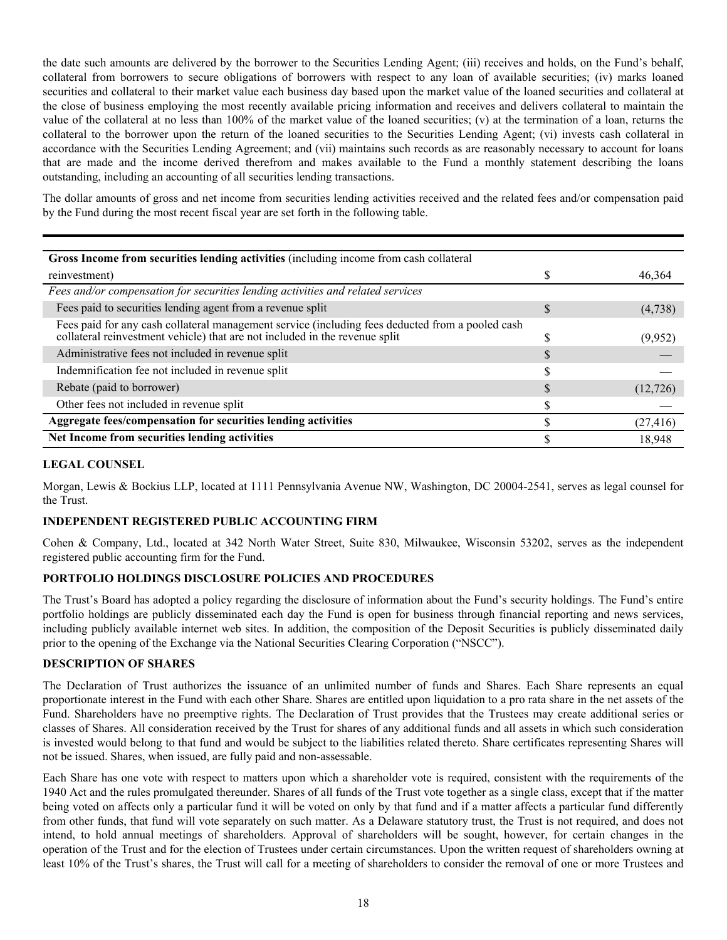<span id="page-18-0"></span>the date such amounts are delivered by the borrower to the Securities Lending Agent; (iii) receives and holds, on the Fund's behalf, collateral from borrowers to secure obligations of borrowers with respect to any loan of available securities; (iv) marks loaned securities and collateral to their market value each business day based upon the market value of the loaned securities and collateral at the close of business employing the most recently available pricing information and receives and delivers collateral to maintain the value of the collateral at no less than 100% of the market value of the loaned securities; (v) at the termination of a loan, returns the collateral to the borrower upon the return of the loaned securities to the Securities Lending Agent; (vi) invests cash collateral in accordance with the Securities Lending Agreement; and (vii) maintains such records as are reasonably necessary to account for loans that are made and the income derived therefrom and makes available to the Fund a monthly statement describing the loans outstanding, including an accounting of all securities lending transactions.

The dollar amounts of gross and net income from securities lending activities received and the related fees and/or compensation paid by the Fund during the most recent fiscal year are set forth in the following table.

| Gross Income from securities lending activities (including income from cash collateral                                                                                       |           |
|------------------------------------------------------------------------------------------------------------------------------------------------------------------------------|-----------|
| reinvestment)                                                                                                                                                                | 46,364    |
| Fees and/or compensation for securities lending activities and related services                                                                                              |           |
| Fees paid to securities lending agent from a revenue split                                                                                                                   | (4,738)   |
| Fees paid for any cash collateral management service (including fees deducted from a pooled cash collateral reinvestment vehicle) that are not included in the revenue split | (9,952)   |
| Administrative fees not included in revenue split                                                                                                                            |           |
| Indemnification fee not included in revenue split                                                                                                                            |           |
| Rebate (paid to borrower)                                                                                                                                                    | (12, 726) |
| Other fees not included in revenue split                                                                                                                                     |           |
| Aggregate fees/compensation for securities lending activities                                                                                                                | (27, 416) |
| Net Income from securities lending activities                                                                                                                                | 18.948    |

# **LEGAL COUNSEL**

Morgan, Lewis & Bockius LLP, located at 1111 Pennsylvania Avenue NW, Washington, DC 20004-2541, serves as legal counsel for the Trust.

# **INDEPENDENT REGISTERED PUBLIC ACCOUNTING FIRM**

Cohen & Company, Ltd., located at 342 North Water Street, Suite 830, Milwaukee, Wisconsin 53202, serves as the independent registered public accounting firm for the Fund.

# **PORTFOLIO HOLDINGS DISCLOSURE POLICIES AND PROCEDURES**

The Trust's Board has adopted a policy regarding the disclosure of information about the Fund's security holdings. The Fund's entire portfolio holdings are publicly disseminated each day the Fund is open for business through financial reporting and news services, including publicly available internet web sites. In addition, the composition of the Deposit Securities is publicly disseminated daily prior to the opening of the Exchange via the National Securities Clearing Corporation ("NSCC").

# **DESCRIPTION OF SHARES**

The Declaration of Trust authorizes the issuance of an unlimited number of funds and Shares. Each Share represents an equal proportionate interest in the Fund with each other Share. Shares are entitled upon liquidation to a pro rata share in the net assets of the Fund. Shareholders have no preemptive rights. The Declaration of Trust provides that the Trustees may create additional series or classes of Shares. All consideration received by the Trust for shares of any additional funds and all assets in which such consideration is invested would belong to that fund and would be subject to the liabilities related thereto. Share certificates representing Shares will not be issued. Shares, when issued, are fully paid and non-assessable.

Each Share has one vote with respect to matters upon which a shareholder vote is required, consistent with the requirements of the 1940 Act and the rules promulgated thereunder. Shares of all funds of the Trust vote together as a single class, except that if the matter being voted on affects only a particular fund it will be voted on only by that fund and if a matter affects a particular fund differently from other funds, that fund will vote separately on such matter. As a Delaware statutory trust, the Trust is not required, and does not intend, to hold annual meetings of shareholders. Approval of shareholders will be sought, however, for certain changes in the operation of the Trust and for the election of Trustees under certain circumstances. Upon the written request of shareholders owning at least 10% of the Trust's shares, the Trust will call for a meeting of shareholders to consider the removal of one or more Trustees and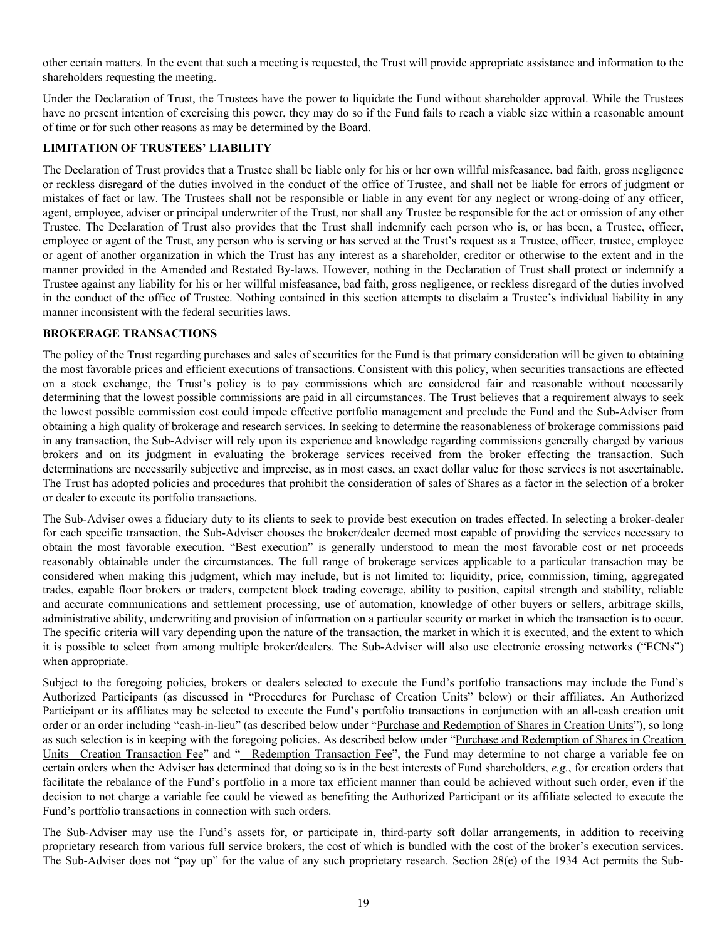<span id="page-19-0"></span>other certain matters. In the event that such a meeting is requested, the Trust will provide appropriate assistance and information to the shareholders requesting the meeting.

Under the Declaration of Trust, the Trustees have the power to liquidate the Fund without shareholder approval. While the Trustees have no present intention of exercising this power, they may do so if the Fund fails to reach a viable size within a reasonable amount of time or for such other reasons as may be determined by the Board.

# **LIMITATION OF TRUSTEES' LIABILITY**

The Declaration of Trust provides that a Trustee shall be liable only for his or her own willful misfeasance, bad faith, gross negligence or reckless disregard of the duties involved in the conduct of the office of Trustee, and shall not be liable for errors of judgment or mistakes of fact or law. The Trustees shall not be responsible or liable in any event for any neglect or wrong-doing of any officer, agent, employee, adviser or principal underwriter of the Trust, nor shall any Trustee be responsible for the act or omission of any other Trustee. The Declaration of Trust also provides that the Trust shall indemnify each person who is, or has been, a Trustee, officer, employee or agent of the Trust, any person who is serving or has served at the Trust's request as a Trustee, officer, trustee, employee or agent of another organization in which the Trust has any interest as a shareholder, creditor or otherwise to the extent and in the manner provided in the Amended and Restated By-laws. However, nothing in the Declaration of Trust shall protect or indemnify a Trustee against any liability for his or her willful misfeasance, bad faith, gross negligence, or reckless disregard of the duties involved in the conduct of the office of Trustee. Nothing contained in this section attempts to disclaim a Trustee's individual liability in any manner inconsistent with the federal securities laws.

# **BROKERAGE TRANSACTIONS**

The policy of the Trust regarding purchases and sales of securities for the Fund is that primary consideration will be given to obtaining the most favorable prices and efficient executions of transactions. Consistent with this policy, when securities transactions are effected on a stock exchange, the Trust's policy is to pay commissions which are considered fair and reasonable without necessarily determining that the lowest possible commissions are paid in all circumstances. The Trust believes that a requirement always to seek the lowest possible commission cost could impede effective portfolio management and preclude the Fund and the Sub-Adviser from obtaining a high quality of brokerage and research services. In seeking to determine the reasonableness of brokerage commissions paid in any transaction, the Sub-Adviser will rely upon its experience and knowledge regarding commissions generally charged by various brokers and on its judgment in evaluating the brokerage services received from the broker effecting the transaction. Such determinations are necessarily subjective and imprecise, as in most cases, an exact dollar value for those services is not ascertainable. The Trust has adopted policies and procedures that prohibit the consideration of sales of Shares as a factor in the selection of a broker or dealer to execute its portfolio transactions.

The Sub-Adviser owes a fiduciary duty to its clients to seek to provide best execution on trades effected. In selecting a broker-dealer for each specific transaction, the Sub-Adviser chooses the broker/dealer deemed most capable of providing the services necessary to obtain the most favorable execution. "Best execution" is generally understood to mean the most favorable cost or net proceeds reasonably obtainable under the circumstances. The full range of brokerage services applicable to a particular transaction may be considered when making this judgment, which may include, but is not limited to: liquidity, price, commission, timing, aggregated trades, capable floor brokers or traders, competent block trading coverage, ability to position, capital strength and stability, reliable and accurate communications and settlement processing, use of automation, knowledge of other buyers or sellers, arbitrage skills, administrative ability, underwriting and provision of information on a particular security or market in which the transaction is to occur. The specific criteria will vary depending upon the nature of the transaction, the market in which it is executed, and the extent to which it is possible to select from among multiple broker/dealers. The Sub-Adviser will also use electronic crossing networks ("ECNs") when appropriate.

Subject to the foregoing policies, brokers or dealers selected to execute the Fund's portfolio transactions may include the Fund's Authorized Participants (as discussed in "Procedures for Purchase of Creation Units" below) or their affiliates. An Authorized Participant or its affiliates may be selected to execute the Fund's portfolio transactions in conjunction with an all-cash creation unit order or an order including "cash-in-lieu" (as described below under "Purchase and Redemption of Shares in Creation Units"), so long as such selection is in keeping with the foregoing policies. As described below under "Purchase and Redemption of Shares in Creation Units—Creation Transaction Fee" and "—Redemption Transaction Fee", the Fund may determine to not charge a variable fee on certain orders when the Adviser has determined that doing so is in the best interests of Fund shareholders, *e.g.*, for creation orders that facilitate the rebalance of the Fund's portfolio in a more tax efficient manner than could be achieved without such order, even if the decision to not charge a variable fee could be viewed as benefiting the Authorized Participant or its affiliate selected to execute the Fund's portfolio transactions in connection with such orders.

The Sub-Adviser may use the Fund's assets for, or participate in, third-party soft dollar arrangements, in addition to receiving proprietary research from various full service brokers, the cost of which is bundled with the cost of the broker's execution services. The Sub-Adviser does not "pay up" for the value of any such proprietary research. Section 28(e) of the 1934 Act permits the Sub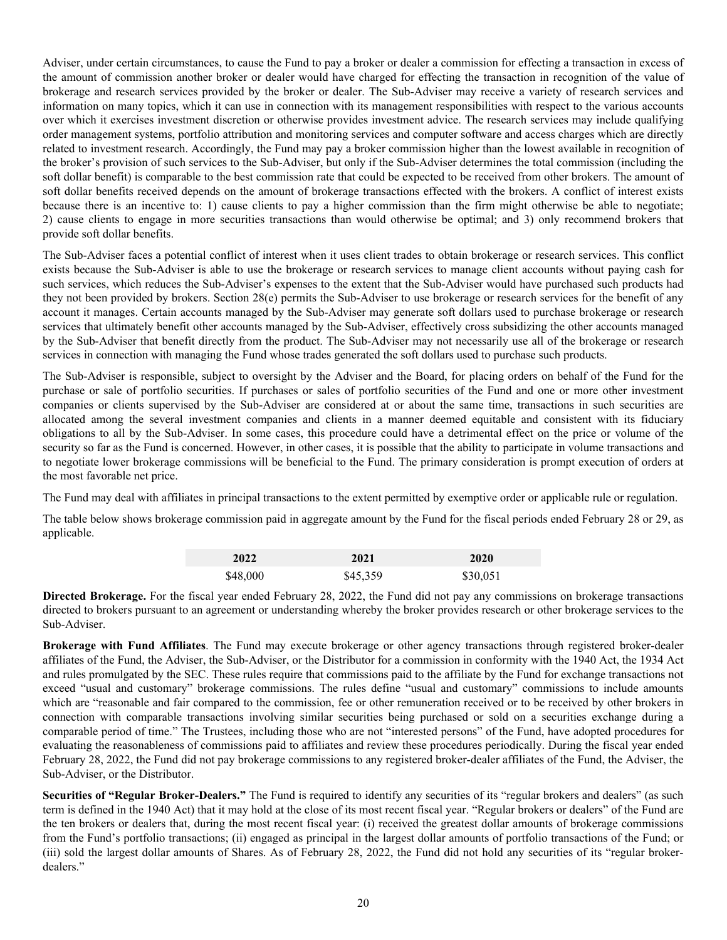Adviser, under certain circumstances, to cause the Fund to pay a broker or dealer a commission for effecting a transaction in excess of the amount of commission another broker or dealer would have charged for effecting the transaction in recognition of the value of brokerage and research services provided by the broker or dealer. The Sub-Adviser may receive a variety of research services and information on many topics, which it can use in connection with its management responsibilities with respect to the various accounts over which it exercises investment discretion or otherwise provides investment advice. The research services may include qualifying order management systems, portfolio attribution and monitoring services and computer software and access charges which are directly related to investment research. Accordingly, the Fund may pay a broker commission higher than the lowest available in recognition of the broker's provision of such services to the Sub-Adviser, but only if the Sub-Adviser determines the total commission (including the soft dollar benefit) is comparable to the best commission rate that could be expected to be received from other brokers. The amount of soft dollar benefits received depends on the amount of brokerage transactions effected with the brokers. A conflict of interest exists because there is an incentive to: 1) cause clients to pay a higher commission than the firm might otherwise be able to negotiate; 2) cause clients to engage in more securities transactions than would otherwise be optimal; and 3) only recommend brokers that provide soft dollar benefits.

The Sub-Adviser faces a potential conflict of interest when it uses client trades to obtain brokerage or research services. This conflict exists because the Sub-Adviser is able to use the brokerage or research services to manage client accounts without paying cash for such services, which reduces the Sub-Adviser's expenses to the extent that the Sub-Adviser would have purchased such products had they not been provided by brokers. Section 28(e) permits the Sub-Adviser to use brokerage or research services for the benefit of any account it manages. Certain accounts managed by the Sub-Adviser may generate soft dollars used to purchase brokerage or research services that ultimately benefit other accounts managed by the Sub-Adviser, effectively cross subsidizing the other accounts managed by the Sub-Adviser that benefit directly from the product. The Sub-Adviser may not necessarily use all of the brokerage or research services in connection with managing the Fund whose trades generated the soft dollars used to purchase such products.

The Sub-Adviser is responsible, subject to oversight by the Adviser and the Board, for placing orders on behalf of the Fund for the purchase or sale of portfolio securities. If purchases or sales of portfolio securities of the Fund and one or more other investment companies or clients supervised by the Sub-Adviser are considered at or about the same time, transactions in such securities are allocated among the several investment companies and clients in a manner deemed equitable and consistent with its fiduciary obligations to all by the Sub-Adviser. In some cases, this procedure could have a detrimental effect on the price or volume of the security so far as the Fund is concerned. However, in other cases, it is possible that the ability to participate in volume transactions and to negotiate lower brokerage commissions will be beneficial to the Fund. The primary consideration is prompt execution of orders at the most favorable net price.

The Fund may deal with affiliates in principal transactions to the extent permitted by exemptive order or applicable rule or regulation.

The table below shows brokerage commission paid in aggregate amount by the Fund for the fiscal periods ended February 28 or 29, as applicable.

| 2022     | 2021     | 2020     |
|----------|----------|----------|
| \$48,000 | \$45,359 | \$30,051 |

**Directed Brokerage.** For the fiscal year ended February 28, 2022, the Fund did not pay any commissions on brokerage transactions directed to brokers pursuant to an agreement or understanding whereby the broker provides research or other brokerage services to the Sub-Adviser.

**Brokerage with Fund Affiliates**. The Fund may execute brokerage or other agency transactions through registered broker-dealer affiliates of the Fund, the Adviser, the Sub-Adviser, or the Distributor for a commission in conformity with the 1940 Act, the 1934 Act and rules promulgated by the SEC. These rules require that commissions paid to the affiliate by the Fund for exchange transactions not exceed "usual and customary" brokerage commissions. The rules define "usual and customary" commissions to include amounts which are "reasonable and fair compared to the commission, fee or other remuneration received or to be received by other brokers in connection with comparable transactions involving similar securities being purchased or sold on a securities exchange during a comparable period of time." The Trustees, including those who are not "interested persons" of the Fund, have adopted procedures for evaluating the reasonableness of commissions paid to affiliates and review these procedures periodically. During the fiscal year ended February 28, 2022, the Fund did not pay brokerage commissions to any registered broker-dealer affiliates of the Fund, the Adviser, the Sub-Adviser, or the Distributor.

**Securities of "Regular Broker-Dealers."** The Fund is required to identify any securities of its "regular brokers and dealers" (as such term is defined in the 1940 Act) that it may hold at the close of its most recent fiscal year. "Regular brokers or dealers" of the Fund are the ten brokers or dealers that, during the most recent fiscal year: (i) received the greatest dollar amounts of brokerage commissions from the Fund's portfolio transactions; (ii) engaged as principal in the largest dollar amounts of portfolio transactions of the Fund; or (iii) sold the largest dollar amounts of Shares. As of February 28, 2022, the Fund did not hold any securities of its "regular brokerdealers."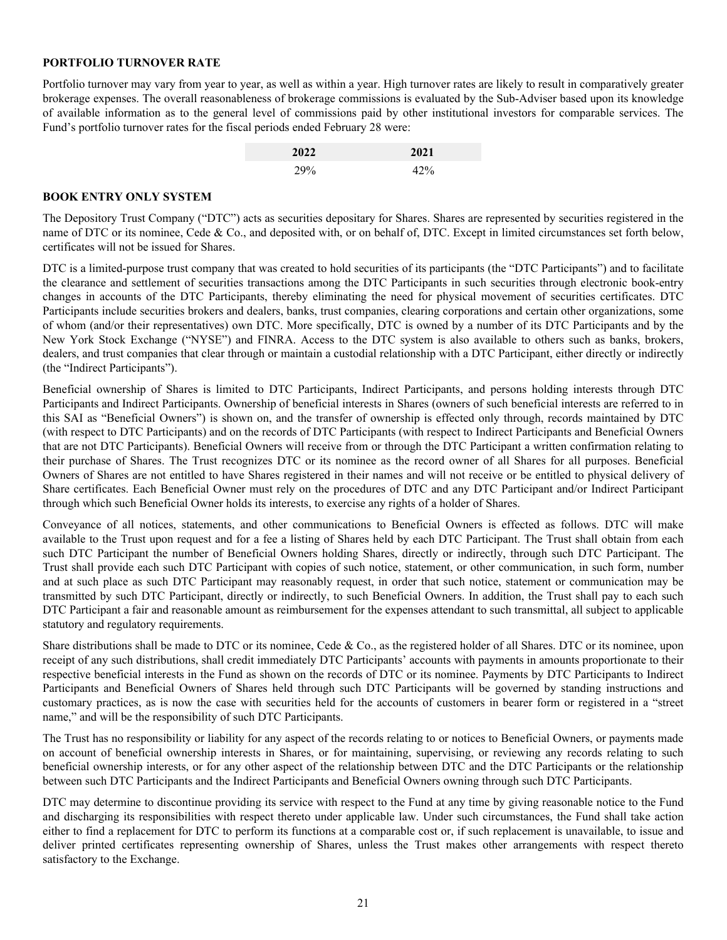## <span id="page-21-0"></span>**PORTFOLIO TURNOVER RATE**

Portfolio turnover may vary from year to year, as well as within a year. High turnover rates are likely to result in comparatively greater brokerage expenses. The overall reasonableness of brokerage commissions is evaluated by the Sub-Adviser based upon its knowledge of available information as to the general level of commissions paid by other institutional investors for comparable services. The Fund's portfolio turnover rates for the fiscal periods ended February 28 were:

| 2022 | 2021 |
|------|------|
| 29%  | 42%  |

#### **BOOK ENTRY ONLY SYSTEM**

The Depository Trust Company ("DTC") acts as securities depositary for Shares. Shares are represented by securities registered in the name of DTC or its nominee, Cede & Co., and deposited with, or on behalf of, DTC. Except in limited circumstances set forth below, certificates will not be issued for Shares.

DTC is a limited-purpose trust company that was created to hold securities of its participants (the "DTC Participants") and to facilitate the clearance and settlement of securities transactions among the DTC Participants in such securities through electronic book-entry changes in accounts of the DTC Participants, thereby eliminating the need for physical movement of securities certificates. DTC Participants include securities brokers and dealers, banks, trust companies, clearing corporations and certain other organizations, some of whom (and/or their representatives) own DTC. More specifically, DTC is owned by a number of its DTC Participants and by the New York Stock Exchange ("NYSE") and FINRA. Access to the DTC system is also available to others such as banks, brokers, dealers, and trust companies that clear through or maintain a custodial relationship with a DTC Participant, either directly or indirectly (the "Indirect Participants").

Beneficial ownership of Shares is limited to DTC Participants, Indirect Participants, and persons holding interests through DTC Participants and Indirect Participants. Ownership of beneficial interests in Shares (owners of such beneficial interests are referred to in this SAI as "Beneficial Owners") is shown on, and the transfer of ownership is effected only through, records maintained by DTC (with respect to DTC Participants) and on the records of DTC Participants (with respect to Indirect Participants and Beneficial Owners that are not DTC Participants). Beneficial Owners will receive from or through the DTC Participant a written confirmation relating to their purchase of Shares. The Trust recognizes DTC or its nominee as the record owner of all Shares for all purposes. Beneficial Owners of Shares are not entitled to have Shares registered in their names and will not receive or be entitled to physical delivery of Share certificates. Each Beneficial Owner must rely on the procedures of DTC and any DTC Participant and/or Indirect Participant through which such Beneficial Owner holds its interests, to exercise any rights of a holder of Shares.

Conveyance of all notices, statements, and other communications to Beneficial Owners is effected as follows. DTC will make available to the Trust upon request and for a fee a listing of Shares held by each DTC Participant. The Trust shall obtain from each such DTC Participant the number of Beneficial Owners holding Shares, directly or indirectly, through such DTC Participant. The Trust shall provide each such DTC Participant with copies of such notice, statement, or other communication, in such form, number and at such place as such DTC Participant may reasonably request, in order that such notice, statement or communication may be transmitted by such DTC Participant, directly or indirectly, to such Beneficial Owners. In addition, the Trust shall pay to each such DTC Participant a fair and reasonable amount as reimbursement for the expenses attendant to such transmittal, all subject to applicable statutory and regulatory requirements.

Share distributions shall be made to DTC or its nominee, Cede & Co., as the registered holder of all Shares. DTC or its nominee, upon receipt of any such distributions, shall credit immediately DTC Participants' accounts with payments in amounts proportionate to their respective beneficial interests in the Fund as shown on the records of DTC or its nominee. Payments by DTC Participants to Indirect Participants and Beneficial Owners of Shares held through such DTC Participants will be governed by standing instructions and customary practices, as is now the case with securities held for the accounts of customers in bearer form or registered in a "street name," and will be the responsibility of such DTC Participants.

The Trust has no responsibility or liability for any aspect of the records relating to or notices to Beneficial Owners, or payments made on account of beneficial ownership interests in Shares, or for maintaining, supervising, or reviewing any records relating to such beneficial ownership interests, or for any other aspect of the relationship between DTC and the DTC Participants or the relationship between such DTC Participants and the Indirect Participants and Beneficial Owners owning through such DTC Participants.

DTC may determine to discontinue providing its service with respect to the Fund at any time by giving reasonable notice to the Fund and discharging its responsibilities with respect thereto under applicable law. Under such circumstances, the Fund shall take action either to find a replacement for DTC to perform its functions at a comparable cost or, if such replacement is unavailable, to issue and deliver printed certificates representing ownership of Shares, unless the Trust makes other arrangements with respect thereto satisfactory to the Exchange.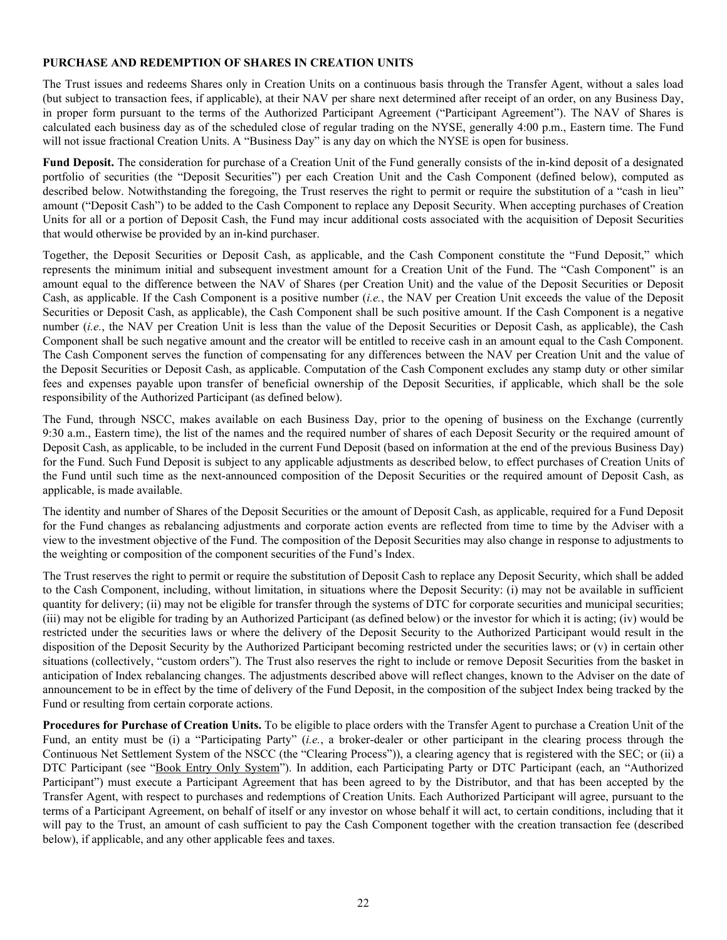# <span id="page-22-0"></span>**PURCHASE AND REDEMPTION OF SHARES IN CREATION UNITS**

The Trust issues and redeems Shares only in Creation Units on a continuous basis through the Transfer Agent, without a sales load (but subject to transaction fees, if applicable), at their NAV per share next determined after receipt of an order, on any Business Day, in proper form pursuant to the terms of the Authorized Participant Agreement ("Participant Agreement"). The NAV of Shares is calculated each business day as of the scheduled close of regular trading on the NYSE, generally 4:00 p.m., Eastern time. The Fund will not issue fractional Creation Units. A "Business Day" is any day on which the NYSE is open for business.

**Fund Deposit.** The consideration for purchase of a Creation Unit of the Fund generally consists of the in-kind deposit of a designated portfolio of securities (the "Deposit Securities") per each Creation Unit and the Cash Component (defined below), computed as described below. Notwithstanding the foregoing, the Trust reserves the right to permit or require the substitution of a "cash in lieu" amount ("Deposit Cash") to be added to the Cash Component to replace any Deposit Security. When accepting purchases of Creation Units for all or a portion of Deposit Cash, the Fund may incur additional costs associated with the acquisition of Deposit Securities that would otherwise be provided by an in-kind purchaser.

Together, the Deposit Securities or Deposit Cash, as applicable, and the Cash Component constitute the "Fund Deposit," which represents the minimum initial and subsequent investment amount for a Creation Unit of the Fund. The "Cash Component" is an amount equal to the difference between the NAV of Shares (per Creation Unit) and the value of the Deposit Securities or Deposit Cash, as applicable. If the Cash Component is a positive number (*i.e.*, the NAV per Creation Unit exceeds the value of the Deposit Securities or Deposit Cash, as applicable), the Cash Component shall be such positive amount. If the Cash Component is a negative number (*i.e.*, the NAV per Creation Unit is less than the value of the Deposit Securities or Deposit Cash, as applicable), the Cash Component shall be such negative amount and the creator will be entitled to receive cash in an amount equal to the Cash Component. The Cash Component serves the function of compensating for any differences between the NAV per Creation Unit and the value of the Deposit Securities or Deposit Cash, as applicable. Computation of the Cash Component excludes any stamp duty or other similar fees and expenses payable upon transfer of beneficial ownership of the Deposit Securities, if applicable, which shall be the sole responsibility of the Authorized Participant (as defined below).

The Fund, through NSCC, makes available on each Business Day, prior to the opening of business on the Exchange (currently 9:30 a.m., Eastern time), the list of the names and the required number of shares of each Deposit Security or the required amount of Deposit Cash, as applicable, to be included in the current Fund Deposit (based on information at the end of the previous Business Day) for the Fund. Such Fund Deposit is subject to any applicable adjustments as described below, to effect purchases of Creation Units of the Fund until such time as the next-announced composition of the Deposit Securities or the required amount of Deposit Cash, as applicable, is made available.

The identity and number of Shares of the Deposit Securities or the amount of Deposit Cash, as applicable, required for a Fund Deposit for the Fund changes as rebalancing adjustments and corporate action events are reflected from time to time by the Adviser with a view to the investment objective of the Fund. The composition of the Deposit Securities may also change in response to adjustments to the weighting or composition of the component securities of the Fund's Index.

The Trust reserves the right to permit or require the substitution of Deposit Cash to replace any Deposit Security, which shall be added to the Cash Component, including, without limitation, in situations where the Deposit Security: (i) may not be available in sufficient quantity for delivery; (ii) may not be eligible for transfer through the systems of DTC for corporate securities and municipal securities; (iii) may not be eligible for trading by an Authorized Participant (as defined below) or the investor for which it is acting; (iv) would be restricted under the securities laws or where the delivery of the Deposit Security to the Authorized Participant would result in the disposition of the Deposit Security by the Authorized Participant becoming restricted under the securities laws; or (v) in certain other situations (collectively, "custom orders"). The Trust also reserves the right to include or remove Deposit Securities from the basket in anticipation of Index rebalancing changes. The adjustments described above will reflect changes, known to the Adviser on the date of announcement to be in effect by the time of delivery of the Fund Deposit, in the composition of the subject Index being tracked by the Fund or resulting from certain corporate actions.

**Procedures for Purchase of Creation Units.** To be eligible to place orders with the Transfer Agent to purchase a Creation Unit of the Fund, an entity must be (i) a "Participating Party" (*i.e.*, a broker-dealer or other participant in the clearing process through the Continuous Net Settlement System of the NSCC (the "Clearing Process")), a clearing agency that is registered with the SEC; or (ii) a DTC Participant (see "Book Entry Only System"). In addition, each Participating Party or DTC Participant (each, an "Authorized Participant") must execute a Participant Agreement that has been agreed to by the Distributor, and that has been accepted by the Transfer Agent, with respect to purchases and redemptions of Creation Units. Each Authorized Participant will agree, pursuant to the terms of a Participant Agreement, on behalf of itself or any investor on whose behalf it will act, to certain conditions, including that it will pay to the Trust, an amount of cash sufficient to pay the Cash Component together with the creation transaction fee (described below), if applicable, and any other applicable fees and taxes.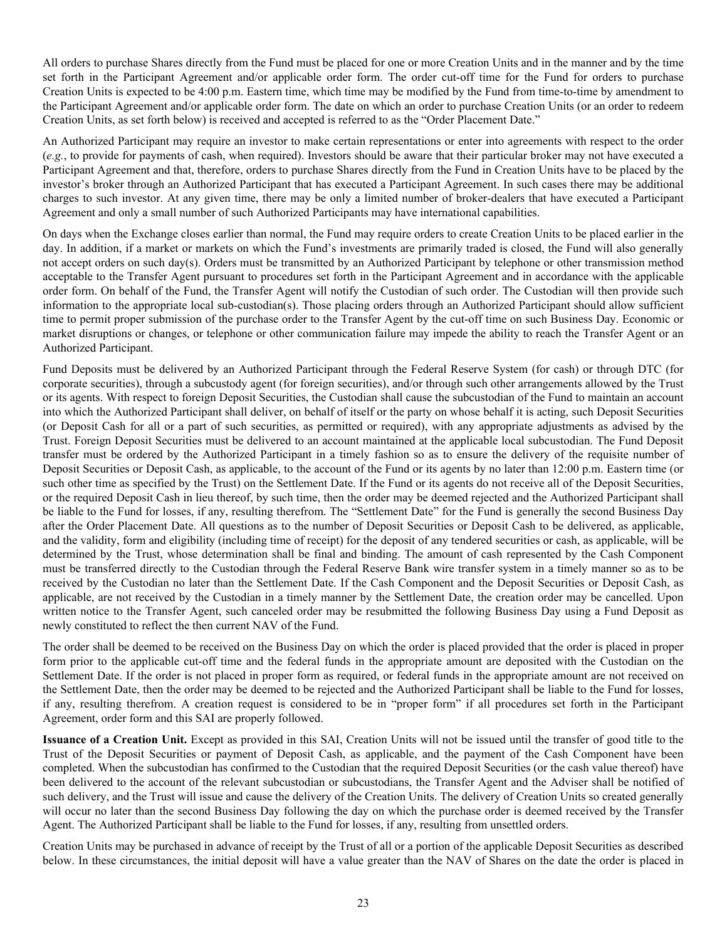All orders to purchase Shares directly from the Fund must be placed for one or more Creation Units and in the manner and by the time set forth in the Participant Agreement and/or applicable order form. The order cut-off time for the Fund for orders to purchase Creation Units is expected to be 4:00 p.m. Eastern time, which time may be modified by the Fund from time-to-time by amendment to the Participant Agreement and/or applicable order form. The date on which an order to purchase Creation Units (or an order to redeem Creation Units, as set forth below) is received and accepted is referred to as the "Order Placement Date."

An Authorized Participant may require an investor to make certain representations or enter into agreements with respect to the order (*e.g.*, to provide for payments of cash, when required). Investors should be aware that their particular broker may not have executed a Participant Agreement and that, therefore, orders to purchase Shares directly from the Fund in Creation Units have to be placed by the investor's broker through an Authorized Participant that has executed a Participant Agreement. In such cases there may be additional charges to such investor. At any given time, there may be only a limited number of broker-dealers that have executed a Participant Agreement and only a small number of such Authorized Participants may have international capabilities.

On days when the Exchange closes earlier than normal, the Fund may require orders to create Creation Units to be placed earlier in the day. In addition, if a market or markets on which the Fund's investments are primarily traded is closed, the Fund will also generally not accept orders on such day(s). Orders must be transmitted by an Authorized Participant by telephone or other transmission method acceptable to the Transfer Agent pursuant to procedures set forth in the Participant Agreement and in accordance with the applicable order form. On behalf of the Fund, the Transfer Agent will notify the Custodian of such order. The Custodian will then provide such information to the appropriate local sub-custodian(s). Those placing orders through an Authorized Participant should allow sufficient time to permit proper submission of the purchase order to the Transfer Agent by the cut-off time on such Business Day. Economic or market disruptions or changes, or telephone or other communication failure may impede the ability to reach the Transfer Agent or an Authorized Participant.

Fund Deposits must be delivered by an Authorized Participant through the Federal Reserve System (for cash) or through DTC (for corporate securities), through a subcustody agent (for foreign securities), and/or through such other arrangements allowed by the Trust or its agents. With respect to foreign Deposit Securities, the Custodian shall cause the subcustodian of the Fund to maintain an account into which the Authorized Participant shall deliver, on behalf of itself or the party on whose behalf it is acting, such Deposit Securities (or Deposit Cash for all or a part of such securities, as permitted or required), with any appropriate adjustments as advised by the Trust. Foreign Deposit Securities must be delivered to an account maintained at the applicable local subcustodian. The Fund Deposit transfer must be ordered by the Authorized Participant in a timely fashion so as to ensure the delivery of the requisite number of Deposit Securities or Deposit Cash, as applicable, to the account of the Fund or its agents by no later than 12:00 p.m. Eastern time (or such other time as specified by the Trust) on the Settlement Date. If the Fund or its agents do not receive all of the Deposit Securities, or the required Deposit Cash in lieu thereof, by such time, then the order may be deemed rejected and the Authorized Participant shall be liable to the Fund for losses, if any, resulting therefrom. The "Settlement Date" for the Fund is generally the second Business Day after the Order Placement Date. All questions as to the number of Deposit Securities or Deposit Cash to be delivered, as applicable, and the validity, form and eligibility (including time of receipt) for the deposit of any tendered securities or cash, as applicable, will be determined by the Trust, whose determination shall be final and binding. The amount of cash represented by the Cash Component must be transferred directly to the Custodian through the Federal Reserve Bank wire transfer system in a timely manner so as to be received by the Custodian no later than the Settlement Date. If the Cash Component and the Deposit Securities or Deposit Cash, as applicable, are not received by the Custodian in a timely manner by the Settlement Date, the creation order may be cancelled. Upon written notice to the Transfer Agent, such canceled order may be resubmitted the following Business Day using a Fund Deposit as newly constituted to reflect the then current NAV of the Fund.

The order shall be deemed to be received on the Business Day on which the order is placed provided that the order is placed in proper form prior to the applicable cut-off time and the federal funds in the appropriate amount are deposited with the Custodian on the Settlement Date. If the order is not placed in proper form as required, or federal funds in the appropriate amount are not received on the Settlement Date, then the order may be deemed to be rejected and the Authorized Participant shall be liable to the Fund for losses, if any, resulting therefrom. A creation request is considered to be in "proper form" if all procedures set forth in the Participant Agreement, order form and this SAI are properly followed.

**Issuance of a Creation Unit.** Except as provided in this SAI, Creation Units will not be issued until the transfer of good title to the Trust of the Deposit Securities or payment of Deposit Cash, as applicable, and the payment of the Cash Component have been completed. When the subcustodian has confirmed to the Custodian that the required Deposit Securities (or the cash value thereof) have been delivered to the account of the relevant subcustodian or subcustodians, the Transfer Agent and the Adviser shall be notified of such delivery, and the Trust will issue and cause the delivery of the Creation Units. The delivery of Creation Units so created generally will occur no later than the second Business Day following the day on which the purchase order is deemed received by the Transfer Agent. The Authorized Participant shall be liable to the Fund for losses, if any, resulting from unsettled orders.

Creation Units may be purchased in advance of receipt by the Trust of all or a portion of the applicable Deposit Securities as described below. In these circumstances, the initial deposit will have a value greater than the NAV of Shares on the date the order is placed in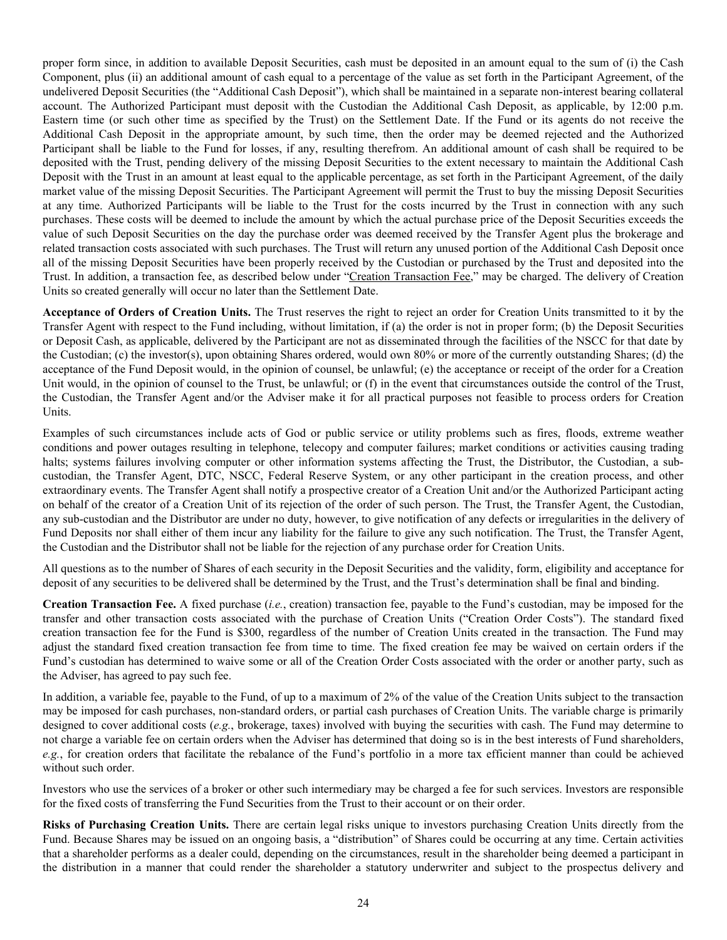proper form since, in addition to available Deposit Securities, cash must be deposited in an amount equal to the sum of (i) the Cash Component, plus (ii) an additional amount of cash equal to a percentage of the value as set forth in the Participant Agreement, of the undelivered Deposit Securities (the "Additional Cash Deposit"), which shall be maintained in a separate non-interest bearing collateral account. The Authorized Participant must deposit with the Custodian the Additional Cash Deposit, as applicable, by 12:00 p.m. Eastern time (or such other time as specified by the Trust) on the Settlement Date. If the Fund or its agents do not receive the Additional Cash Deposit in the appropriate amount, by such time, then the order may be deemed rejected and the Authorized Participant shall be liable to the Fund for losses, if any, resulting therefrom. An additional amount of cash shall be required to be deposited with the Trust, pending delivery of the missing Deposit Securities to the extent necessary to maintain the Additional Cash Deposit with the Trust in an amount at least equal to the applicable percentage, as set forth in the Participant Agreement, of the daily market value of the missing Deposit Securities. The Participant Agreement will permit the Trust to buy the missing Deposit Securities at any time. Authorized Participants will be liable to the Trust for the costs incurred by the Trust in connection with any such purchases. These costs will be deemed to include the amount by which the actual purchase price of the Deposit Securities exceeds the value of such Deposit Securities on the day the purchase order was deemed received by the Transfer Agent plus the brokerage and related transaction costs associated with such purchases. The Trust will return any unused portion of the Additional Cash Deposit once all of the missing Deposit Securities have been properly received by the Custodian or purchased by the Trust and deposited into the Trust. In addition, a transaction fee, as described below under "Creation Transaction Fee," may be charged. The delivery of Creation Units so created generally will occur no later than the Settlement Date.

**Acceptance of Orders of Creation Units.** The Trust reserves the right to reject an order for Creation Units transmitted to it by the Transfer Agent with respect to the Fund including, without limitation, if (a) the order is not in proper form; (b) the Deposit Securities or Deposit Cash, as applicable, delivered by the Participant are not as disseminated through the facilities of the NSCC for that date by the Custodian; (c) the investor(s), upon obtaining Shares ordered, would own 80% or more of the currently outstanding Shares; (d) the acceptance of the Fund Deposit would, in the opinion of counsel, be unlawful; (e) the acceptance or receipt of the order for a Creation Unit would, in the opinion of counsel to the Trust, be unlawful; or (f) in the event that circumstances outside the control of the Trust, the Custodian, the Transfer Agent and/or the Adviser make it for all practical purposes not feasible to process orders for Creation Units.

Examples of such circumstances include acts of God or public service or utility problems such as fires, floods, extreme weather conditions and power outages resulting in telephone, telecopy and computer failures; market conditions or activities causing trading halts; systems failures involving computer or other information systems affecting the Trust, the Distributor, the Custodian, a subcustodian, the Transfer Agent, DTC, NSCC, Federal Reserve System, or any other participant in the creation process, and other extraordinary events. The Transfer Agent shall notify a prospective creator of a Creation Unit and/or the Authorized Participant acting on behalf of the creator of a Creation Unit of its rejection of the order of such person. The Trust, the Transfer Agent, the Custodian, any sub-custodian and the Distributor are under no duty, however, to give notification of any defects or irregularities in the delivery of Fund Deposits nor shall either of them incur any liability for the failure to give any such notification. The Trust, the Transfer Agent, the Custodian and the Distributor shall not be liable for the rejection of any purchase order for Creation Units.

All questions as to the number of Shares of each security in the Deposit Securities and the validity, form, eligibility and acceptance for deposit of any securities to be delivered shall be determined by the Trust, and the Trust's determination shall be final and binding.

**Creation Transaction Fee.** A fixed purchase (*i.e.*, creation) transaction fee, payable to the Fund's custodian, may be imposed for the transfer and other transaction costs associated with the purchase of Creation Units ("Creation Order Costs"). The standard fixed creation transaction fee for the Fund is \$300, regardless of the number of Creation Units created in the transaction. The Fund may adjust the standard fixed creation transaction fee from time to time. The fixed creation fee may be waived on certain orders if the Fund's custodian has determined to waive some or all of the Creation Order Costs associated with the order or another party, such as the Adviser, has agreed to pay such fee.

In addition, a variable fee, payable to the Fund, of up to a maximum of 2% of the value of the Creation Units subject to the transaction may be imposed for cash purchases, non-standard orders, or partial cash purchases of Creation Units. The variable charge is primarily designed to cover additional costs (*e.g.*, brokerage, taxes) involved with buying the securities with cash. The Fund may determine to not charge a variable fee on certain orders when the Adviser has determined that doing so is in the best interests of Fund shareholders, *e.g.*, for creation orders that facilitate the rebalance of the Fund's portfolio in a more tax efficient manner than could be achieved without such order.

Investors who use the services of a broker or other such intermediary may be charged a fee for such services. Investors are responsible for the fixed costs of transferring the Fund Securities from the Trust to their account or on their order.

**Risks of Purchasing Creation Units.** There are certain legal risks unique to investors purchasing Creation Units directly from the Fund. Because Shares may be issued on an ongoing basis, a "distribution" of Shares could be occurring at any time. Certain activities that a shareholder performs as a dealer could, depending on the circumstances, result in the shareholder being deemed a participant in the distribution in a manner that could render the shareholder a statutory underwriter and subject to the prospectus delivery and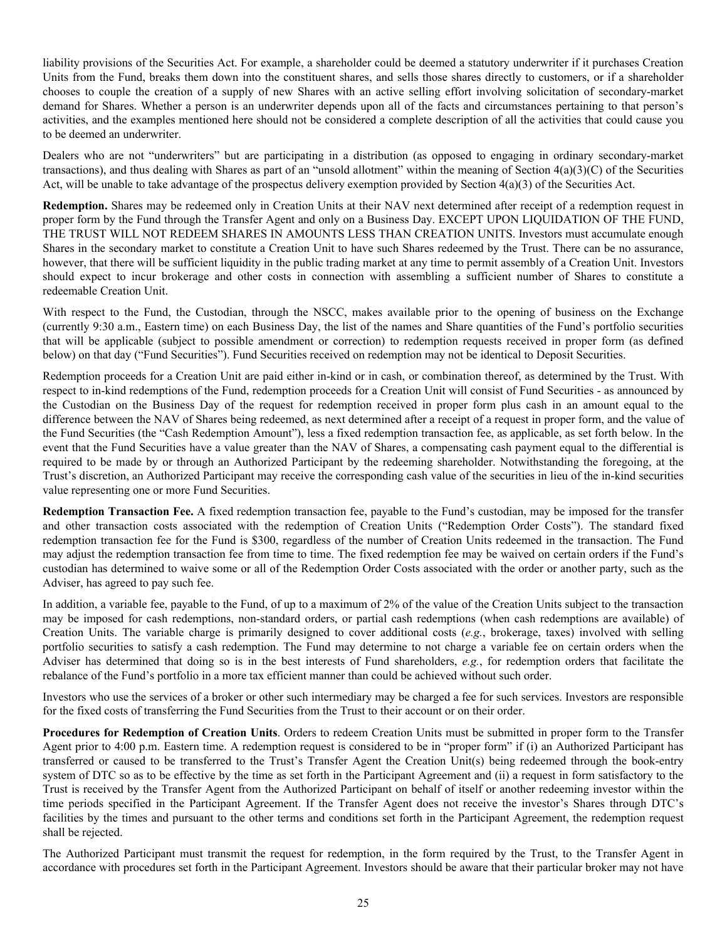liability provisions of the Securities Act. For example, a shareholder could be deemed a statutory underwriter if it purchases Creation Units from the Fund, breaks them down into the constituent shares, and sells those shares directly to customers, or if a shareholder chooses to couple the creation of a supply of new Shares with an active selling effort involving solicitation of secondary-market demand for Shares. Whether a person is an underwriter depends upon all of the facts and circumstances pertaining to that person's activities, and the examples mentioned here should not be considered a complete description of all the activities that could cause you to be deemed an underwriter.

Dealers who are not "underwriters" but are participating in a distribution (as opposed to engaging in ordinary secondary-market transactions), and thus dealing with Shares as part of an "unsold allotment" within the meaning of Section 4(a)(3)(C) of the Securities Act, will be unable to take advantage of the prospectus delivery exemption provided by Section  $4(a)(3)$  of the Securities Act.

**Redemption.** Shares may be redeemed only in Creation Units at their NAV next determined after receipt of a redemption request in proper form by the Fund through the Transfer Agent and only on a Business Day. EXCEPT UPON LIQUIDATION OF THE FUND, THE TRUST WILL NOT REDEEM SHARES IN AMOUNTS LESS THAN CREATION UNITS. Investors must accumulate enough Shares in the secondary market to constitute a Creation Unit to have such Shares redeemed by the Trust. There can be no assurance, however, that there will be sufficient liquidity in the public trading market at any time to permit assembly of a Creation Unit. Investors should expect to incur brokerage and other costs in connection with assembling a sufficient number of Shares to constitute a redeemable Creation Unit.

With respect to the Fund, the Custodian, through the NSCC, makes available prior to the opening of business on the Exchange (currently 9:30 a.m., Eastern time) on each Business Day, the list of the names and Share quantities of the Fund's portfolio securities that will be applicable (subject to possible amendment or correction) to redemption requests received in proper form (as defined below) on that day ("Fund Securities"). Fund Securities received on redemption may not be identical to Deposit Securities.

Redemption proceeds for a Creation Unit are paid either in-kind or in cash, or combination thereof, as determined by the Trust. With respect to in-kind redemptions of the Fund, redemption proceeds for a Creation Unit will consist of Fund Securities - as announced by the Custodian on the Business Day of the request for redemption received in proper form plus cash in an amount equal to the difference between the NAV of Shares being redeemed, as next determined after a receipt of a request in proper form, and the value of the Fund Securities (the "Cash Redemption Amount"), less a fixed redemption transaction fee, as applicable, as set forth below. In the event that the Fund Securities have a value greater than the NAV of Shares, a compensating cash payment equal to the differential is required to be made by or through an Authorized Participant by the redeeming shareholder. Notwithstanding the foregoing, at the Trust's discretion, an Authorized Participant may receive the corresponding cash value of the securities in lieu of the in-kind securities value representing one or more Fund Securities.

**Redemption Transaction Fee.** A fixed redemption transaction fee, payable to the Fund's custodian, may be imposed for the transfer and other transaction costs associated with the redemption of Creation Units ("Redemption Order Costs"). The standard fixed redemption transaction fee for the Fund is \$300, regardless of the number of Creation Units redeemed in the transaction. The Fund may adjust the redemption transaction fee from time to time. The fixed redemption fee may be waived on certain orders if the Fund's custodian has determined to waive some or all of the Redemption Order Costs associated with the order or another party, such as the Adviser, has agreed to pay such fee.

In addition, a variable fee, payable to the Fund, of up to a maximum of 2% of the value of the Creation Units subject to the transaction may be imposed for cash redemptions, non-standard orders, or partial cash redemptions (when cash redemptions are available) of Creation Units. The variable charge is primarily designed to cover additional costs (*e.g.*, brokerage, taxes) involved with selling portfolio securities to satisfy a cash redemption. The Fund may determine to not charge a variable fee on certain orders when the Adviser has determined that doing so is in the best interests of Fund shareholders, *e.g.*, for redemption orders that facilitate the rebalance of the Fund's portfolio in a more tax efficient manner than could be achieved without such order.

Investors who use the services of a broker or other such intermediary may be charged a fee for such services. Investors are responsible for the fixed costs of transferring the Fund Securities from the Trust to their account or on their order.

**Procedures for Redemption of Creation Units**. Orders to redeem Creation Units must be submitted in proper form to the Transfer Agent prior to 4:00 p.m. Eastern time. A redemption request is considered to be in "proper form" if (i) an Authorized Participant has transferred or caused to be transferred to the Trust's Transfer Agent the Creation Unit(s) being redeemed through the book-entry system of DTC so as to be effective by the time as set forth in the Participant Agreement and (ii) a request in form satisfactory to the Trust is received by the Transfer Agent from the Authorized Participant on behalf of itself or another redeeming investor within the time periods specified in the Participant Agreement. If the Transfer Agent does not receive the investor's Shares through DTC's facilities by the times and pursuant to the other terms and conditions set forth in the Participant Agreement, the redemption request shall be rejected.

The Authorized Participant must transmit the request for redemption, in the form required by the Trust, to the Transfer Agent in accordance with procedures set forth in the Participant Agreement. Investors should be aware that their particular broker may not have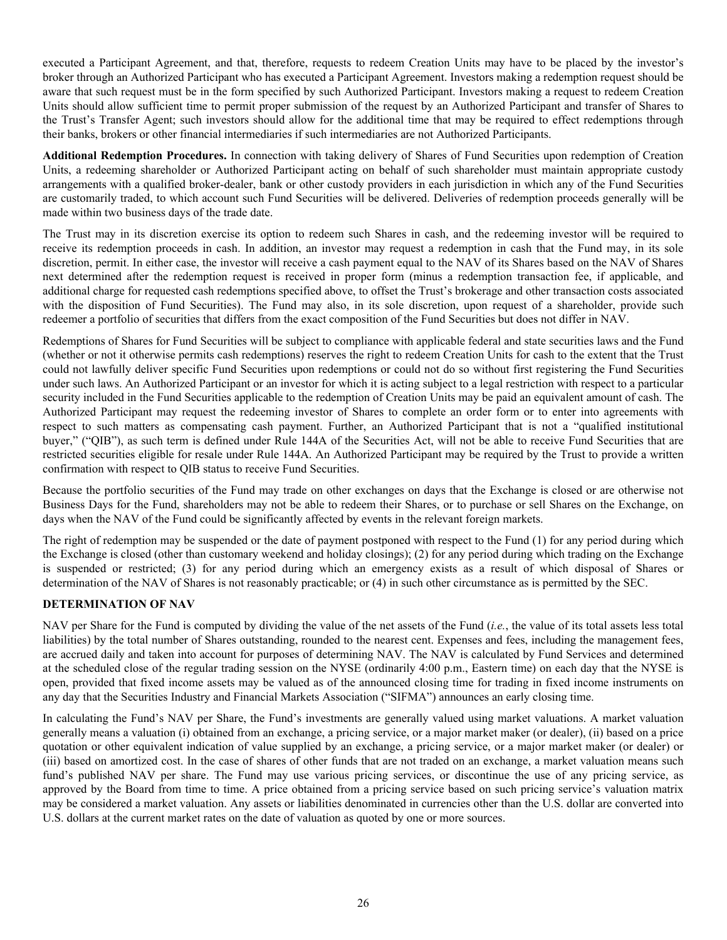<span id="page-26-0"></span>executed a Participant Agreement, and that, therefore, requests to redeem Creation Units may have to be placed by the investor's broker through an Authorized Participant who has executed a Participant Agreement. Investors making a redemption request should be aware that such request must be in the form specified by such Authorized Participant. Investors making a request to redeem Creation Units should allow sufficient time to permit proper submission of the request by an Authorized Participant and transfer of Shares to the Trust's Transfer Agent; such investors should allow for the additional time that may be required to effect redemptions through their banks, brokers or other financial intermediaries if such intermediaries are not Authorized Participants.

**Additional Redemption Procedures.** In connection with taking delivery of Shares of Fund Securities upon redemption of Creation Units, a redeeming shareholder or Authorized Participant acting on behalf of such shareholder must maintain appropriate custody arrangements with a qualified broker-dealer, bank or other custody providers in each jurisdiction in which any of the Fund Securities are customarily traded, to which account such Fund Securities will be delivered. Deliveries of redemption proceeds generally will be made within two business days of the trade date.

The Trust may in its discretion exercise its option to redeem such Shares in cash, and the redeeming investor will be required to receive its redemption proceeds in cash. In addition, an investor may request a redemption in cash that the Fund may, in its sole discretion, permit. In either case, the investor will receive a cash payment equal to the NAV of its Shares based on the NAV of Shares next determined after the redemption request is received in proper form (minus a redemption transaction fee, if applicable, and additional charge for requested cash redemptions specified above, to offset the Trust's brokerage and other transaction costs associated with the disposition of Fund Securities). The Fund may also, in its sole discretion, upon request of a shareholder, provide such redeemer a portfolio of securities that differs from the exact composition of the Fund Securities but does not differ in NAV.

Redemptions of Shares for Fund Securities will be subject to compliance with applicable federal and state securities laws and the Fund (whether or not it otherwise permits cash redemptions) reserves the right to redeem Creation Units for cash to the extent that the Trust could not lawfully deliver specific Fund Securities upon redemptions or could not do so without first registering the Fund Securities under such laws. An Authorized Participant or an investor for which it is acting subject to a legal restriction with respect to a particular security included in the Fund Securities applicable to the redemption of Creation Units may be paid an equivalent amount of cash. The Authorized Participant may request the redeeming investor of Shares to complete an order form or to enter into agreements with respect to such matters as compensating cash payment. Further, an Authorized Participant that is not a "qualified institutional buyer," ("QIB"), as such term is defined under Rule 144A of the Securities Act, will not be able to receive Fund Securities that are restricted securities eligible for resale under Rule 144A. An Authorized Participant may be required by the Trust to provide a written confirmation with respect to QIB status to receive Fund Securities.

Because the portfolio securities of the Fund may trade on other exchanges on days that the Exchange is closed or are otherwise not Business Days for the Fund, shareholders may not be able to redeem their Shares, or to purchase or sell Shares on the Exchange, on days when the NAV of the Fund could be significantly affected by events in the relevant foreign markets.

The right of redemption may be suspended or the date of payment postponed with respect to the Fund (1) for any period during which the Exchange is closed (other than customary weekend and holiday closings); (2) for any period during which trading on the Exchange is suspended or restricted; (3) for any period during which an emergency exists as a result of which disposal of Shares or determination of the NAV of Shares is not reasonably practicable; or (4) in such other circumstance as is permitted by the SEC.

# **DETERMINATION OF NAV**

NAV per Share for the Fund is computed by dividing the value of the net assets of the Fund (*i.e.*, the value of its total assets less total liabilities) by the total number of Shares outstanding, rounded to the nearest cent. Expenses and fees, including the management fees, are accrued daily and taken into account for purposes of determining NAV. The NAV is calculated by Fund Services and determined at the scheduled close of the regular trading session on the NYSE (ordinarily 4:00 p.m., Eastern time) on each day that the NYSE is open, provided that fixed income assets may be valued as of the announced closing time for trading in fixed income instruments on any day that the Securities Industry and Financial Markets Association ("SIFMA") announces an early closing time.

In calculating the Fund's NAV per Share, the Fund's investments are generally valued using market valuations. A market valuation generally means a valuation (i) obtained from an exchange, a pricing service, or a major market maker (or dealer), (ii) based on a price quotation or other equivalent indication of value supplied by an exchange, a pricing service, or a major market maker (or dealer) or (iii) based on amortized cost. In the case of shares of other funds that are not traded on an exchange, a market valuation means such fund's published NAV per share. The Fund may use various pricing services, or discontinue the use of any pricing service, as approved by the Board from time to time. A price obtained from a pricing service based on such pricing service's valuation matrix may be considered a market valuation. Any assets or liabilities denominated in currencies other than the U.S. dollar are converted into U.S. dollars at the current market rates on the date of valuation as quoted by one or more sources.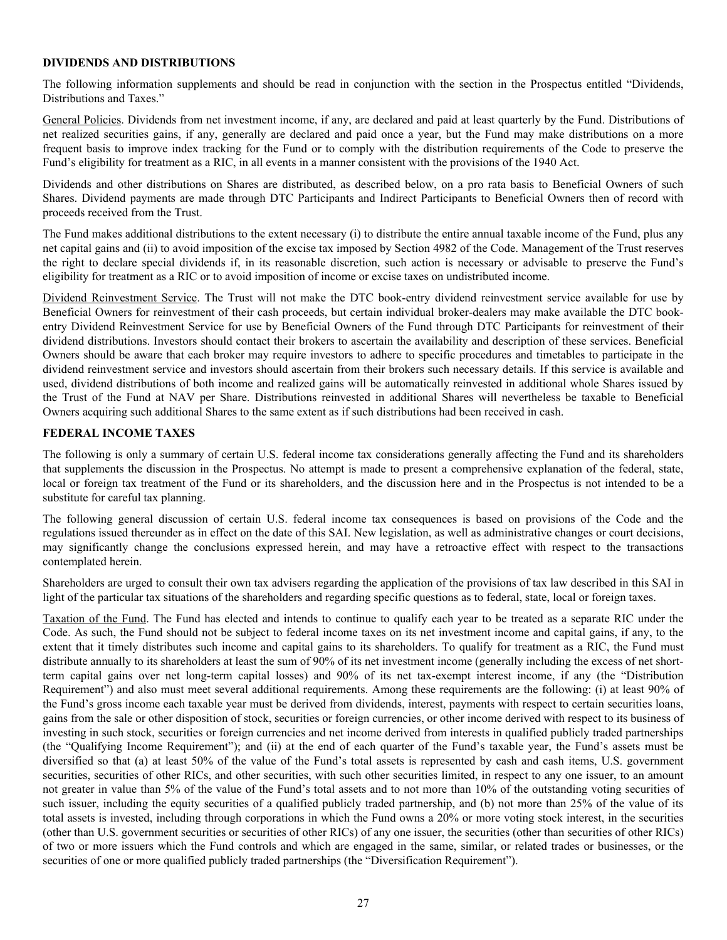# <span id="page-27-0"></span>**DIVIDENDS AND DISTRIBUTIONS**

The following information supplements and should be read in conjunction with the section in the Prospectus entitled "Dividends, Distributions and Taxes."

General Policies. Dividends from net investment income, if any, are declared and paid at least quarterly by the Fund. Distributions of net realized securities gains, if any, generally are declared and paid once a year, but the Fund may make distributions on a more frequent basis to improve index tracking for the Fund or to comply with the distribution requirements of the Code to preserve the Fund's eligibility for treatment as a RIC, in all events in a manner consistent with the provisions of the 1940 Act.

Dividends and other distributions on Shares are distributed, as described below, on a pro rata basis to Beneficial Owners of such Shares. Dividend payments are made through DTC Participants and Indirect Participants to Beneficial Owners then of record with proceeds received from the Trust.

The Fund makes additional distributions to the extent necessary (i) to distribute the entire annual taxable income of the Fund, plus any net capital gains and (ii) to avoid imposition of the excise tax imposed by Section 4982 of the Code. Management of the Trust reserves the right to declare special dividends if, in its reasonable discretion, such action is necessary or advisable to preserve the Fund's eligibility for treatment as a RIC or to avoid imposition of income or excise taxes on undistributed income.

Dividend Reinvestment Service. The Trust will not make the DTC book-entry dividend reinvestment service available for use by Beneficial Owners for reinvestment of their cash proceeds, but certain individual broker-dealers may make available the DTC bookentry Dividend Reinvestment Service for use by Beneficial Owners of the Fund through DTC Participants for reinvestment of their dividend distributions. Investors should contact their brokers to ascertain the availability and description of these services. Beneficial Owners should be aware that each broker may require investors to adhere to specific procedures and timetables to participate in the dividend reinvestment service and investors should ascertain from their brokers such necessary details. If this service is available and used, dividend distributions of both income and realized gains will be automatically reinvested in additional whole Shares issued by the Trust of the Fund at NAV per Share. Distributions reinvested in additional Shares will nevertheless be taxable to Beneficial Owners acquiring such additional Shares to the same extent as if such distributions had been received in cash.

# **FEDERAL INCOME TAXES**

The following is only a summary of certain U.S. federal income tax considerations generally affecting the Fund and its shareholders that supplements the discussion in the Prospectus. No attempt is made to present a comprehensive explanation of the federal, state, local or foreign tax treatment of the Fund or its shareholders, and the discussion here and in the Prospectus is not intended to be a substitute for careful tax planning.

The following general discussion of certain U.S. federal income tax consequences is based on provisions of the Code and the regulations issued thereunder as in effect on the date of this SAI. New legislation, as well as administrative changes or court decisions, may significantly change the conclusions expressed herein, and may have a retroactive effect with respect to the transactions contemplated herein.

Shareholders are urged to consult their own tax advisers regarding the application of the provisions of tax law described in this SAI in light of the particular tax situations of the shareholders and regarding specific questions as to federal, state, local or foreign taxes.

Taxation of the Fund. The Fund has elected and intends to continue to qualify each year to be treated as a separate RIC under the Code. As such, the Fund should not be subject to federal income taxes on its net investment income and capital gains, if any, to the extent that it timely distributes such income and capital gains to its shareholders. To qualify for treatment as a RIC, the Fund must distribute annually to its shareholders at least the sum of 90% of its net investment income (generally including the excess of net shortterm capital gains over net long-term capital losses) and 90% of its net tax-exempt interest income, if any (the "Distribution Requirement") and also must meet several additional requirements. Among these requirements are the following: (i) at least 90% of the Fund's gross income each taxable year must be derived from dividends, interest, payments with respect to certain securities loans, gains from the sale or other disposition of stock, securities or foreign currencies, or other income derived with respect to its business of investing in such stock, securities or foreign currencies and net income derived from interests in qualified publicly traded partnerships (the "Qualifying Income Requirement"); and (ii) at the end of each quarter of the Fund's taxable year, the Fund's assets must be diversified so that (a) at least 50% of the value of the Fund's total assets is represented by cash and cash items, U.S. government securities, securities of other RICs, and other securities, with such other securities limited, in respect to any one issuer, to an amount not greater in value than 5% of the value of the Fund's total assets and to not more than 10% of the outstanding voting securities of such issuer, including the equity securities of a qualified publicly traded partnership, and (b) not more than 25% of the value of its total assets is invested, including through corporations in which the Fund owns a 20% or more voting stock interest, in the securities (other than U.S. government securities or securities of other RICs) of any one issuer, the securities (other than securities of other RICs) of two or more issuers which the Fund controls and which are engaged in the same, similar, or related trades or businesses, or the securities of one or more qualified publicly traded partnerships (the "Diversification Requirement").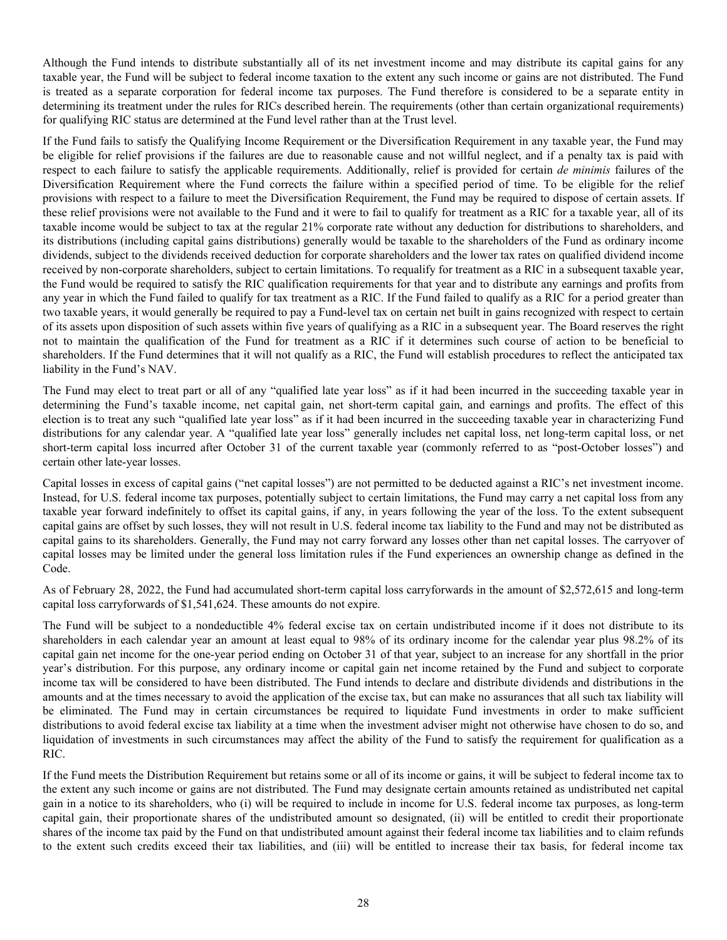Although the Fund intends to distribute substantially all of its net investment income and may distribute its capital gains for any taxable year, the Fund will be subject to federal income taxation to the extent any such income or gains are not distributed. The Fund is treated as a separate corporation for federal income tax purposes. The Fund therefore is considered to be a separate entity in determining its treatment under the rules for RICs described herein. The requirements (other than certain organizational requirements) for qualifying RIC status are determined at the Fund level rather than at the Trust level.

If the Fund fails to satisfy the Qualifying Income Requirement or the Diversification Requirement in any taxable year, the Fund may be eligible for relief provisions if the failures are due to reasonable cause and not willful neglect, and if a penalty tax is paid with respect to each failure to satisfy the applicable requirements. Additionally, relief is provided for certain *de minimis* failures of the Diversification Requirement where the Fund corrects the failure within a specified period of time. To be eligible for the relief provisions with respect to a failure to meet the Diversification Requirement, the Fund may be required to dispose of certain assets. If these relief provisions were not available to the Fund and it were to fail to qualify for treatment as a RIC for a taxable year, all of its taxable income would be subject to tax at the regular 21% corporate rate without any deduction for distributions to shareholders, and its distributions (including capital gains distributions) generally would be taxable to the shareholders of the Fund as ordinary income dividends, subject to the dividends received deduction for corporate shareholders and the lower tax rates on qualified dividend income received by non-corporate shareholders, subject to certain limitations. To requalify for treatment as a RIC in a subsequent taxable year, the Fund would be required to satisfy the RIC qualification requirements for that year and to distribute any earnings and profits from any year in which the Fund failed to qualify for tax treatment as a RIC. If the Fund failed to qualify as a RIC for a period greater than two taxable years, it would generally be required to pay a Fund-level tax on certain net built in gains recognized with respect to certain of its assets upon disposition of such assets within five years of qualifying as a RIC in a subsequent year. The Board reserves the right not to maintain the qualification of the Fund for treatment as a RIC if it determines such course of action to be beneficial to shareholders. If the Fund determines that it will not qualify as a RIC, the Fund will establish procedures to reflect the anticipated tax liability in the Fund's NAV.

The Fund may elect to treat part or all of any "qualified late year loss" as if it had been incurred in the succeeding taxable year in determining the Fund's taxable income, net capital gain, net short-term capital gain, and earnings and profits. The effect of this election is to treat any such "qualified late year loss" as if it had been incurred in the succeeding taxable year in characterizing Fund distributions for any calendar year. A "qualified late year loss" generally includes net capital loss, net long-term capital loss, or net short-term capital loss incurred after October 31 of the current taxable year (commonly referred to as "post-October losses") and certain other late-year losses.

Capital losses in excess of capital gains ("net capital losses") are not permitted to be deducted against a RIC's net investment income. Instead, for U.S. federal income tax purposes, potentially subject to certain limitations, the Fund may carry a net capital loss from any taxable year forward indefinitely to offset its capital gains, if any, in years following the year of the loss. To the extent subsequent capital gains are offset by such losses, they will not result in U.S. federal income tax liability to the Fund and may not be distributed as capital gains to its shareholders. Generally, the Fund may not carry forward any losses other than net capital losses. The carryover of capital losses may be limited under the general loss limitation rules if the Fund experiences an ownership change as defined in the Code.

As of February 28, 2022, the Fund had accumulated short-term capital loss carryforwards in the amount of \$2,572,615 and long-term capital loss carryforwards of \$1,541,624. These amounts do not expire.

The Fund will be subject to a nondeductible 4% federal excise tax on certain undistributed income if it does not distribute to its shareholders in each calendar year an amount at least equal to 98% of its ordinary income for the calendar year plus 98.2% of its capital gain net income for the one-year period ending on October 31 of that year, subject to an increase for any shortfall in the prior year's distribution. For this purpose, any ordinary income or capital gain net income retained by the Fund and subject to corporate income tax will be considered to have been distributed. The Fund intends to declare and distribute dividends and distributions in the amounts and at the times necessary to avoid the application of the excise tax, but can make no assurances that all such tax liability will be eliminated. The Fund may in certain circumstances be required to liquidate Fund investments in order to make sufficient distributions to avoid federal excise tax liability at a time when the investment adviser might not otherwise have chosen to do so, and liquidation of investments in such circumstances may affect the ability of the Fund to satisfy the requirement for qualification as a RIC.

If the Fund meets the Distribution Requirement but retains some or all of its income or gains, it will be subject to federal income tax to the extent any such income or gains are not distributed. The Fund may designate certain amounts retained as undistributed net capital gain in a notice to its shareholders, who (i) will be required to include in income for U.S. federal income tax purposes, as long-term capital gain, their proportionate shares of the undistributed amount so designated, (ii) will be entitled to credit their proportionate shares of the income tax paid by the Fund on that undistributed amount against their federal income tax liabilities and to claim refunds to the extent such credits exceed their tax liabilities, and (iii) will be entitled to increase their tax basis, for federal income tax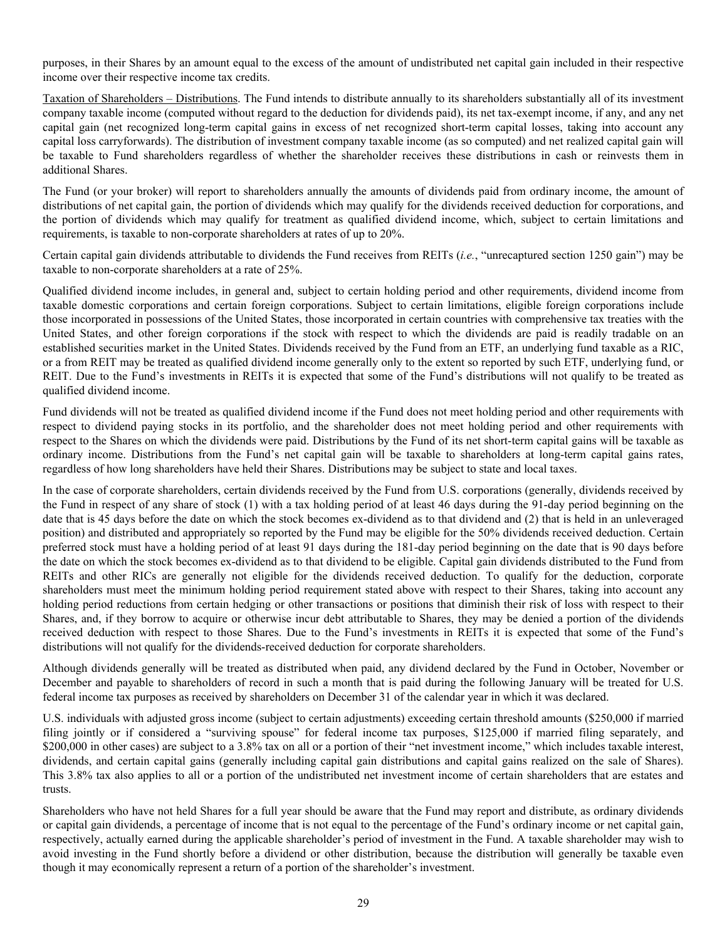purposes, in their Shares by an amount equal to the excess of the amount of undistributed net capital gain included in their respective income over their respective income tax credits.

Taxation of Shareholders – Distributions. The Fund intends to distribute annually to its shareholders substantially all of its investment company taxable income (computed without regard to the deduction for dividends paid), its net tax-exempt income, if any, and any net capital gain (net recognized long-term capital gains in excess of net recognized short-term capital losses, taking into account any capital loss carryforwards). The distribution of investment company taxable income (as so computed) and net realized capital gain will be taxable to Fund shareholders regardless of whether the shareholder receives these distributions in cash or reinvests them in additional Shares.

The Fund (or your broker) will report to shareholders annually the amounts of dividends paid from ordinary income, the amount of distributions of net capital gain, the portion of dividends which may qualify for the dividends received deduction for corporations, and the portion of dividends which may qualify for treatment as qualified dividend income, which, subject to certain limitations and requirements, is taxable to non-corporate shareholders at rates of up to 20%.

Certain capital gain dividends attributable to dividends the Fund receives from REITs (*i.e.*, "unrecaptured section 1250 gain") may be taxable to non-corporate shareholders at a rate of 25%.

Qualified dividend income includes, in general and, subject to certain holding period and other requirements, dividend income from taxable domestic corporations and certain foreign corporations. Subject to certain limitations, eligible foreign corporations include those incorporated in possessions of the United States, those incorporated in certain countries with comprehensive tax treaties with the United States, and other foreign corporations if the stock with respect to which the dividends are paid is readily tradable on an established securities market in the United States. Dividends received by the Fund from an ETF, an underlying fund taxable as a RIC, or a from REIT may be treated as qualified dividend income generally only to the extent so reported by such ETF, underlying fund, or REIT. Due to the Fund's investments in REITs it is expected that some of the Fund's distributions will not qualify to be treated as qualified dividend income.

Fund dividends will not be treated as qualified dividend income if the Fund does not meet holding period and other requirements with respect to dividend paying stocks in its portfolio, and the shareholder does not meet holding period and other requirements with respect to the Shares on which the dividends were paid. Distributions by the Fund of its net short-term capital gains will be taxable as ordinary income. Distributions from the Fund's net capital gain will be taxable to shareholders at long-term capital gains rates, regardless of how long shareholders have held their Shares. Distributions may be subject to state and local taxes.

In the case of corporate shareholders, certain dividends received by the Fund from U.S. corporations (generally, dividends received by the Fund in respect of any share of stock (1) with a tax holding period of at least 46 days during the 91-day period beginning on the date that is 45 days before the date on which the stock becomes ex-dividend as to that dividend and (2) that is held in an unleveraged position) and distributed and appropriately so reported by the Fund may be eligible for the 50% dividends received deduction. Certain preferred stock must have a holding period of at least 91 days during the 181-day period beginning on the date that is 90 days before the date on which the stock becomes ex-dividend as to that dividend to be eligible. Capital gain dividends distributed to the Fund from REITs and other RICs are generally not eligible for the dividends received deduction. To qualify for the deduction, corporate shareholders must meet the minimum holding period requirement stated above with respect to their Shares, taking into account any holding period reductions from certain hedging or other transactions or positions that diminish their risk of loss with respect to their Shares, and, if they borrow to acquire or otherwise incur debt attributable to Shares, they may be denied a portion of the dividends received deduction with respect to those Shares. Due to the Fund's investments in REITs it is expected that some of the Fund's distributions will not qualify for the dividends-received deduction for corporate shareholders.

Although dividends generally will be treated as distributed when paid, any dividend declared by the Fund in October, November or December and payable to shareholders of record in such a month that is paid during the following January will be treated for U.S. federal income tax purposes as received by shareholders on December 31 of the calendar year in which it was declared.

U.S. individuals with adjusted gross income (subject to certain adjustments) exceeding certain threshold amounts (\$250,000 if married filing jointly or if considered a "surviving spouse" for federal income tax purposes, \$125,000 if married filing separately, and \$200,000 in other cases) are subject to a 3.8% tax on all or a portion of their "net investment income," which includes taxable interest, dividends, and certain capital gains (generally including capital gain distributions and capital gains realized on the sale of Shares). This 3.8% tax also applies to all or a portion of the undistributed net investment income of certain shareholders that are estates and trusts.

Shareholders who have not held Shares for a full year should be aware that the Fund may report and distribute, as ordinary dividends or capital gain dividends, a percentage of income that is not equal to the percentage of the Fund's ordinary income or net capital gain, respectively, actually earned during the applicable shareholder's period of investment in the Fund. A taxable shareholder may wish to avoid investing in the Fund shortly before a dividend or other distribution, because the distribution will generally be taxable even though it may economically represent a return of a portion of the shareholder's investment.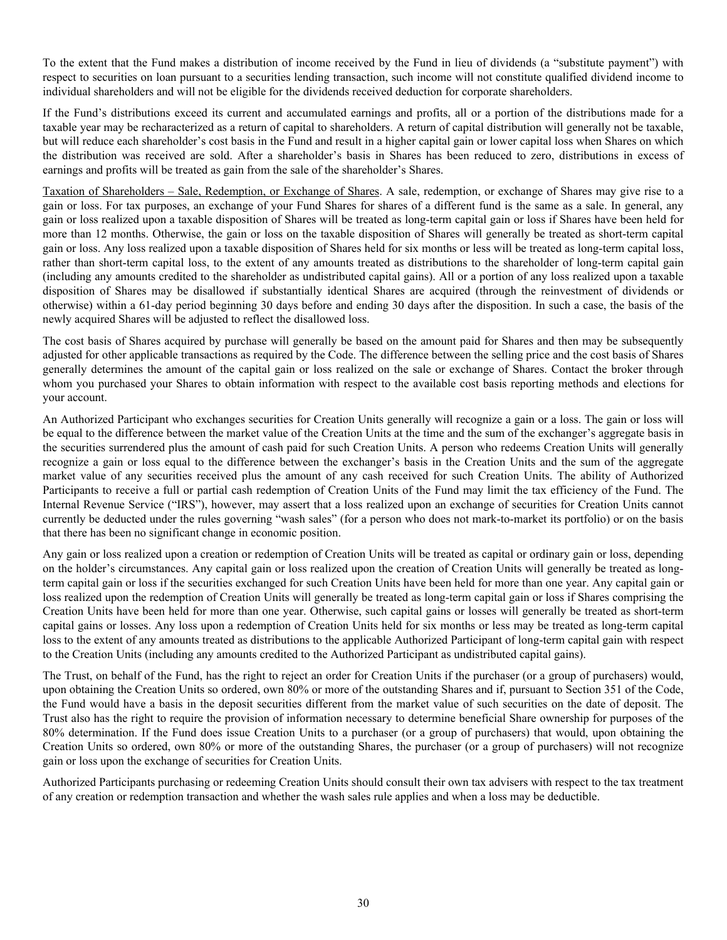To the extent that the Fund makes a distribution of income received by the Fund in lieu of dividends (a "substitute payment") with respect to securities on loan pursuant to a securities lending transaction, such income will not constitute qualified dividend income to individual shareholders and will not be eligible for the dividends received deduction for corporate shareholders.

If the Fund's distributions exceed its current and accumulated earnings and profits, all or a portion of the distributions made for a taxable year may be recharacterized as a return of capital to shareholders. A return of capital distribution will generally not be taxable, but will reduce each shareholder's cost basis in the Fund and result in a higher capital gain or lower capital loss when Shares on which the distribution was received are sold. After a shareholder's basis in Shares has been reduced to zero, distributions in excess of earnings and profits will be treated as gain from the sale of the shareholder's Shares.

Taxation of Shareholders – Sale, Redemption, or Exchange of Shares. A sale, redemption, or exchange of Shares may give rise to a gain or loss. For tax purposes, an exchange of your Fund Shares for shares of a different fund is the same as a sale. In general, any gain or loss realized upon a taxable disposition of Shares will be treated as long-term capital gain or loss if Shares have been held for more than 12 months. Otherwise, the gain or loss on the taxable disposition of Shares will generally be treated as short-term capital gain or loss. Any loss realized upon a taxable disposition of Shares held for six months or less will be treated as long-term capital loss, rather than short-term capital loss, to the extent of any amounts treated as distributions to the shareholder of long-term capital gain (including any amounts credited to the shareholder as undistributed capital gains). All or a portion of any loss realized upon a taxable disposition of Shares may be disallowed if substantially identical Shares are acquired (through the reinvestment of dividends or otherwise) within a 61-day period beginning 30 days before and ending 30 days after the disposition. In such a case, the basis of the newly acquired Shares will be adjusted to reflect the disallowed loss.

The cost basis of Shares acquired by purchase will generally be based on the amount paid for Shares and then may be subsequently adjusted for other applicable transactions as required by the Code. The difference between the selling price and the cost basis of Shares generally determines the amount of the capital gain or loss realized on the sale or exchange of Shares. Contact the broker through whom you purchased your Shares to obtain information with respect to the available cost basis reporting methods and elections for your account.

An Authorized Participant who exchanges securities for Creation Units generally will recognize a gain or a loss. The gain or loss will be equal to the difference between the market value of the Creation Units at the time and the sum of the exchanger's aggregate basis in the securities surrendered plus the amount of cash paid for such Creation Units. A person who redeems Creation Units will generally recognize a gain or loss equal to the difference between the exchanger's basis in the Creation Units and the sum of the aggregate market value of any securities received plus the amount of any cash received for such Creation Units. The ability of Authorized Participants to receive a full or partial cash redemption of Creation Units of the Fund may limit the tax efficiency of the Fund. The Internal Revenue Service ("IRS"), however, may assert that a loss realized upon an exchange of securities for Creation Units cannot currently be deducted under the rules governing "wash sales" (for a person who does not mark-to-market its portfolio) or on the basis that there has been no significant change in economic position.

Any gain or loss realized upon a creation or redemption of Creation Units will be treated as capital or ordinary gain or loss, depending on the holder's circumstances. Any capital gain or loss realized upon the creation of Creation Units will generally be treated as longterm capital gain or loss if the securities exchanged for such Creation Units have been held for more than one year. Any capital gain or loss realized upon the redemption of Creation Units will generally be treated as long-term capital gain or loss if Shares comprising the Creation Units have been held for more than one year. Otherwise, such capital gains or losses will generally be treated as short-term capital gains or losses. Any loss upon a redemption of Creation Units held for six months or less may be treated as long-term capital loss to the extent of any amounts treated as distributions to the applicable Authorized Participant of long-term capital gain with respect to the Creation Units (including any amounts credited to the Authorized Participant as undistributed capital gains).

The Trust, on behalf of the Fund, has the right to reject an order for Creation Units if the purchaser (or a group of purchasers) would, upon obtaining the Creation Units so ordered, own 80% or more of the outstanding Shares and if, pursuant to Section 351 of the Code, the Fund would have a basis in the deposit securities different from the market value of such securities on the date of deposit. The Trust also has the right to require the provision of information necessary to determine beneficial Share ownership for purposes of the 80% determination. If the Fund does issue Creation Units to a purchaser (or a group of purchasers) that would, upon obtaining the Creation Units so ordered, own 80% or more of the outstanding Shares, the purchaser (or a group of purchasers) will not recognize gain or loss upon the exchange of securities for Creation Units.

Authorized Participants purchasing or redeeming Creation Units should consult their own tax advisers with respect to the tax treatment of any creation or redemption transaction and whether the wash sales rule applies and when a loss may be deductible.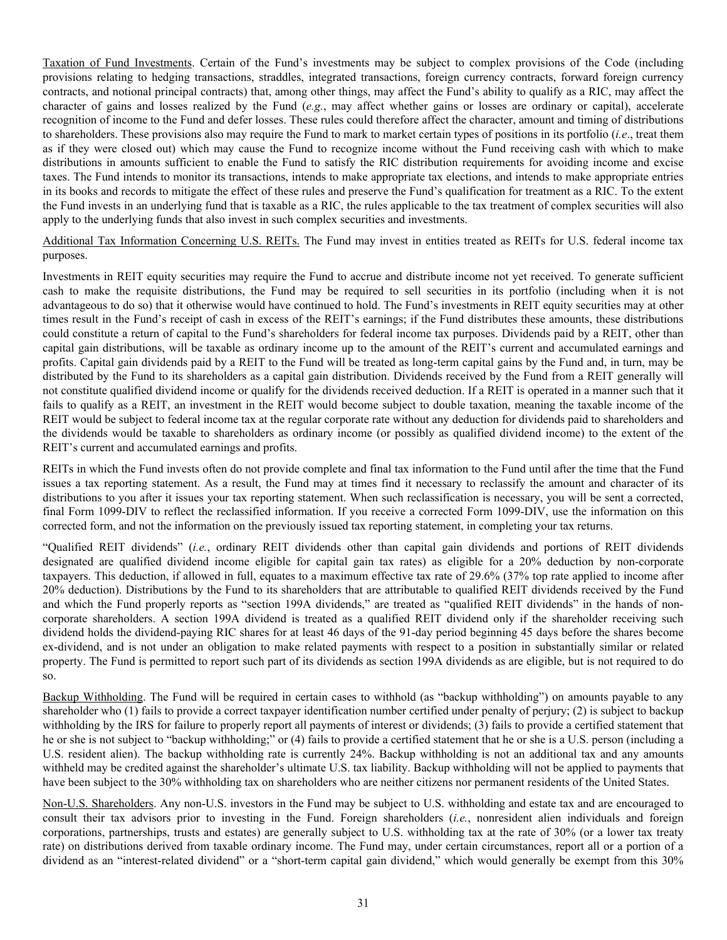Taxation of Fund Investments. Certain of the Fund's investments may be subject to complex provisions of the Code (including provisions relating to hedging transactions, straddles, integrated transactions, foreign currency contracts, forward foreign currency contracts, and notional principal contracts) that, among other things, may affect the Fund's ability to qualify as a RIC, may affect the character of gains and losses realized by the Fund (*e.g.*, may affect whether gains or losses are ordinary or capital), accelerate recognition of income to the Fund and defer losses. These rules could therefore affect the character, amount and timing of distributions to shareholders. These provisions also may require the Fund to mark to market certain types of positions in its portfolio (*i.e*., treat them as if they were closed out) which may cause the Fund to recognize income without the Fund receiving cash with which to make distributions in amounts sufficient to enable the Fund to satisfy the RIC distribution requirements for avoiding income and excise taxes. The Fund intends to monitor its transactions, intends to make appropriate tax elections, and intends to make appropriate entries in its books and records to mitigate the effect of these rules and preserve the Fund's qualification for treatment as a RIC. To the extent the Fund invests in an underlying fund that is taxable as a RIC, the rules applicable to the tax treatment of complex securities will also apply to the underlying funds that also invest in such complex securities and investments.

Additional Tax Information Concerning U.S. REITs. The Fund may invest in entities treated as REITs for U.S. federal income tax purposes.

Investments in REIT equity securities may require the Fund to accrue and distribute income not yet received. To generate sufficient cash to make the requisite distributions, the Fund may be required to sell securities in its portfolio (including when it is not advantageous to do so) that it otherwise would have continued to hold. The Fund's investments in REIT equity securities may at other times result in the Fund's receipt of cash in excess of the REIT's earnings; if the Fund distributes these amounts, these distributions could constitute a return of capital to the Fund's shareholders for federal income tax purposes. Dividends paid by a REIT, other than capital gain distributions, will be taxable as ordinary income up to the amount of the REIT's current and accumulated earnings and profits. Capital gain dividends paid by a REIT to the Fund will be treated as long-term capital gains by the Fund and, in turn, may be distributed by the Fund to its shareholders as a capital gain distribution. Dividends received by the Fund from a REIT generally will not constitute qualified dividend income or qualify for the dividends received deduction. If a REIT is operated in a manner such that it fails to qualify as a REIT, an investment in the REIT would become subject to double taxation, meaning the taxable income of the REIT would be subject to federal income tax at the regular corporate rate without any deduction for dividends paid to shareholders and the dividends would be taxable to shareholders as ordinary income (or possibly as qualified dividend income) to the extent of the REIT's current and accumulated earnings and profits.

REITs in which the Fund invests often do not provide complete and final tax information to the Fund until after the time that the Fund issues a tax reporting statement. As a result, the Fund may at times find it necessary to reclassify the amount and character of its distributions to you after it issues your tax reporting statement. When such reclassification is necessary, you will be sent a corrected, final Form 1099-DIV to reflect the reclassified information. If you receive a corrected Form 1099-DIV, use the information on this corrected form, and not the information on the previously issued tax reporting statement, in completing your tax returns.

"Qualified REIT dividends" (*i.e.*, ordinary REIT dividends other than capital gain dividends and portions of REIT dividends designated are qualified dividend income eligible for capital gain tax rates) as eligible for a 20% deduction by non-corporate taxpayers. This deduction, if allowed in full, equates to a maximum effective tax rate of 29.6% (37% top rate applied to income after 20% deduction). Distributions by the Fund to its shareholders that are attributable to qualified REIT dividends received by the Fund and which the Fund properly reports as "section 199A dividends," are treated as "qualified REIT dividends" in the hands of noncorporate shareholders. A section 199A dividend is treated as a qualified REIT dividend only if the shareholder receiving such dividend holds the dividend-paying RIC shares for at least 46 days of the 91-day period beginning 45 days before the shares become ex-dividend, and is not under an obligation to make related payments with respect to a position in substantially similar or related property. The Fund is permitted to report such part of its dividends as section 199A dividends as are eligible, but is not required to do so.

Backup Withholding. The Fund will be required in certain cases to withhold (as "backup withholding") on amounts payable to any shareholder who (1) fails to provide a correct taxpayer identification number certified under penalty of perjury; (2) is subject to backup withholding by the IRS for failure to properly report all payments of interest or dividends; (3) fails to provide a certified statement that he or she is not subject to "backup withholding;" or (4) fails to provide a certified statement that he or she is a U.S. person (including a U.S. resident alien). The backup withholding rate is currently 24%. Backup withholding is not an additional tax and any amounts withheld may be credited against the shareholder's ultimate U.S. tax liability. Backup withholding will not be applied to payments that have been subject to the 30% withholding tax on shareholders who are neither citizens nor permanent residents of the United States.

Non-U.S. Shareholders. Any non-U.S. investors in the Fund may be subject to U.S. withholding and estate tax and are encouraged to consult their tax advisors prior to investing in the Fund. Foreign shareholders (*i.e.*, nonresident alien individuals and foreign corporations, partnerships, trusts and estates) are generally subject to U.S. withholding tax at the rate of 30% (or a lower tax treaty rate) on distributions derived from taxable ordinary income. The Fund may, under certain circumstances, report all or a portion of a dividend as an "interest-related dividend" or a "short-term capital gain dividend," which would generally be exempt from this 30%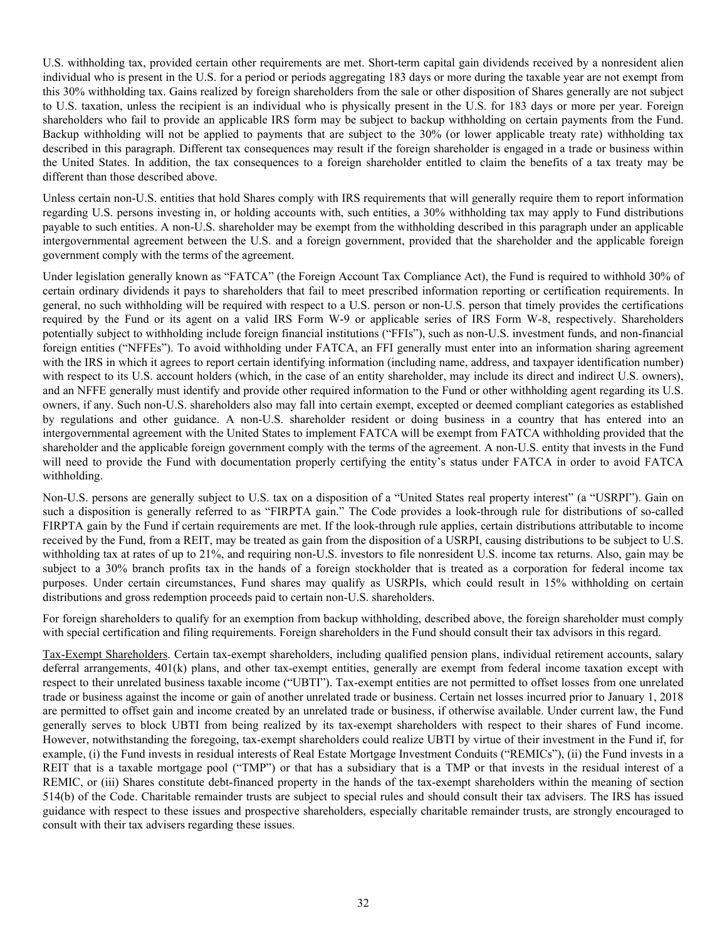U.S. withholding tax, provided certain other requirements are met. Short-term capital gain dividends received by a nonresident alien individual who is present in the U.S. for a period or periods aggregating 183 days or more during the taxable year are not exempt from this 30% withholding tax. Gains realized by foreign shareholders from the sale or other disposition of Shares generally are not subject to U.S. taxation, unless the recipient is an individual who is physically present in the U.S. for 183 days or more per year. Foreign shareholders who fail to provide an applicable IRS form may be subject to backup withholding on certain payments from the Fund. Backup withholding will not be applied to payments that are subject to the 30% (or lower applicable treaty rate) withholding tax described in this paragraph. Different tax consequences may result if the foreign shareholder is engaged in a trade or business within the United States. In addition, the tax consequences to a foreign shareholder entitled to claim the benefits of a tax treaty may be different than those described above.

Unless certain non-U.S. entities that hold Shares comply with IRS requirements that will generally require them to report information regarding U.S. persons investing in, or holding accounts with, such entities, a 30% withholding tax may apply to Fund distributions payable to such entities. A non-U.S. shareholder may be exempt from the withholding described in this paragraph under an applicable intergovernmental agreement between the U.S. and a foreign government, provided that the shareholder and the applicable foreign government comply with the terms of the agreement.

Under legislation generally known as "FATCA" (the Foreign Account Tax Compliance Act), the Fund is required to withhold 30% of certain ordinary dividends it pays to shareholders that fail to meet prescribed information reporting or certification requirements. In general, no such withholding will be required with respect to a U.S. person or non-U.S. person that timely provides the certifications required by the Fund or its agent on a valid IRS Form W-9 or applicable series of IRS Form W-8, respectively. Shareholders potentially subject to withholding include foreign financial institutions ("FFIs"), such as non-U.S. investment funds, and non-financial foreign entities ("NFFEs"). To avoid withholding under FATCA, an FFI generally must enter into an information sharing agreement with the IRS in which it agrees to report certain identifying information (including name, address, and taxpayer identification number) with respect to its U.S. account holders (which, in the case of an entity shareholder, may include its direct and indirect U.S. owners), and an NFFE generally must identify and provide other required information to the Fund or other withholding agent regarding its U.S. owners, if any. Such non-U.S. shareholders also may fall into certain exempt, excepted or deemed compliant categories as established by regulations and other guidance. A non-U.S. shareholder resident or doing business in a country that has entered into an intergovernmental agreement with the United States to implement FATCA will be exempt from FATCA withholding provided that the shareholder and the applicable foreign government comply with the terms of the agreement. A non-U.S. entity that invests in the Fund will need to provide the Fund with documentation properly certifying the entity's status under FATCA in order to avoid FATCA withholding.

Non-U.S. persons are generally subject to U.S. tax on a disposition of a "United States real property interest" (a "USRPI"). Gain on such a disposition is generally referred to as "FIRPTA gain." The Code provides a look-through rule for distributions of so-called FIRPTA gain by the Fund if certain requirements are met. If the look-through rule applies, certain distributions attributable to income received by the Fund, from a REIT, may be treated as gain from the disposition of a USRPI, causing distributions to be subject to U.S. withholding tax at rates of up to 21%, and requiring non-U.S. investors to file nonresident U.S. income tax returns. Also, gain may be subject to a 30% branch profits tax in the hands of a foreign stockholder that is treated as a corporation for federal income tax purposes. Under certain circumstances, Fund shares may qualify as USRPIs, which could result in 15% withholding on certain distributions and gross redemption proceeds paid to certain non-U.S. shareholders.

For foreign shareholders to qualify for an exemption from backup withholding, described above, the foreign shareholder must comply with special certification and filing requirements. Foreign shareholders in the Fund should consult their tax advisors in this regard.

Tax-Exempt Shareholders. Certain tax-exempt shareholders, including qualified pension plans, individual retirement accounts, salary deferral arrangements, 401(k) plans, and other tax-exempt entities, generally are exempt from federal income taxation except with respect to their unrelated business taxable income ("UBTI"). Tax-exempt entities are not permitted to offset losses from one unrelated trade or business against the income or gain of another unrelated trade or business. Certain net losses incurred prior to January 1, 2018 are permitted to offset gain and income created by an unrelated trade or business, if otherwise available. Under current law, the Fund generally serves to block UBTI from being realized by its tax-exempt shareholders with respect to their shares of Fund income. However, notwithstanding the foregoing, tax-exempt shareholders could realize UBTI by virtue of their investment in the Fund if, for example, (i) the Fund invests in residual interests of Real Estate Mortgage Investment Conduits ("REMICs"), (ii) the Fund invests in a REIT that is a taxable mortgage pool ("TMP") or that has a subsidiary that is a TMP or that invests in the residual interest of a REMIC, or (iii) Shares constitute debt-financed property in the hands of the tax-exempt shareholders within the meaning of section 514(b) of the Code. Charitable remainder trusts are subject to special rules and should consult their tax advisers. The IRS has issued guidance with respect to these issues and prospective shareholders, especially charitable remainder trusts, are strongly encouraged to consult with their tax advisers regarding these issues.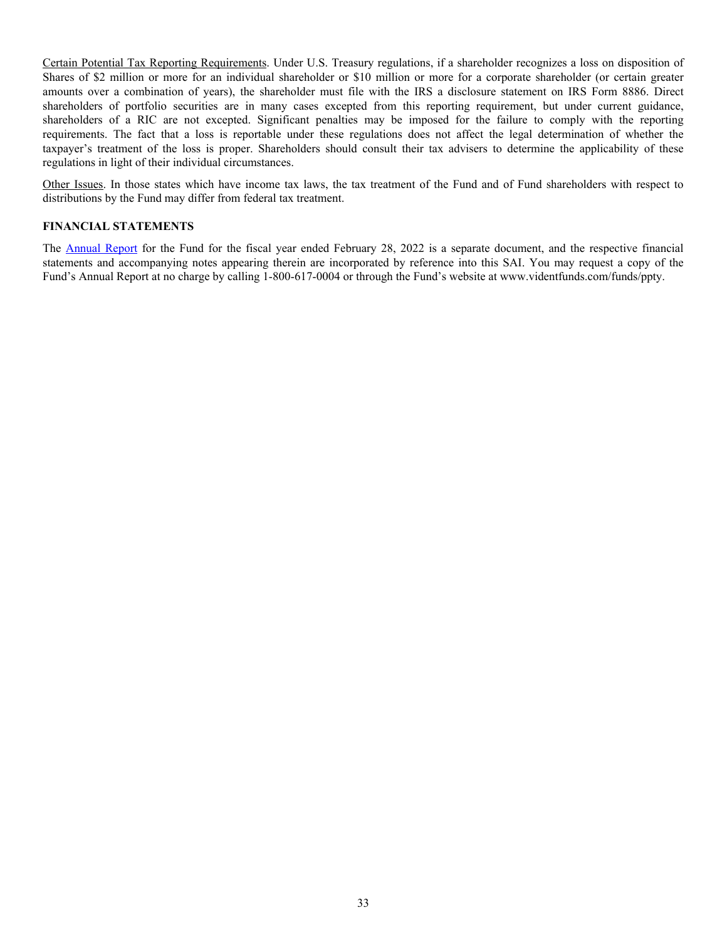<span id="page-33-0"></span>Certain Potential Tax Reporting Requirements. Under U.S. Treasury regulations, if a shareholder recognizes a loss on disposition of Shares of \$2 million or more for an individual shareholder or \$10 million or more for a corporate shareholder (or certain greater amounts over a combination of years), the shareholder must file with the IRS a disclosure statement on IRS Form 8886. Direct shareholders of portfolio securities are in many cases excepted from this reporting requirement, but under current guidance, shareholders of a RIC are not excepted. Significant penalties may be imposed for the failure to comply with the reporting requirements. The fact that a loss is reportable under these regulations does not affect the legal determination of whether the taxpayer's treatment of the loss is proper. Shareholders should consult their tax advisers to determine the applicability of these regulations in light of their individual circumstances.

Other Issues. In those states which have income tax laws, the tax treatment of the Fund and of Fund shareholders with respect to distributions by the Fund may differ from federal tax treatment.

#### **FINANCIAL STATEMENTS**

The [Annual Report](http://www.sec.gov/Archives/edgar/data/1540305/000089853122000188/usdreetf-ncsra.htm) for the Fund for the fiscal year ended February 28, 2022 is a separate document, and the respective financial statements and accompanying notes appearing therein are incorporated by reference into this SAI. You may request a copy of the Fund's Annual Report at no charge by calling 1-800-617-0004 or through the Fund's website at www.videntfunds.com/funds/ppty.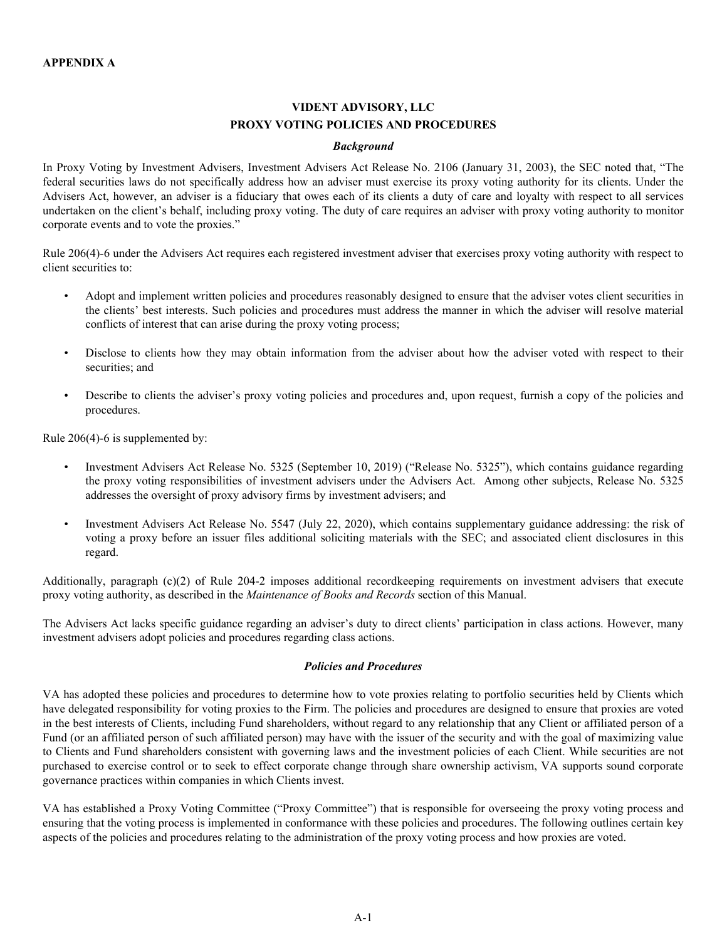# **VIDENT ADVISORY, LLC PROXY VOTING POLICIES AND PROCEDURES**

#### *Background*

<span id="page-34-0"></span>In Proxy Voting by Investment Advisers, Investment Advisers Act Release No. 2106 (January 31, 2003), the SEC noted that, "The federal securities laws do not specifically address how an adviser must exercise its proxy voting authority for its clients. Under the Advisers Act, however, an adviser is a fiduciary that owes each of its clients a duty of care and loyalty with respect to all services undertaken on the client's behalf, including proxy voting. The duty of care requires an adviser with proxy voting authority to monitor corporate events and to vote the proxies."

Rule 206(4)-6 under the Advisers Act requires each registered investment adviser that exercises proxy voting authority with respect to client securities to:

- Adopt and implement written policies and procedures reasonably designed to ensure that the adviser votes client securities in the clients' best interests. Such policies and procedures must address the manner in which the adviser will resolve material conflicts of interest that can arise during the proxy voting process;
- Disclose to clients how they may obtain information from the adviser about how the adviser voted with respect to their securities; and
- Describe to clients the adviser's proxy voting policies and procedures and, upon request, furnish a copy of the policies and procedures.

Rule 206(4)-6 is supplemented by:

- Investment Advisers Act Release No. 5325 (September 10, 2019) ("Release No. 5325"), which contains guidance regarding the proxy voting responsibilities of investment advisers under the Advisers Act. Among other subjects, Release No. 5325 addresses the oversight of proxy advisory firms by investment advisers; and
- Investment Advisers Act Release No. 5547 (July 22, 2020), which contains supplementary guidance addressing: the risk of voting a proxy before an issuer files additional soliciting materials with the SEC; and associated client disclosures in this regard.

Additionally, paragraph (c)(2) of Rule 204-2 imposes additional recordkeeping requirements on investment advisers that execute proxy voting authority, as described in the *Maintenance of Books and Records* section of this Manual.

The Advisers Act lacks specific guidance regarding an adviser's duty to direct clients' participation in class actions. However, many investment advisers adopt policies and procedures regarding class actions.

# *Policies and Procedures*

VA has adopted these policies and procedures to determine how to vote proxies relating to portfolio securities held by Clients which have delegated responsibility for voting proxies to the Firm. The policies and procedures are designed to ensure that proxies are voted in the best interests of Clients, including Fund shareholders, without regard to any relationship that any Client or affiliated person of a Fund (or an affiliated person of such affiliated person) may have with the issuer of the security and with the goal of maximizing value to Clients and Fund shareholders consistent with governing laws and the investment policies of each Client. While securities are not purchased to exercise control or to seek to effect corporate change through share ownership activism, VA supports sound corporate governance practices within companies in which Clients invest.

VA has established a Proxy Voting Committee ("Proxy Committee") that is responsible for overseeing the proxy voting process and ensuring that the voting process is implemented in conformance with these policies and procedures. The following outlines certain key aspects of the policies and procedures relating to the administration of the proxy voting process and how proxies are voted.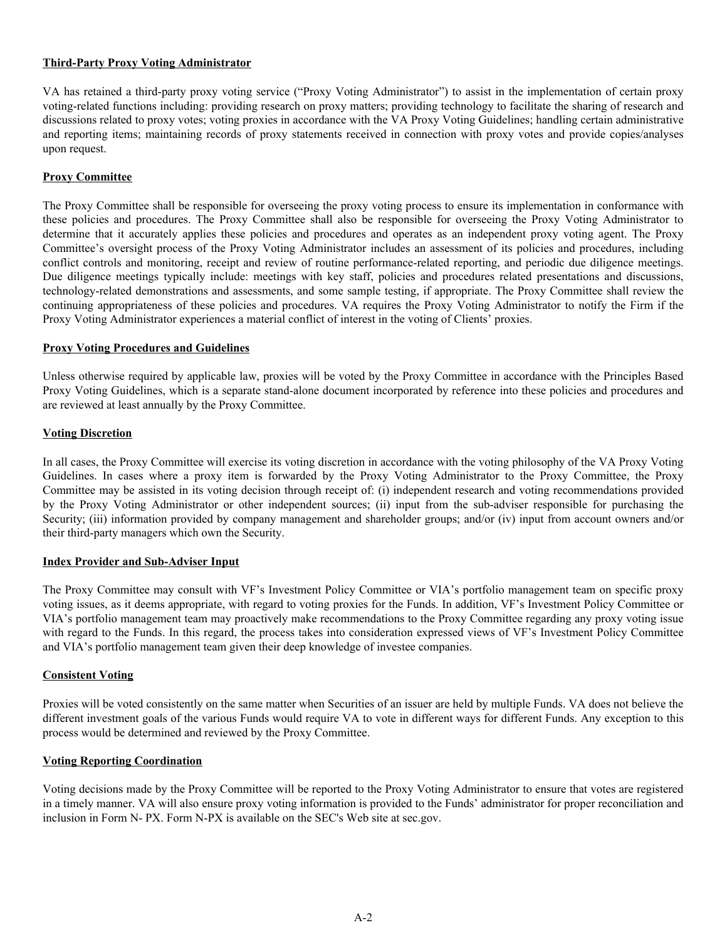### **Third-Party Proxy Voting Administrator**

VA has retained a third-party proxy voting service ("Proxy Voting Administrator") to assist in the implementation of certain proxy voting-related functions including: providing research on proxy matters; providing technology to facilitate the sharing of research and discussions related to proxy votes; voting proxies in accordance with the VA Proxy Voting Guidelines; handling certain administrative and reporting items; maintaining records of proxy statements received in connection with proxy votes and provide copies/analyses upon request.

# **Proxy Committee**

The Proxy Committee shall be responsible for overseeing the proxy voting process to ensure its implementation in conformance with these policies and procedures. The Proxy Committee shall also be responsible for overseeing the Proxy Voting Administrator to determine that it accurately applies these policies and procedures and operates as an independent proxy voting agent. The Proxy Committee's oversight process of the Proxy Voting Administrator includes an assessment of its policies and procedures, including conflict controls and monitoring, receipt and review of routine performance-related reporting, and periodic due diligence meetings. Due diligence meetings typically include: meetings with key staff, policies and procedures related presentations and discussions, technology-related demonstrations and assessments, and some sample testing, if appropriate. The Proxy Committee shall review the continuing appropriateness of these policies and procedures. VA requires the Proxy Voting Administrator to notify the Firm if the Proxy Voting Administrator experiences a material conflict of interest in the voting of Clients' proxies.

#### **Proxy Voting Procedures and Guidelines**

Unless otherwise required by applicable law, proxies will be voted by the Proxy Committee in accordance with the Principles Based Proxy Voting Guidelines, which is a separate stand-alone document incorporated by reference into these policies and procedures and are reviewed at least annually by the Proxy Committee.

#### **Voting Discretion**

In all cases, the Proxy Committee will exercise its voting discretion in accordance with the voting philosophy of the VA Proxy Voting Guidelines. In cases where a proxy item is forwarded by the Proxy Voting Administrator to the Proxy Committee, the Proxy Committee may be assisted in its voting decision through receipt of: (i) independent research and voting recommendations provided by the Proxy Voting Administrator or other independent sources; (ii) input from the sub-adviser responsible for purchasing the Security; (iii) information provided by company management and shareholder groups; and/or (iv) input from account owners and/or their third-party managers which own the Security.

# **Index Provider and Sub-Adviser Input**

The Proxy Committee may consult with VF's Investment Policy Committee or VIA's portfolio management team on specific proxy voting issues, as it deems appropriate, with regard to voting proxies for the Funds. In addition, VF's Investment Policy Committee or VIA's portfolio management team may proactively make recommendations to the Proxy Committee regarding any proxy voting issue with regard to the Funds. In this regard, the process takes into consideration expressed views of VF's Investment Policy Committee and VIA's portfolio management team given their deep knowledge of investee companies.

#### **Consistent Voting**

Proxies will be voted consistently on the same matter when Securities of an issuer are held by multiple Funds. VA does not believe the different investment goals of the various Funds would require VA to vote in different ways for different Funds. Any exception to this process would be determined and reviewed by the Proxy Committee.

# **Voting Reporting Coordination**

Voting decisions made by the Proxy Committee will be reported to the Proxy Voting Administrator to ensure that votes are registered in a timely manner. VA will also ensure proxy voting information is provided to the Funds' administrator for proper reconciliation and inclusion in Form N- PX. Form N-PX is available on the SEC's Web site at sec.gov.